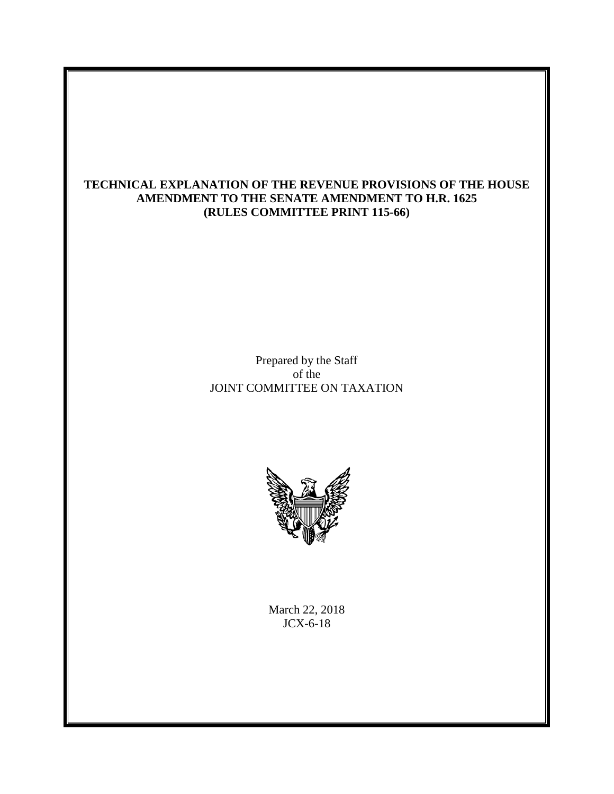# **TECHNICAL EXPLANATION OF THE REVENUE PROVISIONS OF THE HOUSE AMENDMENT TO THE SENATE AMENDMENT TO H.R. 1625 (RULES COMMITTEE PRINT 115-66)**

Prepared by the Staff of the JOINT COMMITTEE ON TAXATION



March 22, 2018 JCX-6-18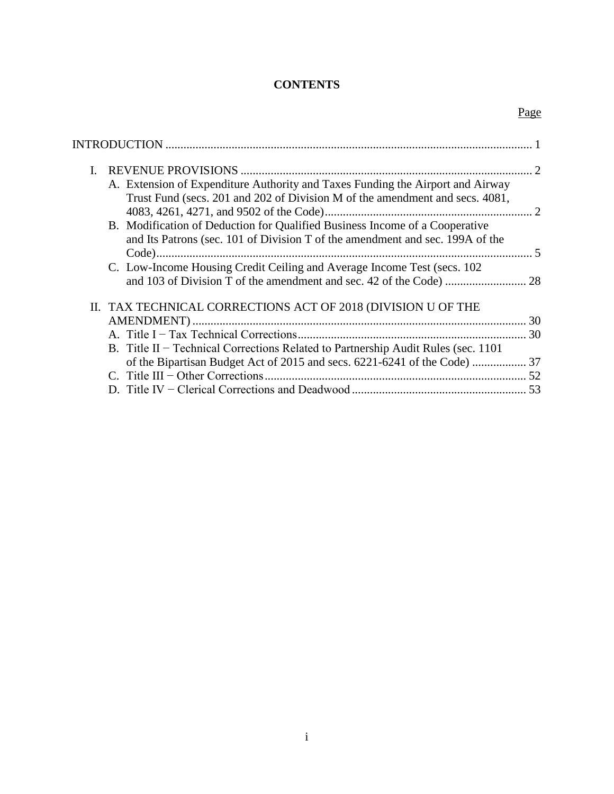# **CONTENTS**

Page

| L                                                                                                                                                              |  |
|----------------------------------------------------------------------------------------------------------------------------------------------------------------|--|
| A. Extension of Expenditure Authority and Taxes Funding the Airport and Airway<br>Trust Fund (secs. 201 and 202 of Division M of the amendment and secs. 4081, |  |
| B. Modification of Deduction for Qualified Business Income of a Cooperative<br>and Its Patrons (sec. 101 of Division T of the amendment and sec. 199A of the   |  |
| C. Low-Income Housing Credit Ceiling and Average Income Test (secs. 102)                                                                                       |  |
| II. TAX TECHNICAL CORRECTIONS ACT OF 2018 (DIVISION U OF THE                                                                                                   |  |
| B. Title II – Technical Corrections Related to Partnership Audit Rules (sec. 1101)                                                                             |  |
| of the Bipartisan Budget Act of 2015 and secs. 6221-6241 of the Code)  37                                                                                      |  |
|                                                                                                                                                                |  |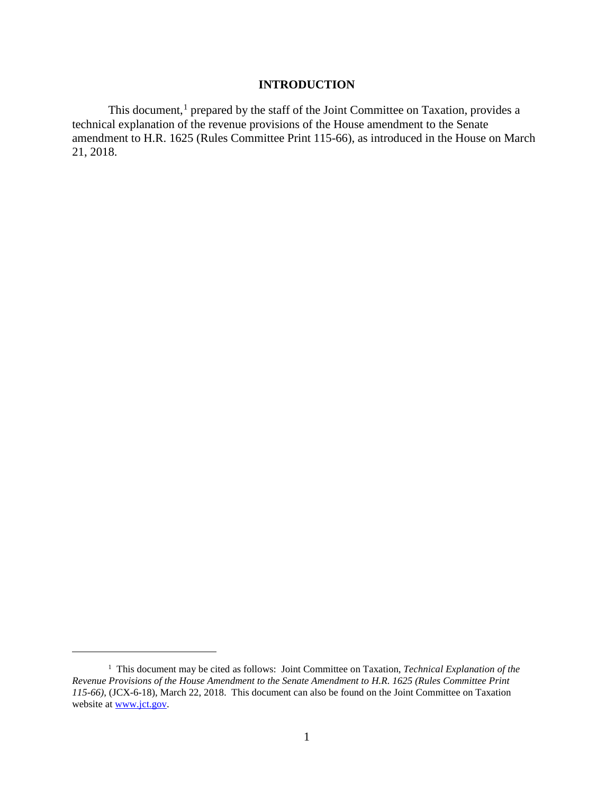# **INTRODUCTION**

<span id="page-2-0"></span>This document,<sup>[1](#page-2-1)</sup> prepared by the staff of the Joint Committee on Taxation, provides a technical explanation of the revenue provisions of the House amendment to the Senate amendment to H.R. 1625 (Rules Committee Print 115-66), as introduced in the House on March 21, 2018.

 $\overline{a}$ 

<span id="page-2-1"></span><sup>&</sup>lt;sup>1</sup> This document may be cited as follows: Joint Committee on Taxation, *Technical Explanation of the Revenue Provisions of the House Amendment to the Senate Amendment to H.R. 1625 (Rules Committee Print 115-66)*, (JCX-6-18), March 22, 2018. This document can also be found on the Joint Committee on Taxation website at www.jct.gov.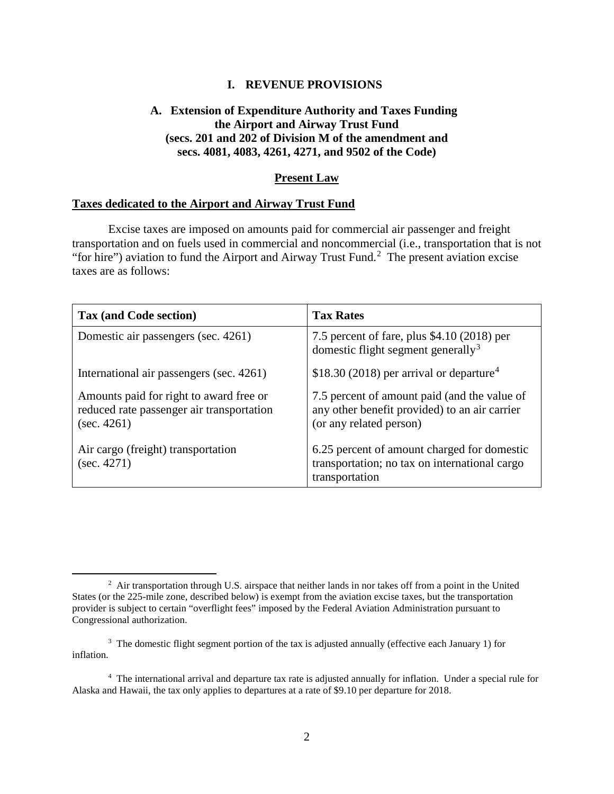## **I. REVENUE PROVISIONS**

# <span id="page-3-1"></span><span id="page-3-0"></span>**A. Extension of Expenditure Authority and Taxes Funding the Airport and Airway Trust Fund (secs. 201 and 202 of Division M of the amendment and secs. 4081, 4083, 4261, 4271, and 9502 of the Code)**

#### **Present Law**

#### **Taxes dedicated to the Airport and Airway Trust Fund**

Excise taxes are imposed on amounts paid for commercial air passenger and freight transportation and on fuels used in commercial and noncommercial (i.e., transportation that is not "for hire") aviation to fund the Airport and Airway Trust Fund.<sup>[2](#page-3-2)</sup> The present aviation excise taxes are as follows:

| Tax (and Code section)                                                                              | <b>Tax Rates</b>                                                                                                         |
|-----------------------------------------------------------------------------------------------------|--------------------------------------------------------------------------------------------------------------------------|
| Domestic air passengers (sec. 4261)                                                                 | 7.5 percent of fare, plus \$4.10 (2018) per<br>domestic flight segment generally <sup>3</sup>                            |
| International air passengers (sec. 4261)                                                            | \$18.30 (2018) per arrival or departure <sup>4</sup>                                                                     |
| Amounts paid for right to award free or<br>reduced rate passenger air transportation<br>(sec. 4261) | 7.5 percent of amount paid (and the value of<br>any other benefit provided) to an air carrier<br>(or any related person) |
| Air cargo (freight) transportation<br>(sec. 4271)                                                   | 6.25 percent of amount charged for domestic<br>transportation; no tax on international cargo<br>transportation           |

<span id="page-3-2"></span> <sup>2</sup>  $^2$  Air transportation through U.S. airspace that neither lands in nor takes off from a point in the United States (or the 225-mile zone, described below) is exempt from the aviation excise taxes, but the transportation provider is subject to certain "overflight fees" imposed by the Federal Aviation Administration pursuant to Congressional authorization.

<span id="page-3-3"></span><sup>&</sup>lt;sup>3</sup> The domestic flight segment portion of the tax is adjusted annually (effective each January 1) for inflation.

<span id="page-3-4"></span><sup>&</sup>lt;sup>4</sup> The international arrival and departure tax rate is adjusted annually for inflation. Under a special rule for Alaska and Hawaii, the tax only applies to departures at a rate of \$9.10 per departure for 2018.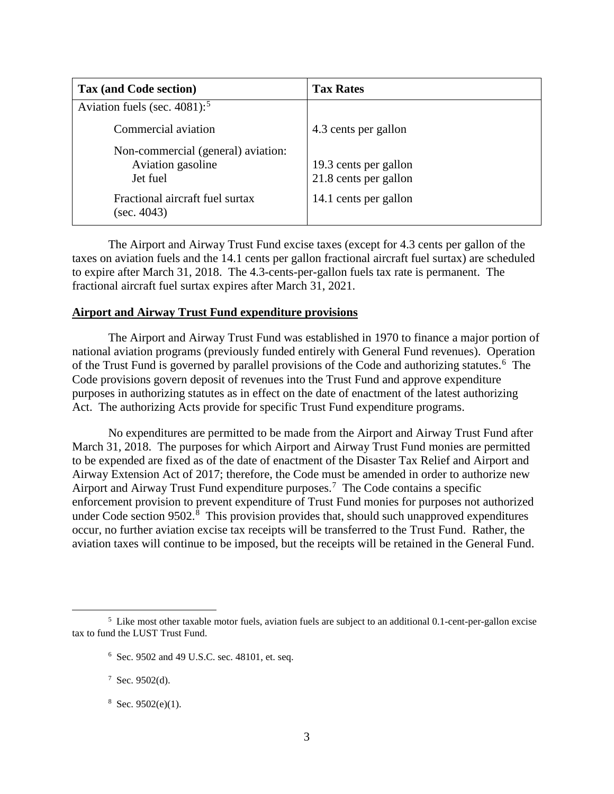| Tax (and Code section)                                              | <b>Tax Rates</b>                               |
|---------------------------------------------------------------------|------------------------------------------------|
| Aviation fuels (sec. $4081$ ): <sup>5</sup>                         |                                                |
| Commercial aviation                                                 | 4.3 cents per gallon                           |
| Non-commercial (general) aviation:<br>Aviation gasoline<br>Jet fuel | 19.3 cents per gallon<br>21.8 cents per gallon |
| Fractional aircraft fuel surtax<br>(sec. 4043)                      | 14.1 cents per gallon                          |

The Airport and Airway Trust Fund excise taxes (except for 4.3 cents per gallon of the taxes on aviation fuels and the 14.1 cents per gallon fractional aircraft fuel surtax) are scheduled to expire after March 31, 2018. The 4.3-cents-per-gallon fuels tax rate is permanent. The fractional aircraft fuel surtax expires after March 31, 2021.

## **Airport and Airway Trust Fund expenditure provisions**

The Airport and Airway Trust Fund was established in 1970 to finance a major portion of national aviation programs (previously funded entirely with General Fund revenues). Operation of the Trust Fund is governed by parallel provisions of the Code and authorizing statutes.<sup>[6](#page-4-1)</sup> The Code provisions govern deposit of revenues into the Trust Fund and approve expenditure purposes in authorizing statutes as in effect on the date of enactment of the latest authorizing Act. The authorizing Acts provide for specific Trust Fund expenditure programs.

No expenditures are permitted to be made from the Airport and Airway Trust Fund after March 31, 2018. The purposes for which Airport and Airway Trust Fund monies are permitted to be expended are fixed as of the date of enactment of the Disaster Tax Relief and Airport and Airway Extension Act of 2017; therefore, the Code must be amended in order to authorize new Airport and Airway Trust Fund expenditure purposes.<sup>[7](#page-4-2)</sup> The Code contains a specific enforcement provision to prevent expenditure of Trust Fund monies for purposes not authorized under Code section 9502.<sup>[8](#page-4-3)</sup> This provision provides that, should such unapproved expenditures occur, no further aviation excise tax receipts will be transferred to the Trust Fund. Rather, the aviation taxes will continue to be imposed, but the receipts will be retained in the General Fund.

<span id="page-4-3"></span> $8$  Sec. 9502(e)(1).

<span id="page-4-2"></span><span id="page-4-1"></span><span id="page-4-0"></span> $\frac{1}{5}$  $<sup>5</sup>$  Like most other taxable motor fuels, aviation fuels are subject to an additional 0.1-cent-per-gallon excise</sup> tax to fund the LUST Trust Fund.

<sup>6</sup> Sec. 9502 and 49 U.S.C. sec. 48101, et. seq.

 $7$  Sec. 9502(d).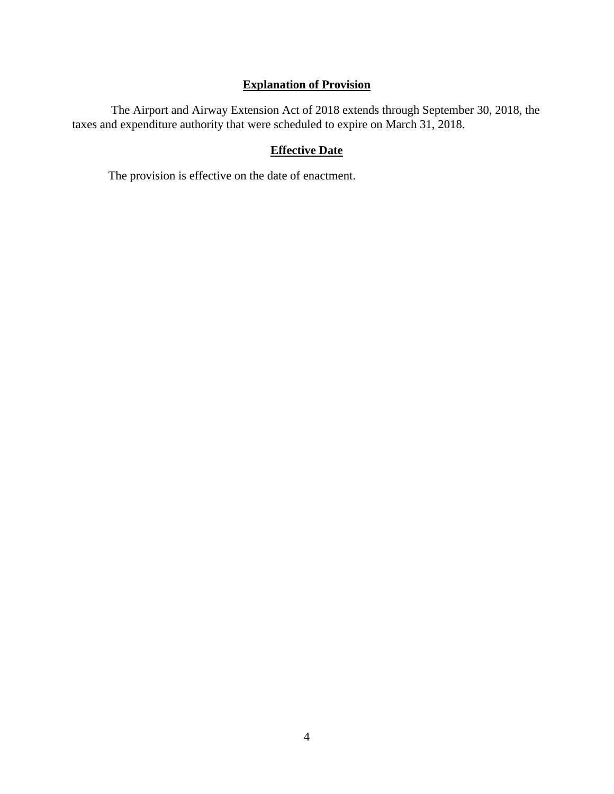# **Explanation of Provision**

The Airport and Airway Extension Act of 2018 extends through September 30, 2018, the taxes and expenditure authority that were scheduled to expire on March 31, 2018.

# **Effective Date**

The provision is effective on the date of enactment.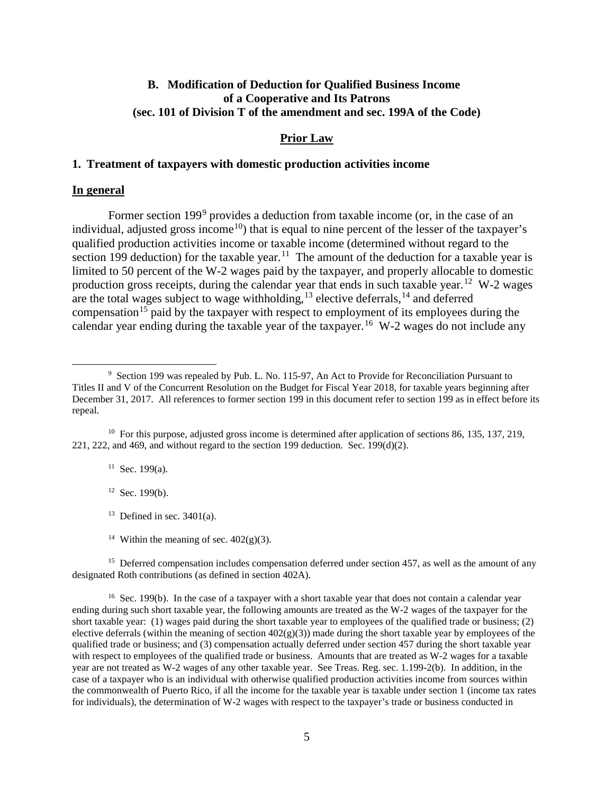# <span id="page-6-0"></span>**B. Modification of Deduction for Qualified Business Income of a Cooperative and Its Patrons (sec. 101 of Division T of the amendment and sec. 199A of the Code)**

### **Prior Law**

#### **1. Treatment of taxpayers with domestic production activities income**

#### **In general**

Former section 1[9](#page-6-1)9<sup>9</sup> provides a deduction from taxable income (or, in the case of an individual, adjusted gross income<sup>[10](#page-6-2)</sup>) that is equal to nine percent of the lesser of the taxpayer's qualified production activities income or taxable income (determined without regard to the section 199 deduction) for the taxable year.<sup>11</sup> The amount of the deduction for a taxable year is limited to 50 percent of the W-2 wages paid by the taxpayer, and properly allocable to domestic production gross receipts, during the calendar year that ends in such taxable year.<sup>[12](#page-6-4)</sup> W-2 wages are the total wages subject to wage withholding,  $13$  elective deferrals,  $14$  and deferred compensation<sup>[15](#page-6-7)</sup> paid by the taxpayer with respect to employment of its employees during the calendar year ending during the taxable year of the taxpayer.<sup>[16](#page-6-8)</sup> W-2 wages do not include any

 $11$  Sec. 199(a).

 $12$  Sec. 199(b).

<sup>13</sup> Defined in sec.  $3401(a)$ .

<sup>14</sup> Within the meaning of sec.  $402(g)(3)$ .

<span id="page-6-7"></span><span id="page-6-6"></span><span id="page-6-5"></span><sup>15</sup> Deferred compensation includes compensation deferred under section 457, as well as the amount of any designated Roth contributions (as defined in section 402A).

<span id="page-6-8"></span><sup>16</sup> Sec. 199(b). In the case of a taxpayer with a short taxable year that does not contain a calendar year ending during such short taxable year, the following amounts are treated as the W-2 wages of the taxpayer for the short taxable year: (1) wages paid during the short taxable year to employees of the qualified trade or business; (2) elective deferrals (within the meaning of section  $402(g)(3)$ ) made during the short taxable year by employees of the qualified trade or business; and (3) compensation actually deferred under section 457 during the short taxable year with respect to employees of the qualified trade or business. Amounts that are treated as W-2 wages for a taxable year are not treated as W-2 wages of any other taxable year. See Treas. Reg. sec. 1.199-2(b). In addition, in the case of a taxpayer who is an individual with otherwise qualified production activities income from sources within the commonwealth of Puerto Rico, if all the income for the taxable year is taxable under section 1 (income tax rates for individuals), the determination of W-2 wages with respect to the taxpayer's trade or business conducted in

<span id="page-6-1"></span> <sup>9</sup> <sup>9</sup> Section 199 was repealed by Pub. L. No. 115-97, An Act to Provide for Reconciliation Pursuant to Titles II and V of the Concurrent Resolution on the Budget for Fiscal Year 2018, for taxable years beginning after December 31, 2017. All references to former section 199 in this document refer to section 199 as in effect before its repeal.

<span id="page-6-4"></span><span id="page-6-3"></span><span id="page-6-2"></span><sup>&</sup>lt;sup>10</sup> For this purpose, adjusted gross income is determined after application of sections 86, 135, 137, 219, 221, 222, and 469, and without regard to the section 199 deduction. Sec. 199(d)(2).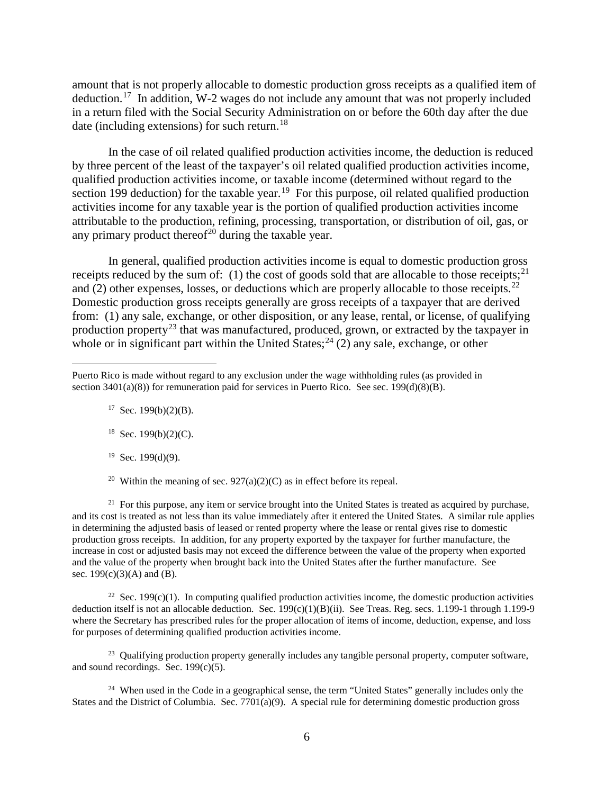amount that is not properly allocable to domestic production gross receipts as a qualified item of deduction.<sup>[17](#page-7-0)</sup> In addition, W-2 wages do not include any amount that was not properly included in a return filed with the Social Security Administration on or before the 60th day after the due date (including extensions) for such return.<sup>[18](#page-7-1)</sup>

In the case of oil related qualified production activities income, the deduction is reduced by three percent of the least of the taxpayer's oil related qualified production activities income, qualified production activities income, or taxable income (determined without regard to the section 199 deduction) for the taxable year.<sup>19</sup> For this purpose, oil related qualified production activities income for any taxable year is the portion of qualified production activities income attributable to the production, refining, processing, transportation, or distribution of oil, gas, or any primary product thereof<sup>[20](#page-7-3)</sup> during the taxable year.

In general, qualified production activities income is equal to domestic production gross receipts reduced by the sum of: (1) the cost of goods sold that are allocable to those receipts;<sup>[21](#page-7-4)</sup> and (2) other expenses, losses, or deductions which are properly allocable to those receipts.<sup>22</sup> Domestic production gross receipts generally are gross receipts of a taxpayer that are derived from: (1) any sale, exchange, or other disposition, or any lease, rental, or license, of qualifying production property<sup>[23](#page-7-6)</sup> that was manufactured, produced, grown, or extracted by the taxpayer in whole or in significant part within the United States;  $^{24}$  $^{24}$  $^{24}$  (2) any sale, exchange, or other

 $17$  Sec. 199(b)(2)(B).

 $\overline{a}$ 

- $18$  Sec. 199(b)(2)(C).
- $19$  Sec. 199(d)(9).
- <sup>20</sup> Within the meaning of sec.  $927(a)(2)(C)$  as in effect before its repeal.

<span id="page-7-4"></span><span id="page-7-3"></span><span id="page-7-2"></span><sup>21</sup> For this purpose, any item or service brought into the United States is treated as acquired by purchase, and its cost is treated as not less than its value immediately after it entered the United States. A similar rule applies in determining the adjusted basis of leased or rented property where the lease or rental gives rise to domestic production gross receipts. In addition, for any property exported by the taxpayer for further manufacture, the increase in cost or adjusted basis may not exceed the difference between the value of the property when exported and the value of the property when brought back into the United States after the further manufacture. See sec.  $199(c)(3)(A)$  and (B).

<span id="page-7-5"></span><sup>22</sup> Sec. 199(c)(1). In computing qualified production activities income, the domestic production activities deduction itself is not an allocable deduction. Sec. 199(c)(1)(B)(ii). See Treas. Reg. secs. 1.199-1 through 1.199-9 where the Secretary has prescribed rules for the proper allocation of items of income, deduction, expense, and loss for purposes of determining qualified production activities income.

<span id="page-7-6"></span><sup>23</sup> Qualifying production property generally includes any tangible personal property, computer software, and sound recordings. Sec. 199(c)(5).

<span id="page-7-7"></span><sup>24</sup> When used in the Code in a geographical sense, the term "United States" generally includes only the States and the District of Columbia. Sec. 7701(a)(9). A special rule for determining domestic production gross

<span id="page-7-1"></span><span id="page-7-0"></span>Puerto Rico is made without regard to any exclusion under the wage withholding rules (as provided in section  $3401(a)(8)$ ) for remuneration paid for services in Puerto Rico. See sec.  $199(d)(8)(B)$ .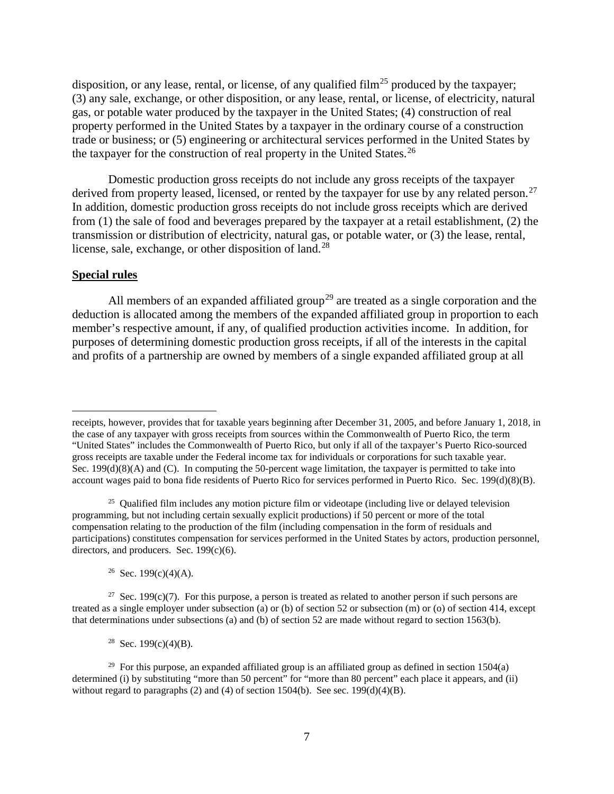disposition, or any lease, rental, or license, of any qualified film<sup>[25](#page-8-0)</sup> produced by the taxpayer; (3) any sale, exchange, or other disposition, or any lease, rental, or license, of electricity, natural gas, or potable water produced by the taxpayer in the United States; (4) construction of real property performed in the United States by a taxpayer in the ordinary course of a construction trade or business; or (5) engineering or architectural services performed in the United States by the taxpayer for the construction of real property in the United States.<sup>26</sup>

Domestic production gross receipts do not include any gross receipts of the taxpayer derived from property leased, licensed, or rented by the taxpayer for use by any related person.<sup>27</sup> In addition, domestic production gross receipts do not include gross receipts which are derived from (1) the sale of food and beverages prepared by the taxpayer at a retail establishment, (2) the transmission or distribution of electricity, natural gas, or potable water, or (3) the lease, rental, license, sale, exchange, or other disposition of land.<sup>[28](#page-8-3)</sup>

### **Special rules**

 $\overline{a}$ 

All members of an expanded affiliated group<sup>[29](#page-8-4)</sup> are treated as a single corporation and the deduction is allocated among the members of the expanded affiliated group in proportion to each member's respective amount, if any, of qualified production activities income. In addition, for purposes of determining domestic production gross receipts, if all of the interests in the capital and profits of a partnership are owned by members of a single expanded affiliated group at all

<sup>26</sup> Sec. 199(c)(4)(A).

<sup>28</sup> Sec. 199(c)(4)(B).

receipts, however, provides that for taxable years beginning after December 31, 2005, and before January 1, 2018, in the case of any taxpayer with gross receipts from sources within the Commonwealth of Puerto Rico, the term "United States" includes the Commonwealth of Puerto Rico, but only if all of the taxpayer's Puerto Rico-sourced gross receipts are taxable under the Federal income tax for individuals or corporations for such taxable year. Sec. 199(d)(8)(A) and (C). In computing the 50-percent wage limitation, the taxpayer is permitted to take into account wages paid to bona fide residents of Puerto Rico for services performed in Puerto Rico. Sec. 199(d)(8)(B).

<span id="page-8-0"></span> $25$  Qualified film includes any motion picture film or videotape (including live or delayed television programming, but not including certain sexually explicit productions) if 50 percent or more of the total compensation relating to the production of the film (including compensation in the form of residuals and participations) constitutes compensation for services performed in the United States by actors, production personnel, directors, and producers. Sec. 199(c)(6).

<span id="page-8-2"></span><span id="page-8-1"></span><sup>&</sup>lt;sup>27</sup> Sec. 199(c)(7). For this purpose, a person is treated as related to another person if such persons are treated as a single employer under subsection (a) or (b) of section 52 or subsection (m) or (o) of section 414, except that determinations under subsections (a) and (b) of section 52 are made without regard to section 1563(b).

<span id="page-8-4"></span><span id="page-8-3"></span> $29$  For this purpose, an expanded affiliated group is an affiliated group as defined in section 1504(a) determined (i) by substituting "more than 50 percent" for "more than 80 percent" each place it appears, and (ii) without regard to paragraphs (2) and (4) of section 1504(b). See sec.  $199(d)(4)(B)$ .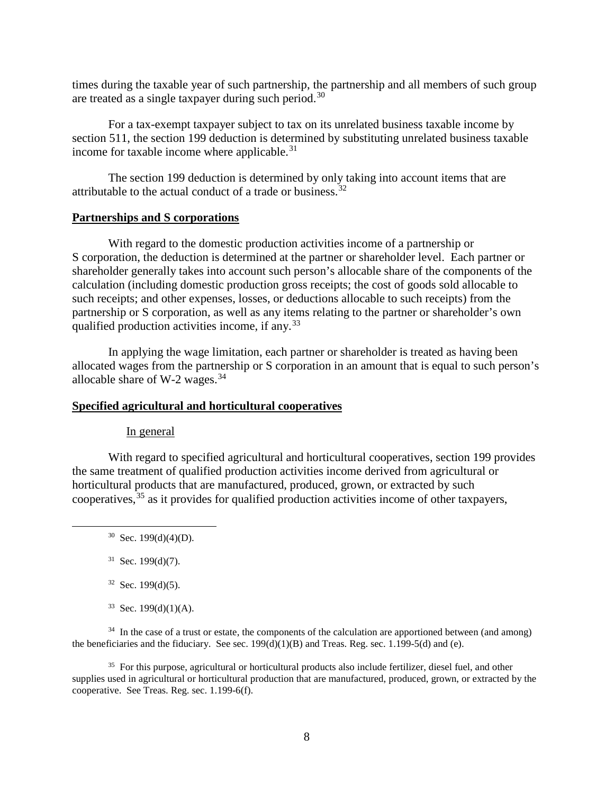times during the taxable year of such partnership, the partnership and all members of such group are treated as a single taxpayer during such period.[30](#page-9-0)

For a tax-exempt taxpayer subject to tax on its unrelated business taxable income by section 511, the section 199 deduction is determined by substituting unrelated business taxable income for taxable income where applicable. $31$ 

The section 199 deduction is determined by only taking into account items that are attributable to the actual conduct of a trade or business.[32](#page-9-2)

#### **Partnerships and S corporations**

With regard to the domestic production activities income of a partnership or S corporation, the deduction is determined at the partner or shareholder level. Each partner or shareholder generally takes into account such person's allocable share of the components of the calculation (including domestic production gross receipts; the cost of goods sold allocable to such receipts; and other expenses, losses, or deductions allocable to such receipts) from the partnership or S corporation, as well as any items relating to the partner or shareholder's own qualified production activities income, if any.[33](#page-9-3)

In applying the wage limitation, each partner or shareholder is treated as having been allocated wages from the partnership or S corporation in an amount that is equal to such person's allocable share of W-2 wages. $34$ 

#### **Specified agricultural and horticultural cooperatives**

#### In general

<span id="page-9-0"></span>With regard to specified agricultural and horticultural cooperatives, section 199 provides the same treatment of qualified production activities income derived from agricultural or horticultural products that are manufactured, produced, grown, or extracted by such cooperatives,  $35$  as it provides for qualified production activities income of other taxpayers,

- $31$  Sec. 199(d)(7).
- $32$  Sec. 199(d)(5).
- $33$  Sec. 199(d)(1)(A).

<span id="page-9-4"></span><span id="page-9-3"></span><span id="page-9-2"></span><span id="page-9-1"></span><sup>34</sup> In the case of a trust or estate, the components of the calculation are apportioned between (and among) the beneficiaries and the fiduciary. See sec.  $199(d)(1)(B)$  and Treas. Reg. sec. 1.199-5(d) and (e).

<span id="page-9-5"></span><sup>35</sup> For this purpose, agricultural or horticultural products also include fertilizer, diesel fuel, and other supplies used in agricultural or horticultural production that are manufactured, produced, grown, or extracted by the cooperative. See Treas. Reg. sec. 1.199-6(f).

 $30$  Sec. 199(d)(4)(D).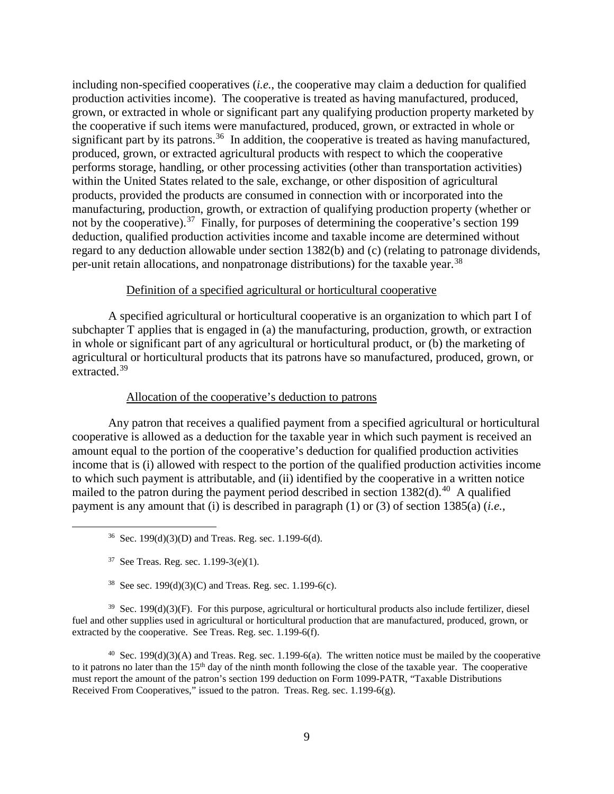including non-specified cooperatives (*i.e.*, the cooperative may claim a deduction for qualified production activities income). The cooperative is treated as having manufactured, produced, grown, or extracted in whole or significant part any qualifying production property marketed by the cooperative if such items were manufactured, produced, grown, or extracted in whole or significant part by its patrons.<sup>36</sup> In addition, the cooperative is treated as having manufactured, produced, grown, or extracted agricultural products with respect to which the cooperative performs storage, handling, or other processing activities (other than transportation activities) within the United States related to the sale, exchange, or other disposition of agricultural products, provided the products are consumed in connection with or incorporated into the manufacturing, production, growth, or extraction of qualifying production property (whether or not by the cooperative).<sup>37</sup> Finally, for purposes of determining the cooperative's section 199 deduction, qualified production activities income and taxable income are determined without regard to any deduction allowable under section 1382(b) and (c) (relating to patronage dividends, per-unit retain allocations, and nonpatronage distributions) for the taxable year.<sup>38</sup>

#### Definition of a specified agricultural or horticultural cooperative

A specified agricultural or horticultural cooperative is an organization to which part I of subchapter T applies that is engaged in (a) the manufacturing, production, growth, or extraction in whole or significant part of any agricultural or horticultural product, or (b) the marketing of agricultural or horticultural products that its patrons have so manufactured, produced, grown, or extracted.<sup>[39](#page-10-3)</sup>

#### Allocation of the cooperative's deduction to patrons

Any patron that receives a qualified payment from a specified agricultural or horticultural cooperative is allowed as a deduction for the taxable year in which such payment is received an amount equal to the portion of the cooperative's deduction for qualified production activities income that is (i) allowed with respect to the portion of the qualified production activities income to which such payment is attributable, and (ii) identified by the cooperative in a written notice mailed to the patron during the payment period described in section  $1382(d)$ .<sup>[40](#page-10-4)</sup> A qualified payment is any amount that (i) is described in paragraph (1) or (3) of section 1385(a) (*i.e.*,

<span id="page-10-3"></span><span id="page-10-2"></span><span id="page-10-1"></span><span id="page-10-0"></span> $39$  Sec. 199(d)(3)(F). For this purpose, agricultural or horticultural products also include fertilizer, diesel fuel and other supplies used in agricultural or horticultural production that are manufactured, produced, grown, or extracted by the cooperative. See Treas. Reg. sec. 1.199-6(f).

<span id="page-10-4"></span><sup>40</sup> Sec. 199(d)(3)(A) and Treas. Reg. sec. 1.199-6(a). The written notice must be mailed by the cooperative to it patrons no later than the  $15<sup>th</sup>$  day of the ninth month following the close of the taxable year. The cooperative must report the amount of the patron's section 199 deduction on Form 1099-PATR, "Taxable Distributions Received From Cooperatives," issued to the patron. Treas. Reg. sec. 1.199-6(g).

<sup>&</sup>lt;sup>36</sup> Sec. 199(d)(3)(D) and Treas. Reg. sec. 1.199-6(d).

 $37$  See Treas. Reg. sec. 1.199-3(e)(1).

<sup>&</sup>lt;sup>38</sup> See sec. 199(d)(3)(C) and Treas. Reg. sec. 1.199-6(c).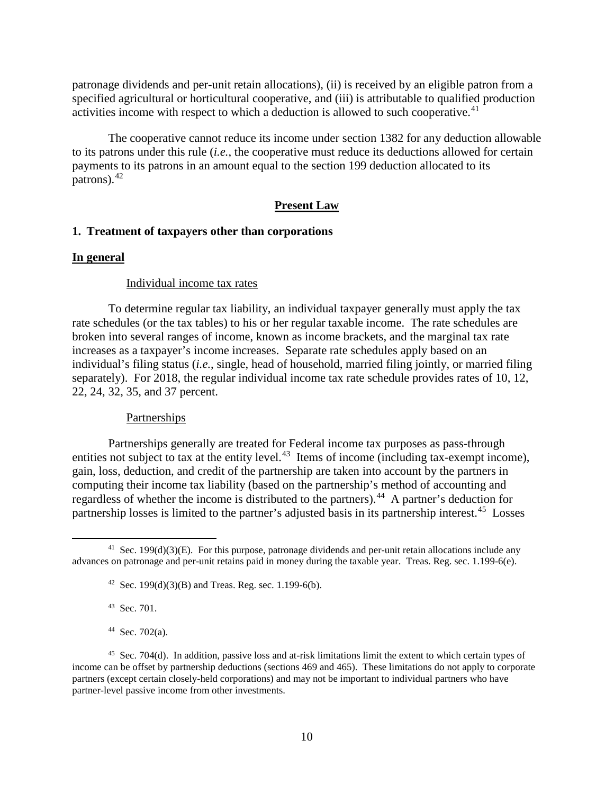patronage dividends and per-unit retain allocations), (ii) is received by an eligible patron from a specified agricultural or horticultural cooperative, and (iii) is attributable to qualified production activities income with respect to which a deduction is allowed to such cooperative.<sup>[41](#page-11-0)</sup>

The cooperative cannot reduce its income under section 1382 for any deduction allowable to its patrons under this rule (*i.e.*, the cooperative must reduce its deductions allowed for certain payments to its patrons in an amount equal to the section 199 deduction allocated to its patrons). $42$ 

## **Present Law**

## **1. Treatment of taxpayers other than corporations**

#### **In general**

#### Individual income tax rates

To determine regular tax liability, an individual taxpayer generally must apply the tax rate schedules (or the tax tables) to his or her regular taxable income. The rate schedules are broken into several ranges of income, known as income brackets, and the marginal tax rate increases as a taxpayer's income increases. Separate rate schedules apply based on an individual's filing status (*i.e.*, single, head of household, married filing jointly, or married filing separately). For 2018, the regular individual income tax rate schedule provides rates of 10, 12, 22, 24, 32, 35, and 37 percent.

#### **Partnerships**

Partnerships generally are treated for Federal income tax purposes as pass-through entities not subject to tax at the entity level. $43$  Items of income (including tax-exempt income), gain, loss, deduction, and credit of the partnership are taken into account by the partners in computing their income tax liability (based on the partnership's method of accounting and regardless of whether the income is distributed to the partners).<sup>44</sup> A partner's deduction for partnership losses is limited to the partner's adjusted basis in its partnership interest.<sup>[45](#page-11-4)</sup> Losses

43 Sec. 701.

 $44$  Sec. 702(a).

<span id="page-11-1"></span><span id="page-11-0"></span> $41$  Sec. 199(d)(3)(E). For this purpose, patronage dividends and per-unit retain allocations include any advances on patronage and per-unit retains paid in money during the taxable year. Treas. Reg. sec. 1.199-6(e).

<sup>&</sup>lt;sup>42</sup> Sec. 199(d)(3)(B) and Treas. Reg. sec. 1.199-6(b).

<span id="page-11-4"></span><span id="page-11-3"></span><span id="page-11-2"></span><sup>45</sup> Sec. 704(d). In addition, passive loss and at-risk limitations limit the extent to which certain types of income can be offset by partnership deductions (sections 469 and 465). These limitations do not apply to corporate partners (except certain closely-held corporations) and may not be important to individual partners who have partner-level passive income from other investments.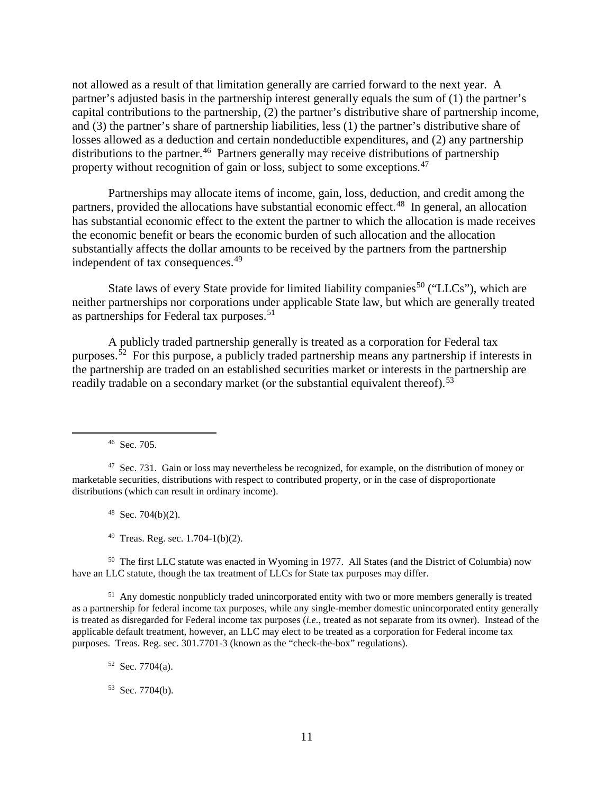not allowed as a result of that limitation generally are carried forward to the next year. A partner's adjusted basis in the partnership interest generally equals the sum of (1) the partner's capital contributions to the partnership, (2) the partner's distributive share of partnership income, and (3) the partner's share of partnership liabilities, less (1) the partner's distributive share of losses allowed as a deduction and certain nondeductible expenditures, and (2) any partnership distributions to the partner.<sup>46</sup> Partners generally may receive distributions of partnership property without recognition of gain or loss, subject to some exceptions.<sup>[47](#page-12-1)</sup>

Partnerships may allocate items of income, gain, loss, deduction, and credit among the partners, provided the allocations have substantial economic effect.<sup>48</sup> In general, an allocation has substantial economic effect to the extent the partner to which the allocation is made receives the economic benefit or bears the economic burden of such allocation and the allocation substantially affects the dollar amounts to be received by the partners from the partnership independent of tax consequences.<sup>[49](#page-12-3)</sup>

State laws of every State provide for limited liability companies<sup>[50](#page-12-4)</sup> ("LLCs"), which are neither partnerships nor corporations under applicable State law, but which are generally treated as partnerships for Federal tax purposes.<sup>51</sup>

A publicly traded partnership generally is treated as a corporation for Federal tax purposes.<sup> $52$ </sup> For this purpose, a publicly traded partnership means any partnership if interests in the partnership are traded on an established securities market or interests in the partnership are readily tradable on a secondary market (or the substantial equivalent thereof).<sup>[53](#page-12-7)</sup>

46 Sec. 705.

 $48$  Sec. 704(b)(2).

<span id="page-12-4"></span><span id="page-12-3"></span><span id="page-12-2"></span>50 The first LLC statute was enacted in Wyoming in 1977. All States (and the District of Columbia) now have an LLC statute, though the tax treatment of LLCs for State tax purposes may differ.

<span id="page-12-6"></span><span id="page-12-5"></span><sup>51</sup> Any domestic nonpublicly traded unincorporated entity with two or more members generally is treated as a partnership for federal income tax purposes, while any single-member domestic unincorporated entity generally is treated as disregarded for Federal income tax purposes (*i.e.*, treated as not separate from its owner). Instead of the applicable default treatment, however, an LLC may elect to be treated as a corporation for Federal income tax purposes. Treas. Reg. sec. 301.7701-3 (known as the "check-the-box" regulations).

 $52$  Sec. 7704(a).

<span id="page-12-7"></span>53 Sec. 7704(b).

<span id="page-12-1"></span><span id="page-12-0"></span><sup>&</sup>lt;sup>47</sup> Sec. 731. Gain or loss may nevertheless be recognized, for example, on the distribution of money or marketable securities, distributions with respect to contributed property, or in the case of disproportionate distributions (which can result in ordinary income).

 $49$  Treas. Reg. sec. 1.704-1(b)(2).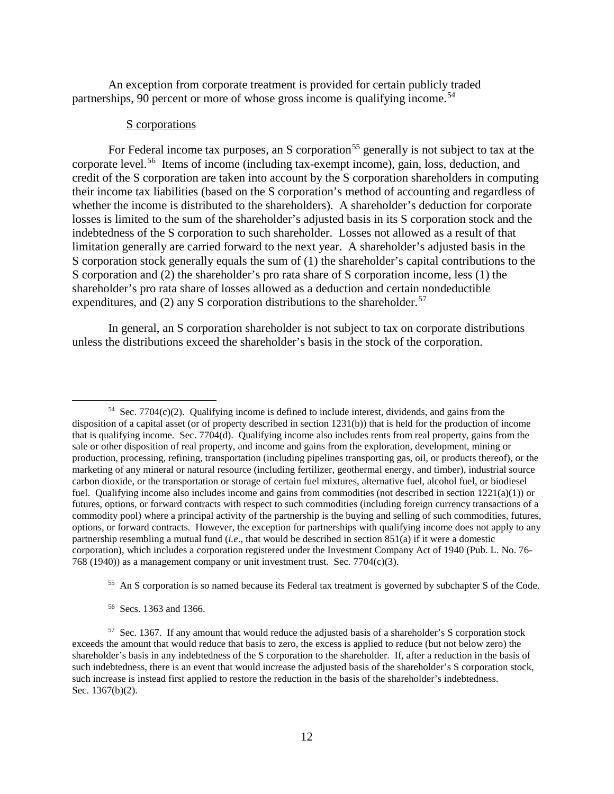An exception from corporate treatment is provided for certain publicly traded partnerships, 90 percent or more of whose gross income is qualifying income.<sup>[54](#page-13-0)</sup>

#### S corporations

For Federal income tax purposes, an S corporation<sup>[55](#page-13-1)</sup> generally is not subject to tax at the corporate level.[56](#page-13-2) Items of income (including tax-exempt income), gain, loss, deduction, and credit of the S corporation are taken into account by the S corporation shareholders in computing their income tax liabilities (based on the S corporation's method of accounting and regardless of whether the income is distributed to the shareholders). A shareholder's deduction for corporate losses is limited to the sum of the shareholder's adjusted basis in its S corporation stock and the indebtedness of the S corporation to such shareholder. Losses not allowed as a result of that limitation generally are carried forward to the next year. A shareholder's adjusted basis in the S corporation stock generally equals the sum of (1) the shareholder's capital contributions to the S corporation and (2) the shareholder's pro rata share of S corporation income, less (1) the shareholder's pro rata share of losses allowed as a deduction and certain nondeductible expenditures, and (2) any S corporation distributions to the shareholder.<sup>57</sup>

In general, an S corporation shareholder is not subject to tax on corporate distributions unless the distributions exceed the shareholder's basis in the stock of the corporation.

56 Secs. 1363 and 1366.

<span id="page-13-0"></span> $54$  Sec. 7704(c)(2). Qualifying income is defined to include interest, dividends, and gains from the disposition of a capital asset (or of property described in section 1231(b)) that is held for the production of income that is qualifying income. Sec. 7704(d). Qualifying income also includes rents from real property, gains from the sale or other disposition of real property, and income and gains from the exploration, development, mining or production, processing, refining, transportation (including pipelines transporting gas, oil, or products thereof), or the marketing of any mineral or natural resource (including fertilizer, geothermal energy, and timber), industrial source carbon dioxide, or the transportation or storage of certain fuel mixtures, alternative fuel, alcohol fuel, or biodiesel fuel. Qualifying income also includes income and gains from commodities (not described in section  $1221(a)(1)$ ) or futures, options, or forward contracts with respect to such commodities (including foreign currency transactions of a commodity pool) where a principal activity of the partnership is the buying and selling of such commodities, futures, options, or forward contracts. However, the exception for partnerships with qualifying income does not apply to any partnership resembling a mutual fund (*i.e*., that would be described in section 851(a) if it were a domestic corporation), which includes a corporation registered under the Investment Company Act of 1940 (Pub. L. No. 76- 768 (1940)) as a management company or unit investment trust. Sec. 7704 $(c)(3)$ .

<sup>&</sup>lt;sup>55</sup> An S corporation is so named because its Federal tax treatment is governed by subchapter S of the Code.

<span id="page-13-3"></span><span id="page-13-2"></span><span id="page-13-1"></span><sup>57</sup> Sec. 1367. If any amount that would reduce the adjusted basis of a shareholder's S corporation stock exceeds the amount that would reduce that basis to zero, the excess is applied to reduce (but not below zero) the shareholder's basis in any indebtedness of the S corporation to the shareholder. If, after a reduction in the basis of such indebtedness, there is an event that would increase the adjusted basis of the shareholder's S corporation stock, such increase is instead first applied to restore the reduction in the basis of the shareholder's indebtedness. Sec. 1367(b)(2).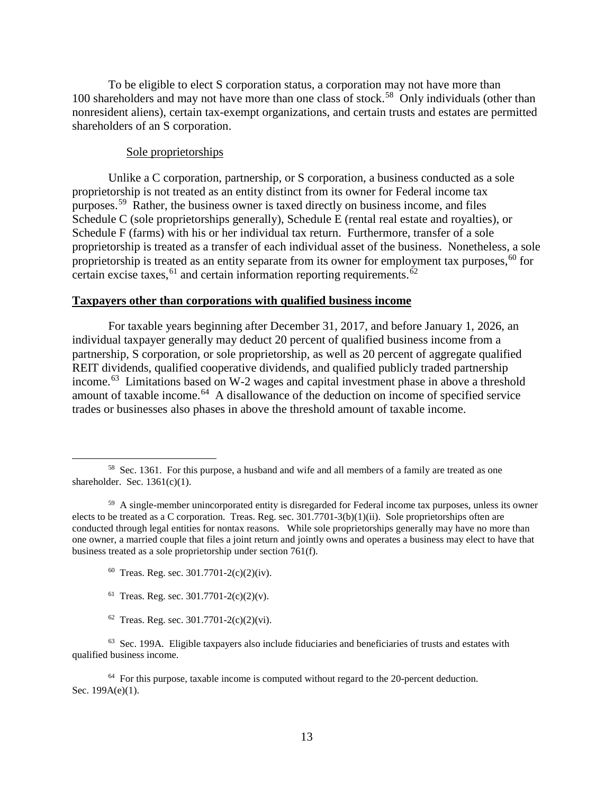To be eligible to elect S corporation status, a corporation may not have more than 100 shareholders and may not have more than one class of stock.<sup>58</sup> Only individuals (other than nonresident aliens), certain tax-exempt organizations, and certain trusts and estates are permitted shareholders of an S corporation.

### Sole proprietorships

Unlike a C corporation, partnership, or S corporation, a business conducted as a sole proprietorship is not treated as an entity distinct from its owner for Federal income tax purposes.[59](#page-14-1) Rather, the business owner is taxed directly on business income, and files Schedule C (sole proprietorships generally), Schedule E (rental real estate and royalties), or Schedule F (farms) with his or her individual tax return. Furthermore, transfer of a sole proprietorship is treated as a transfer of each individual asset of the business. Nonetheless, a sole proprietorship is treated as an entity separate from its owner for employment tax purposes,  $60$  for certain excise taxes,  $61$  and certain information reporting requirements.  $62$ 

## **Taxpayers other than corporations with qualified business income**

For taxable years beginning after December 31, 2017, and before January 1, 2026, an individual taxpayer generally may deduct 20 percent of qualified business income from a partnership, S corporation, or sole proprietorship, as well as 20 percent of aggregate qualified REIT dividends, qualified cooperative dividends, and qualified publicly traded partnership income.<sup>[63](#page-14-5)</sup> Limitations based on W-2 wages and capital investment phase in above a threshold amount of taxable income.[64](#page-14-6) A disallowance of the deduction on income of specified service trades or businesses also phases in above the threshold amount of taxable income.

- $60$  Treas. Reg. sec. 301.7701-2(c)(2)(iv).
- <sup>61</sup> Treas. Reg. sec.  $301.7701 2(c)(2)(v)$ .
- $62$  Treas. Reg. sec. 301.7701-2(c)(2)(vi).

<span id="page-14-5"></span><span id="page-14-4"></span><span id="page-14-3"></span> $<sup>63</sup>$  Sec. 199A. Eligible taxpayers also include fiduciaries and beneficiaries of trusts and estates with</sup> qualified business income.

<span id="page-14-6"></span> $64$  For this purpose, taxable income is computed without regard to the 20-percent deduction. Sec. 199A(e)(1).

<span id="page-14-0"></span> <sup>58</sup> Sec. 1361. For this purpose, a husband and wife and all members of a family are treated as one shareholder. Sec.  $1361(c)(1)$ .

<span id="page-14-2"></span><span id="page-14-1"></span> $59$  A single-member unincorporated entity is disregarded for Federal income tax purposes, unless its owner elects to be treated as a C corporation. Treas. Reg. sec. 301.7701-3(b)(1)(ii). Sole proprietorships often are conducted through legal entities for nontax reasons. While sole proprietorships generally may have no more than one owner, a married couple that files a joint return and jointly owns and operates a business may elect to have that business treated as a sole proprietorship under section 761(f).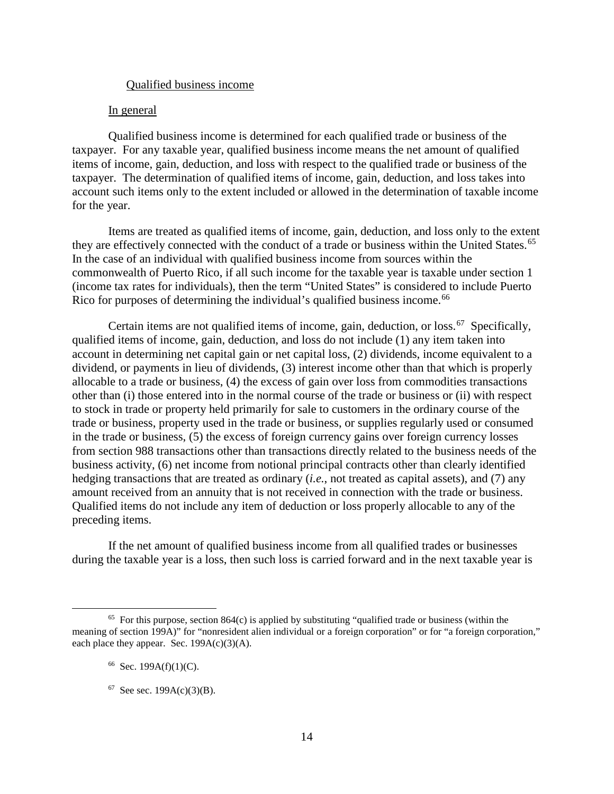### Qualified business income

#### In general

Qualified business income is determined for each qualified trade or business of the taxpayer. For any taxable year, qualified business income means the net amount of qualified items of income, gain, deduction, and loss with respect to the qualified trade or business of the taxpayer. The determination of qualified items of income, gain, deduction, and loss takes into account such items only to the extent included or allowed in the determination of taxable income for the year.

Items are treated as qualified items of income, gain, deduction, and loss only to the extent they are effectively connected with the conduct of a trade or business within the United States.<sup>65</sup> In the case of an individual with qualified business income from sources within the commonwealth of Puerto Rico, if all such income for the taxable year is taxable under section 1 (income tax rates for individuals), then the term "United States" is considered to include Puerto Rico for purposes of determining the individual's qualified business income.<sup>[66](#page-15-1)</sup>

Certain items are not qualified items of income, gain, deduction, or loss.<sup>67</sup> Specifically, qualified items of income, gain, deduction, and loss do not include (1) any item taken into account in determining net capital gain or net capital loss, (2) dividends, income equivalent to a dividend, or payments in lieu of dividends, (3) interest income other than that which is properly allocable to a trade or business, (4) the excess of gain over loss from commodities transactions other than (i) those entered into in the normal course of the trade or business or (ii) with respect to stock in trade or property held primarily for sale to customers in the ordinary course of the trade or business, property used in the trade or business, or supplies regularly used or consumed in the trade or business, (5) the excess of foreign currency gains over foreign currency losses from section 988 transactions other than transactions directly related to the business needs of the business activity, (6) net income from notional principal contracts other than clearly identified hedging transactions that are treated as ordinary (*i.e.*, not treated as capital assets), and (7) any amount received from an annuity that is not received in connection with the trade or business. Qualified items do not include any item of deduction or loss properly allocable to any of the preceding items.

If the net amount of qualified business income from all qualified trades or businesses during the taxable year is a loss, then such loss is carried forward and in the next taxable year is

<span id="page-15-2"></span><span id="page-15-1"></span><span id="page-15-0"></span> $65$  For this purpose, section 864(c) is applied by substituting "qualified trade or business (within the meaning of section 199A)" for "nonresident alien individual or a foreign corporation" or for "a foreign corporation," each place they appear. Sec.  $199A(c)(3)(A)$ .

 $66$  Sec. 199A(f)(1)(C).

 $67$  See sec. 199A(c)(3)(B).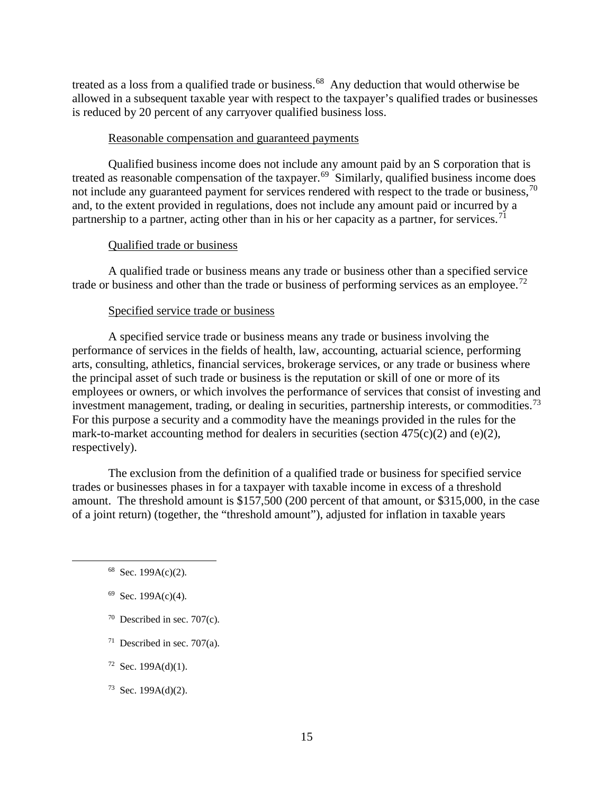treated as a loss from a qualified trade or business.<sup>[68](#page-16-0)</sup> Any deduction that would otherwise be allowed in a subsequent taxable year with respect to the taxpayer's qualified trades or businesses is reduced by 20 percent of any carryover qualified business loss.

#### Reasonable compensation and guaranteed payments

Qualified business income does not include any amount paid by an S corporation that is treated as reasonable compensation of the taxpayer.<sup>[69](#page-16-1)</sup> Similarly, qualified business income does not include any guaranteed payment for services rendered with respect to the trade or business,<sup>[70](#page-16-2)</sup> and, to the extent provided in regulations, does not include any amount paid or incurred by a partnership to a partner, acting other than in his or her capacity as a partner, for services.<sup>[71](#page-16-3)</sup>

### Qualified trade or business

A qualified trade or business means any trade or business other than a specified service trade or business and other than the trade or business of performing services as an employee.<sup>[72](#page-16-4)</sup>

#### Specified service trade or business

A specified service trade or business means any trade or business involving the performance of services in the fields of health, law, accounting, actuarial science, performing arts, consulting, athletics, financial services, brokerage services, or any trade or business where the principal asset of such trade or business is the reputation or skill of one or more of its employees or owners, or which involves the performance of services that consist of investing and investment management, trading, or dealing in securities, partnership interests, or commodities.<sup>73</sup> For this purpose a security and a commodity have the meanings provided in the rules for the mark-to-market accounting method for dealers in securities (section  $475(c)(2)$  and (e)(2), respectively).

The exclusion from the definition of a qualified trade or business for specified service trades or businesses phases in for a taxpayer with taxable income in excess of a threshold amount. The threshold amount is \$157,500 (200 percent of that amount, or \$315,000, in the case of a joint return) (together, the "threshold amount"), adjusted for inflation in taxable years

- <span id="page-16-1"></span> $69$  Sec. 199A(c)(4).
- <span id="page-16-2"></span> $70$  Described in sec.  $707(c)$ .
- <span id="page-16-3"></span> $71$  Described in sec. 707(a).
- <span id="page-16-4"></span> $72$  Sec. 199A(d)(1).
- <span id="page-16-5"></span> $73$  Sec. 199A(d)(2).

<span id="page-16-0"></span> <sup>68</sup> Sec. 199A(c)(2).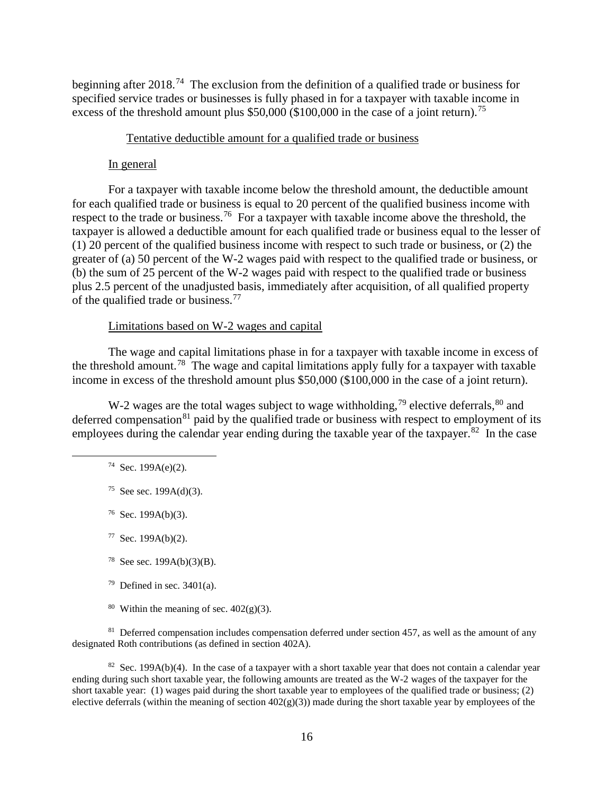beginning after 2018.<sup>74</sup> The exclusion from the definition of a qualified trade or business for specified service trades or businesses is fully phased in for a taxpayer with taxable income in excess of the threshold amount plus  $$50,000$  (\$100,000 in the case of a joint return).<sup>[75](#page-17-1)</sup>

#### Tentative deductible amount for a qualified trade or business

#### In general

For a taxpayer with taxable income below the threshold amount, the deductible amount for each qualified trade or business is equal to 20 percent of the qualified business income with respect to the trade or business.<sup>[76](#page-17-2)</sup> For a taxpayer with taxable income above the threshold, the taxpayer is allowed a deductible amount for each qualified trade or business equal to the lesser of (1) 20 percent of the qualified business income with respect to such trade or business, or (2) the greater of (a) 50 percent of the W-2 wages paid with respect to the qualified trade or business, or (b) the sum of 25 percent of the W-2 wages paid with respect to the qualified trade or business plus 2.5 percent of the unadjusted basis, immediately after acquisition, of all qualified property of the qualified trade or business.<sup>77</sup>

#### Limitations based on W-2 wages and capital

The wage and capital limitations phase in for a taxpayer with taxable income in excess of the threshold amount.<sup>[78](#page-17-4)</sup> The wage and capital limitations apply fully for a taxpayer with taxable income in excess of the threshold amount plus \$50,000 (\$100,000 in the case of a joint return).

<span id="page-17-0"></span>W-2 wages are the total wages subject to wage withholding,<sup>[79](#page-17-5)</sup> elective deferrals, $80$  and deferred compensation $81$  paid by the qualified trade or business with respect to employment of its employees during the calendar year ending during the taxable year of the taxpayer.<sup>[82](#page-17-8)</sup> In the case

- <sup>78</sup> See sec.  $199A(b)(3)(B)$ .
- $79$  Defined in sec. 3401(a).
- <sup>80</sup> Within the meaning of sec.  $402(g)(3)$ .

<span id="page-17-7"></span><span id="page-17-6"></span><span id="page-17-5"></span><span id="page-17-4"></span> $81$  Deferred compensation includes compensation deferred under section 457, as well as the amount of any designated Roth contributions (as defined in section 402A).

<span id="page-17-8"></span><sup>82</sup> Sec. 199A(b)(4). In the case of a taxpayer with a short taxable year that does not contain a calendar year ending during such short taxable year, the following amounts are treated as the W-2 wages of the taxpayer for the short taxable year: (1) wages paid during the short taxable year to employees of the qualified trade or business; (2) elective deferrals (within the meaning of section  $402(g)(3)$ ) made during the short taxable year by employees of the

 $74$  Sec. 199A(e)(2).

<span id="page-17-1"></span><sup>75</sup> See sec.  $199A(d)(3)$ .

<span id="page-17-2"></span> $76$  Sec. 199A(b)(3).

<span id="page-17-3"></span> $77$  Sec. 199A(b)(2).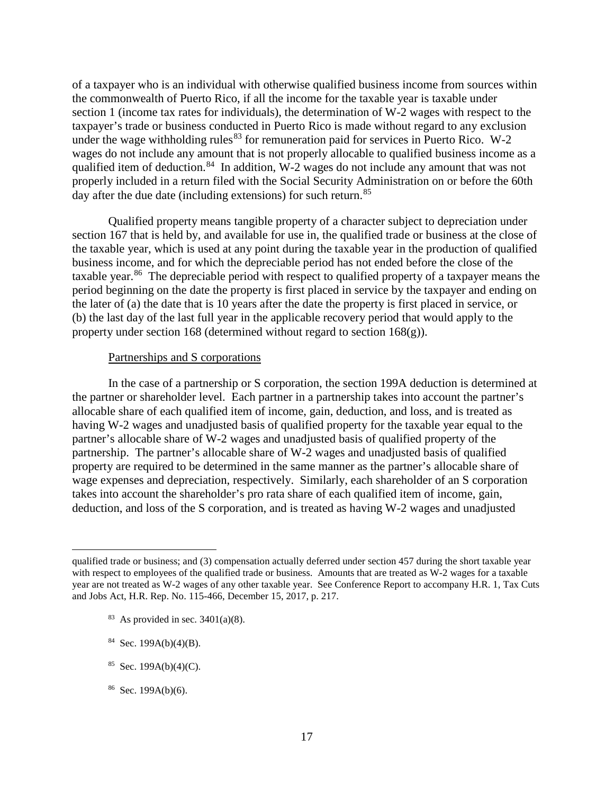of a taxpayer who is an individual with otherwise qualified business income from sources within the commonwealth of Puerto Rico, if all the income for the taxable year is taxable under section 1 (income tax rates for individuals), the determination of W-2 wages with respect to the taxpayer's trade or business conducted in Puerto Rico is made without regard to any exclusion under the wage withholding rules  $83$  for remuneration paid for services in Puerto Rico. W-2 wages do not include any amount that is not properly allocable to qualified business income as a qualified item of deduction.<sup>84</sup> In addition, W-2 wages do not include any amount that was not properly included in a return filed with the Social Security Administration on or before the 60th day after the due date (including extensions) for such return.<sup>85</sup>

Qualified property means tangible property of a character subject to depreciation under section 167 that is held by, and available for use in, the qualified trade or business at the close of the taxable year, which is used at any point during the taxable year in the production of qualified business income, and for which the depreciable period has not ended before the close of the taxable year.<sup>86</sup> The depreciable period with respect to qualified property of a taxpayer means the period beginning on the date the property is first placed in service by the taxpayer and ending on the later of (a) the date that is 10 years after the date the property is first placed in service, or (b) the last day of the last full year in the applicable recovery period that would apply to the property under section 168 (determined without regard to section  $168(g)$ ).

#### Partnerships and S corporations

In the case of a partnership or S corporation, the section 199A deduction is determined at the partner or shareholder level. Each partner in a partnership takes into account the partner's allocable share of each qualified item of income, gain, deduction, and loss, and is treated as having W-2 wages and unadjusted basis of qualified property for the taxable year equal to the partner's allocable share of W-2 wages and unadjusted basis of qualified property of the partnership. The partner's allocable share of W-2 wages and unadjusted basis of qualified property are required to be determined in the same manner as the partner's allocable share of wage expenses and depreciation, respectively. Similarly, each shareholder of an S corporation takes into account the shareholder's pro rata share of each qualified item of income, gain, deduction, and loss of the S corporation, and is treated as having W-2 wages and unadjusted

- $83$  As provided in sec. 3401(a)(8).
- <span id="page-18-1"></span> $84$  Sec. 199A(b)(4)(B).

 $\overline{a}$ 

- <span id="page-18-2"></span> $85$  Sec. 199A(b)(4)(C).
- <span id="page-18-3"></span> $86$  Sec. 199A(b)(6).

<span id="page-18-0"></span>qualified trade or business; and (3) compensation actually deferred under section 457 during the short taxable year with respect to employees of the qualified trade or business. Amounts that are treated as W-2 wages for a taxable year are not treated as W-2 wages of any other taxable year. See Conference Report to accompany H.R. 1, Tax Cuts and Jobs Act, H.R. Rep. No. 115-466, December 15, 2017, p. 217.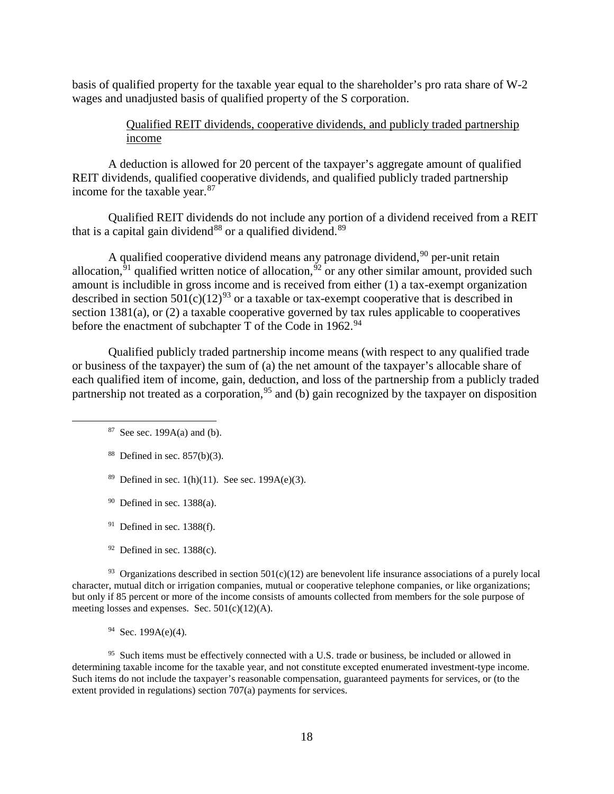basis of qualified property for the taxable year equal to the shareholder's pro rata share of W-2 wages and unadjusted basis of qualified property of the S corporation.

## Qualified REIT dividends, cooperative dividends, and publicly traded partnership income

A deduction is allowed for 20 percent of the taxpayer's aggregate amount of qualified REIT dividends, qualified cooperative dividends, and qualified publicly traded partnership income for the taxable year.<sup>[87](#page-19-0)</sup>

Qualified REIT dividends do not include any portion of a dividend received from a REIT that is a capital gain dividend<sup>[88](#page-19-1)</sup> or a qualified dividend.<sup>[89](#page-19-2)</sup>

A qualified cooperative dividend means any patronage dividend,  $90$  per-unit retain allocation,  $91$  qualified written notice of allocation,  $92$  or any other similar amount, provided such amount is includible in gross income and is received from either (1) a tax-exempt organization described in section  $501(c)(12)^{93}$  $501(c)(12)^{93}$  $501(c)(12)^{93}$  or a taxable or tax-exempt cooperative that is described in section 1381(a), or (2) a taxable cooperative governed by tax rules applicable to cooperatives before the enactment of subchapter T of the Code in 1962.<sup>[94](#page-19-7)</sup>

<span id="page-19-0"></span>Qualified publicly traded partnership income means (with respect to any qualified trade or business of the taxpayer) the sum of (a) the net amount of the taxpayer's allocable share of each qualified item of income, gain, deduction, and loss of the partnership from a publicly traded partnership not treated as a corporation,  $95$  and (b) gain recognized by the taxpayer on disposition

- <span id="page-19-1"></span> $88$  Defined in sec.  $857(b)(3)$ .
- <span id="page-19-2"></span><sup>89</sup> Defined in sec. 1(h)(11). See sec. 199A(e)(3).
- $90$  Defined in sec. 1388(a).
- $91$  Defined in sec. 1388(f).
- $92$  Defined in sec. 1388(c).

<span id="page-19-6"></span><span id="page-19-5"></span><span id="page-19-4"></span><span id="page-19-3"></span><sup>93</sup> Organizations described in section  $501(c)(12)$  are benevolent life insurance associations of a purely local character, mutual ditch or irrigation companies, mutual or cooperative telephone companies, or like organizations; but only if 85 percent or more of the income consists of amounts collected from members for the sole purpose of meeting losses and expenses. Sec.  $501(c)(12)(A)$ .

 $94$  Sec. 199A(e)(4).

<span id="page-19-8"></span><span id="page-19-7"></span><sup>95</sup> Such items must be effectively connected with a U.S. trade or business, be included or allowed in determining taxable income for the taxable year, and not constitute excepted enumerated investment-type income. Such items do not include the taxpayer's reasonable compensation, guaranteed payments for services, or (to the extent provided in regulations) section 707(a) payments for services.

 $87$  See sec. 199A(a) and (b).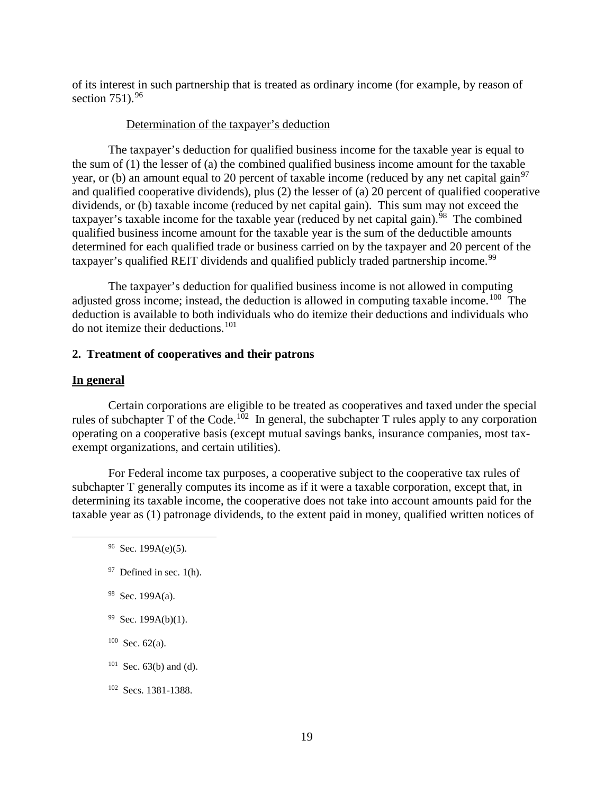of its interest in such partnership that is treated as ordinary income (for example, by reason of section  $751$ ).  $96$ 

## Determination of the taxpayer's deduction

The taxpayer's deduction for qualified business income for the taxable year is equal to the sum of (1) the lesser of (a) the combined qualified business income amount for the taxable year, or (b) an amount equal to 20 percent of taxable income (reduced by any net capital gain<sup>[97](#page-20-1)</sup> and qualified cooperative dividends), plus (2) the lesser of (a) 20 percent of qualified cooperative dividends, or (b) taxable income (reduced by net capital gain). This sum may not exceed the taxpayer's taxable income for the taxable year (reduced by net capital gain).<sup>98</sup> The combined qualified business income amount for the taxable year is the sum of the deductible amounts determined for each qualified trade or business carried on by the taxpayer and 20 percent of the taxpayer's qualified REIT dividends and qualified publicly traded partnership income.<sup>[99](#page-20-3)</sup>

The taxpayer's deduction for qualified business income is not allowed in computing adjusted gross income; instead, the deduction is allowed in computing taxable income.<sup>[100](#page-20-4)</sup> The deduction is available to both individuals who do itemize their deductions and individuals who do not itemize their deductions.[101](#page-20-5)

#### **2. Treatment of cooperatives and their patrons**

#### **In general**

Certain corporations are eligible to be treated as cooperatives and taxed under the special rules of subchapter T of the Code.<sup>[102](#page-20-6)</sup> In general, the subchapter T rules apply to any corporation operating on a cooperative basis (except mutual savings banks, insurance companies, most taxexempt organizations, and certain utilities).

<span id="page-20-0"></span>For Federal income tax purposes, a cooperative subject to the cooperative tax rules of subchapter T generally computes its income as if it were a taxable corporation, except that, in determining its taxable income, the cooperative does not take into account amounts paid for the taxable year as (1) patronage dividends, to the extent paid in money, qualified written notices of

- <span id="page-20-2"></span>98 Sec. 199A(a).
- <span id="page-20-3"></span> $99$  Sec. 199A(b)(1).
- <span id="page-20-4"></span> $100$  Sec. 62(a).
- <span id="page-20-5"></span> $101$  Sec. 63(b) and (d).
- <span id="page-20-6"></span>102 Secs. 1381-1388.

 $96$  Sec. 199A(e)(5).

<span id="page-20-1"></span> $97$  Defined in sec. 1(h).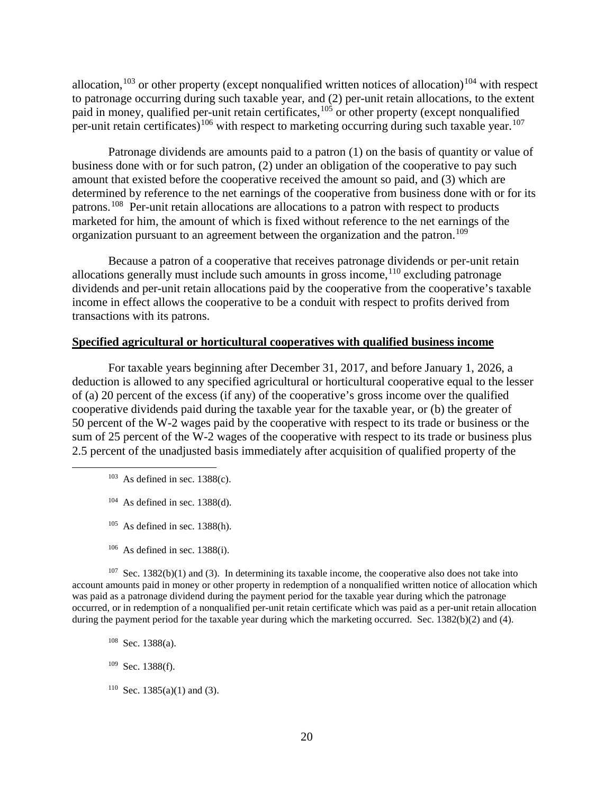allocation,  $103$  or other property (except nonqualified written notices of allocation)  $104$  with respect to patronage occurring during such taxable year, and (2) per-unit retain allocations, to the extent paid in money, qualified per-unit retain certificates,<sup>[105](#page-21-2)</sup> or other property (except nonqualified per-unit retain certificates)<sup>[106](#page-21-3)</sup> with respect to marketing occurring during such taxable year.<sup>[107](#page-21-4)</sup>

Patronage dividends are amounts paid to a patron (1) on the basis of quantity or value of business done with or for such patron, (2) under an obligation of the cooperative to pay such amount that existed before the cooperative received the amount so paid, and (3) which are determined by reference to the net earnings of the cooperative from business done with or for its patrons.[108](#page-21-5) Per-unit retain allocations are allocations to a patron with respect to products marketed for him, the amount of which is fixed without reference to the net earnings of the organization pursuant to an agreement between the organization and the patron.<sup>109</sup>

Because a patron of a cooperative that receives patronage dividends or per-unit retain allocations generally must include such amounts in gross income,  $110$  excluding patronage dividends and per-unit retain allocations paid by the cooperative from the cooperative's taxable income in effect allows the cooperative to be a conduit with respect to profits derived from transactions with its patrons.

### **Specified agricultural or horticultural cooperatives with qualified business income**

For taxable years beginning after December 31, 2017, and before January 1, 2026, a deduction is allowed to any specified agricultural or horticultural cooperative equal to the lesser of (a) 20 percent of the excess (if any) of the cooperative's gross income over the qualified cooperative dividends paid during the taxable year for the taxable year, or (b) the greater of 50 percent of the W-2 wages paid by the cooperative with respect to its trade or business or the sum of 25 percent of the W-2 wages of the cooperative with respect to its trade or business plus 2.5 percent of the unadjusted basis immediately after acquisition of qualified property of the

- <span id="page-21-0"></span> $103$  As defined in sec. 1388(c).
- $104$  As defined in sec. 1388(d).
- $105$  As defined in sec. 1388(h).
- $106$  As defined in sec. 1388(i).

<span id="page-21-5"></span><span id="page-21-4"></span><span id="page-21-3"></span><span id="page-21-2"></span><span id="page-21-1"></span> $107$  Sec. 1382(b)(1) and (3). In determining its taxable income, the cooperative also does not take into account amounts paid in money or other property in redemption of a nonqualified written notice of allocation which was paid as a patronage dividend during the payment period for the taxable year during which the patronage occurred, or in redemption of a nonqualified per-unit retain certificate which was paid as a per-unit retain allocation during the payment period for the taxable year during which the marketing occurred. Sec. 1382(b)(2) and (4).

- 108 Sec. 1388(a).
- <span id="page-21-6"></span> $109$  Sec. 1388(f).
- <span id="page-21-7"></span><sup>110</sup> Sec. 1385(a)(1) and (3).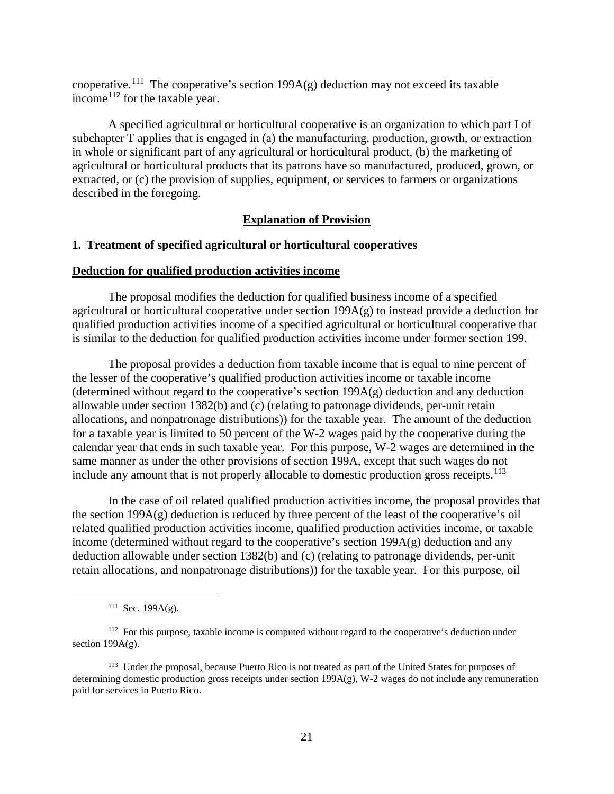cooperative.<sup>111</sup> The cooperative's section 199A(g) deduction may not exceed its taxable income[112](#page-22-1) for the taxable year.

A specified agricultural or horticultural cooperative is an organization to which part I of subchapter T applies that is engaged in (a) the manufacturing, production, growth, or extraction in whole or significant part of any agricultural or horticultural product, (b) the marketing of agricultural or horticultural products that its patrons have so manufactured, produced, grown, or extracted, or (c) the provision of supplies, equipment, or services to farmers or organizations described in the foregoing.

### **Explanation of Provision**

#### **1. Treatment of specified agricultural or horticultural cooperatives**

#### **Deduction for qualified production activities income**

The proposal modifies the deduction for qualified business income of a specified agricultural or horticultural cooperative under section 199A(g) to instead provide a deduction for qualified production activities income of a specified agricultural or horticultural cooperative that is similar to the deduction for qualified production activities income under former section 199.

The proposal provides a deduction from taxable income that is equal to nine percent of the lesser of the cooperative's qualified production activities income or taxable income (determined without regard to the cooperative's section  $199A(g)$  deduction and any deduction allowable under section 1382(b) and (c) (relating to patronage dividends, per-unit retain allocations, and nonpatronage distributions)) for the taxable year. The amount of the deduction for a taxable year is limited to 50 percent of the W-2 wages paid by the cooperative during the calendar year that ends in such taxable year. For this purpose, W-2 wages are determined in the same manner as under the other provisions of section 199A, except that such wages do not include any amount that is not properly allocable to domestic production gross receipts.<sup>[113](#page-22-2)</sup>

In the case of oil related qualified production activities income, the proposal provides that the section  $199A(g)$  deduction is reduced by three percent of the least of the cooperative's oil related qualified production activities income, qualified production activities income, or taxable income (determined without regard to the cooperative's section 199A(g) deduction and any deduction allowable under section 1382(b) and (c) (relating to patronage dividends, per-unit retain allocations, and nonpatronage distributions)) for the taxable year. For this purpose, oil

<sup>&</sup>lt;sup>111</sup> Sec. 199A(g).

<span id="page-22-1"></span><span id="page-22-0"></span><sup>&</sup>lt;sup>112</sup> For this purpose, taxable income is computed without regard to the cooperative's deduction under section  $199A(g)$ .

<span id="page-22-2"></span><sup>113</sup> Under the proposal, because Puerto Rico is not treated as part of the United States for purposes of determining domestic production gross receipts under section 199A(g), W-2 wages do not include any remuneration paid for services in Puerto Rico.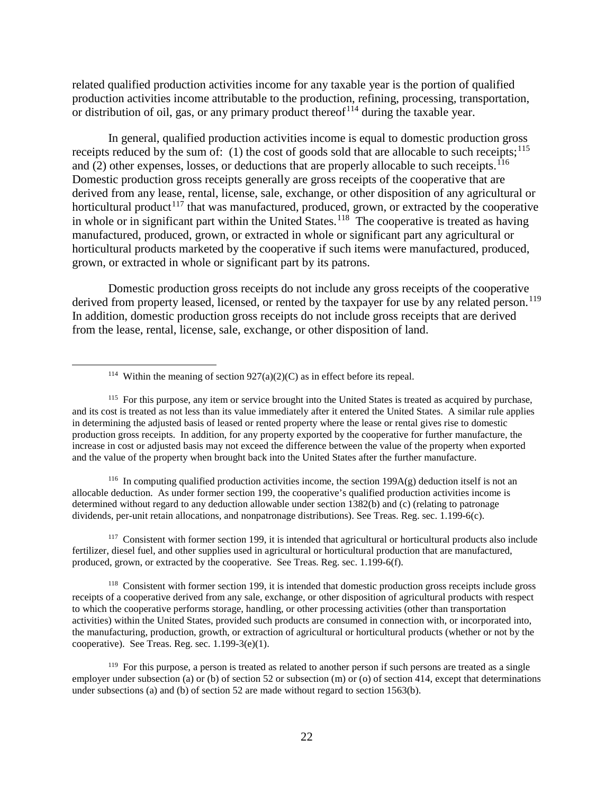related qualified production activities income for any taxable year is the portion of qualified production activities income attributable to the production, refining, processing, transportation, or distribution of oil, gas, or any primary product thereof<sup> $114$ </sup> during the taxable year.

In general, qualified production activities income is equal to domestic production gross receipts reduced by the sum of: (1) the cost of goods sold that are allocable to such receipts;<sup>[115](#page-23-1)</sup> and  $(2)$  other expenses, losses, or deductions that are properly allocable to such receipts.<sup>[116](#page-23-2)</sup> Domestic production gross receipts generally are gross receipts of the cooperative that are derived from any lease, rental, license, sale, exchange, or other disposition of any agricultural or horticultural product<sup>[117](#page-23-3)</sup> that was manufactured, produced, grown, or extracted by the cooperative in whole or in significant part within the United States.<sup>[118](#page-23-4)</sup> The cooperative is treated as having manufactured, produced, grown, or extracted in whole or significant part any agricultural or horticultural products marketed by the cooperative if such items were manufactured, produced, grown, or extracted in whole or significant part by its patrons.

Domestic production gross receipts do not include any gross receipts of the cooperative derived from property leased, licensed, or rented by the taxpayer for use by any related person.<sup>[119](#page-23-5)</sup> In addition, domestic production gross receipts do not include gross receipts that are derived from the lease, rental, license, sale, exchange, or other disposition of land.

<span id="page-23-2"></span><sup>116</sup> In computing qualified production activities income, the section 199A(g) deduction itself is not an allocable deduction. As under former section 199, the cooperative's qualified production activities income is determined without regard to any deduction allowable under section 1382(b) and (c) (relating to patronage dividends, per-unit retain allocations, and nonpatronage distributions). See Treas. Reg. sec. 1.199-6(c).

<span id="page-23-3"></span> $117$  Consistent with former section 199, it is intended that agricultural or horticultural products also include fertilizer, diesel fuel, and other supplies used in agricultural or horticultural production that are manufactured, produced, grown, or extracted by the cooperative. See Treas. Reg. sec. 1.199-6(f).

<span id="page-23-4"></span><sup>118</sup> Consistent with former section 199, it is intended that domestic production gross receipts include gross receipts of a cooperative derived from any sale, exchange, or other disposition of agricultural products with respect to which the cooperative performs storage, handling, or other processing activities (other than transportation activities) within the United States, provided such products are consumed in connection with, or incorporated into, the manufacturing, production, growth, or extraction of agricultural or horticultural products (whether or not by the cooperative). See Treas. Reg. sec. 1.199-3(e)(1).

<sup>&</sup>lt;sup>114</sup> Within the meaning of section  $927(a)(2)(C)$  as in effect before its repeal.

<span id="page-23-1"></span><span id="page-23-0"></span><sup>&</sup>lt;sup>115</sup> For this purpose, any item or service brought into the United States is treated as acquired by purchase, and its cost is treated as not less than its value immediately after it entered the United States. A similar rule applies in determining the adjusted basis of leased or rented property where the lease or rental gives rise to domestic production gross receipts. In addition, for any property exported by the cooperative for further manufacture, the increase in cost or adjusted basis may not exceed the difference between the value of the property when exported and the value of the property when brought back into the United States after the further manufacture.

<span id="page-23-5"></span><sup>&</sup>lt;sup>119</sup> For this purpose, a person is treated as related to another person if such persons are treated as a single employer under subsection (a) or (b) of section 52 or subsection (m) or (o) of section 414, except that determinations under subsections (a) and (b) of section 52 are made without regard to section 1563(b).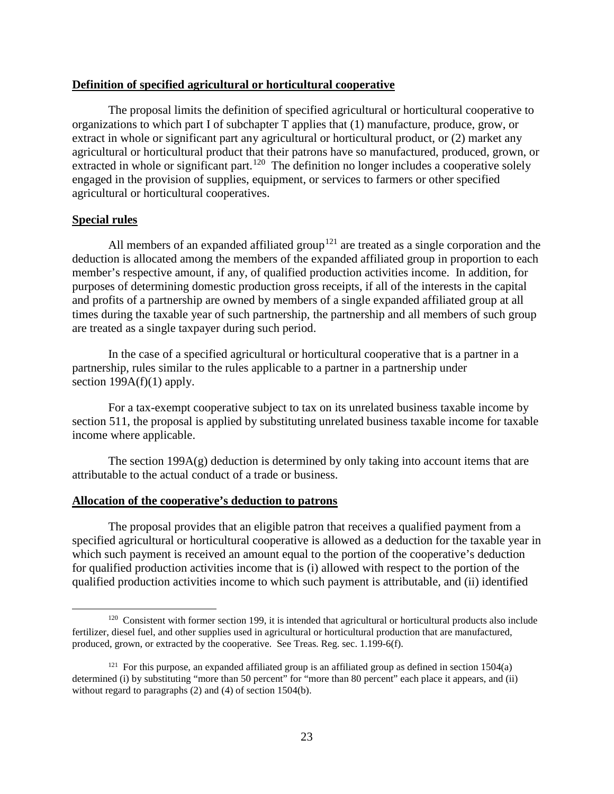### **Definition of specified agricultural or horticultural cooperative**

The proposal limits the definition of specified agricultural or horticultural cooperative to organizations to which part I of subchapter T applies that (1) manufacture, produce, grow, or extract in whole or significant part any agricultural or horticultural product, or (2) market any agricultural or horticultural product that their patrons have so manufactured, produced, grown, or extracted in whole or significant part.<sup>120</sup> The definition no longer includes a cooperative solely engaged in the provision of supplies, equipment, or services to farmers or other specified agricultural or horticultural cooperatives.

### **Special rules**

All members of an expanded affiliated group<sup>[121](#page-24-1)</sup> are treated as a single corporation and the deduction is allocated among the members of the expanded affiliated group in proportion to each member's respective amount, if any, of qualified production activities income. In addition, for purposes of determining domestic production gross receipts, if all of the interests in the capital and profits of a partnership are owned by members of a single expanded affiliated group at all times during the taxable year of such partnership, the partnership and all members of such group are treated as a single taxpayer during such period.

In the case of a specified agricultural or horticultural cooperative that is a partner in a partnership, rules similar to the rules applicable to a partner in a partnership under section  $199A(f)(1)$  apply.

For a tax-exempt cooperative subject to tax on its unrelated business taxable income by section 511, the proposal is applied by substituting unrelated business taxable income for taxable income where applicable.

The section  $199A(g)$  deduction is determined by only taking into account items that are attributable to the actual conduct of a trade or business.

### **Allocation of the cooperative's deduction to patrons**

The proposal provides that an eligible patron that receives a qualified payment from a specified agricultural or horticultural cooperative is allowed as a deduction for the taxable year in which such payment is received an amount equal to the portion of the cooperative's deduction for qualified production activities income that is (i) allowed with respect to the portion of the qualified production activities income to which such payment is attributable, and (ii) identified

<span id="page-24-0"></span><sup>&</sup>lt;sup>120</sup> Consistent with former section 199, it is intended that agricultural or horticultural products also include fertilizer, diesel fuel, and other supplies used in agricultural or horticultural production that are manufactured, produced, grown, or extracted by the cooperative. See Treas. Reg. sec. 1.199-6(f).

<span id="page-24-1"></span><sup>&</sup>lt;sup>121</sup> For this purpose, an expanded affiliated group is an affiliated group as defined in section  $1504(a)$ determined (i) by substituting "more than 50 percent" for "more than 80 percent" each place it appears, and (ii) without regard to paragraphs (2) and (4) of section 1504(b).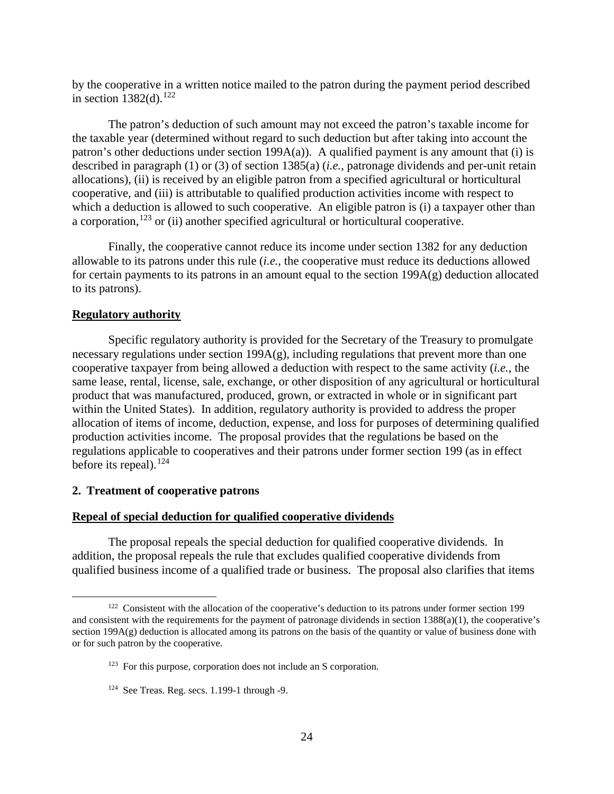by the cooperative in a written notice mailed to the patron during the payment period described in section  $1382(d)$ .<sup>[122](#page-25-0)</sup>

The patron's deduction of such amount may not exceed the patron's taxable income for the taxable year (determined without regard to such deduction but after taking into account the patron's other deductions under section  $199A(a)$ ). A qualified payment is any amount that (i) is described in paragraph (1) or (3) of section 1385(a) (*i.e.*, patronage dividends and per-unit retain allocations), (ii) is received by an eligible patron from a specified agricultural or horticultural cooperative, and (iii) is attributable to qualified production activities income with respect to which a deduction is allowed to such cooperative. An eligible patron is (i) a taxpayer other than a corporation,<sup>[123](#page-25-1)</sup> or (ii) another specified agricultural or horticultural cooperative.

Finally, the cooperative cannot reduce its income under section 1382 for any deduction allowable to its patrons under this rule (*i.e.*, the cooperative must reduce its deductions allowed for certain payments to its patrons in an amount equal to the section 199A(g) deduction allocated to its patrons).

### **Regulatory authority**

Specific regulatory authority is provided for the Secretary of the Treasury to promulgate necessary regulations under section  $199A(g)$ , including regulations that prevent more than one cooperative taxpayer from being allowed a deduction with respect to the same activity (*i.e.*, the same lease, rental, license, sale, exchange, or other disposition of any agricultural or horticultural product that was manufactured, produced, grown, or extracted in whole or in significant part within the United States). In addition, regulatory authority is provided to address the proper allocation of items of income, deduction, expense, and loss for purposes of determining qualified production activities income. The proposal provides that the regulations be based on the regulations applicable to cooperatives and their patrons under former section 199 (as in effect before its repeal).<sup>[124](#page-25-2)</sup>

### **2. Treatment of cooperative patrons**

### **Repeal of special deduction for qualified cooperative dividends**

The proposal repeals the special deduction for qualified cooperative dividends. In addition, the proposal repeals the rule that excludes qualified cooperative dividends from qualified business income of a qualified trade or business. The proposal also clarifies that items

<span id="page-25-1"></span><span id="page-25-0"></span><sup>&</sup>lt;sup>122</sup> Consistent with the allocation of the cooperative's deduction to its patrons under former section 199 and consistent with the requirements for the payment of patronage dividends in section 1388(a)(1), the cooperative's section  $199A(g)$  deduction is allocated among its patrons on the basis of the quantity or value of business done with or for such patron by the cooperative.

<sup>123</sup> For this purpose, corporation does not include an S corporation.

<span id="page-25-2"></span><sup>124</sup> See Treas. Reg. secs. 1.199-1 through -9.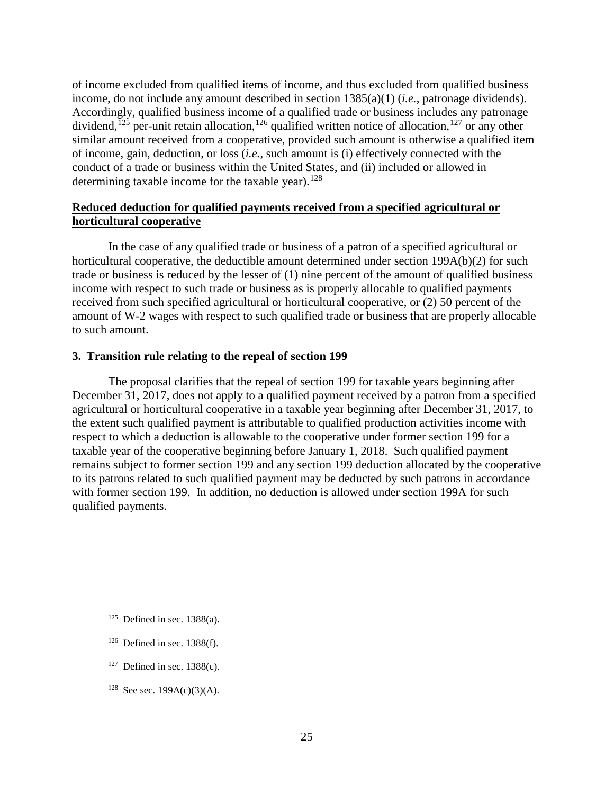of income excluded from qualified items of income, and thus excluded from qualified business income, do not include any amount described in section 1385(a)(1) (*i.e.*, patronage dividends). Accordingly, qualified business income of a qualified trade or business includes any patronage dividend,<sup> $125$ </sup> per-unit retain allocation,<sup>[126](#page-26-1)</sup> qualified written notice of allocation,<sup>[127](#page-26-2)</sup> or any other similar amount received from a cooperative, provided such amount is otherwise a qualified item of income, gain, deduction, or loss (*i.e.*, such amount is (i) effectively connected with the conduct of a trade or business within the United States, and (ii) included or allowed in determining taxable income for the taxable year).<sup>[128](#page-26-3)</sup>

## **Reduced deduction for qualified payments received from a specified agricultural or horticultural cooperative**

In the case of any qualified trade or business of a patron of a specified agricultural or horticultural cooperative, the deductible amount determined under section 199A(b)(2) for such trade or business is reduced by the lesser of (1) nine percent of the amount of qualified business income with respect to such trade or business as is properly allocable to qualified payments received from such specified agricultural or horticultural cooperative, or (2) 50 percent of the amount of W-2 wages with respect to such qualified trade or business that are properly allocable to such amount.

## **3. Transition rule relating to the repeal of section 199**

The proposal clarifies that the repeal of section 199 for taxable years beginning after December 31, 2017, does not apply to a qualified payment received by a patron from a specified agricultural or horticultural cooperative in a taxable year beginning after December 31, 2017, to the extent such qualified payment is attributable to qualified production activities income with respect to which a deduction is allowable to the cooperative under former section 199 for a taxable year of the cooperative beginning before January 1, 2018. Such qualified payment remains subject to former section 199 and any section 199 deduction allocated by the cooperative to its patrons related to such qualified payment may be deducted by such patrons in accordance with former section 199. In addition, no deduction is allowed under section 199A for such qualified payments.

<span id="page-26-0"></span> $125$  Defined in sec. 1388(a).

<span id="page-26-1"></span> $126$  Defined in sec. 1388(f).

<span id="page-26-2"></span> $127$  Defined in sec. 1388(c).

<span id="page-26-3"></span><sup>&</sup>lt;sup>128</sup> See sec. 199A(c)(3)(A).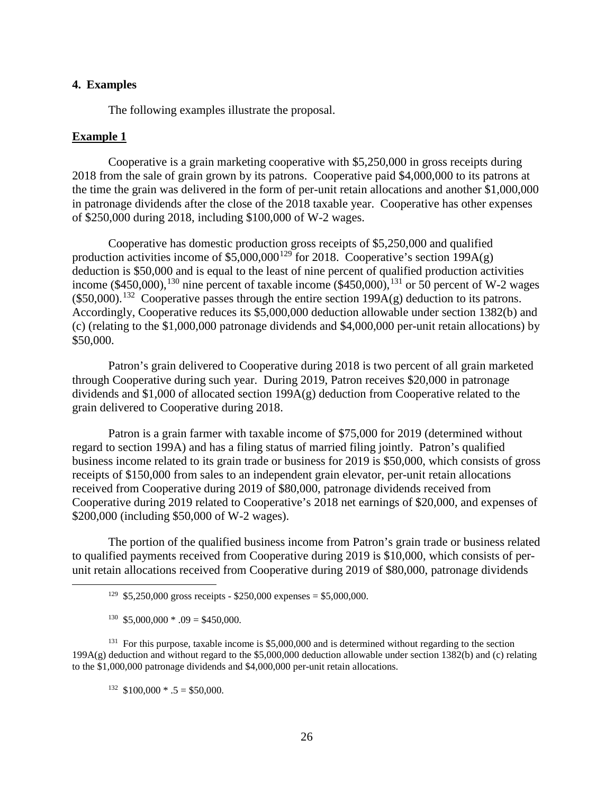#### **4. Examples**

The following examples illustrate the proposal.

#### **Example 1**

Cooperative is a grain marketing cooperative with \$5,250,000 in gross receipts during 2018 from the sale of grain grown by its patrons. Cooperative paid \$4,000,000 to its patrons at the time the grain was delivered in the form of per-unit retain allocations and another \$1,000,000 in patronage dividends after the close of the 2018 taxable year. Cooperative has other expenses of \$250,000 during 2018, including \$100,000 of W-2 wages.

Cooperative has domestic production gross receipts of \$5,250,000 and qualified production activities income of  $$5,000,000^{129}$  $$5,000,000^{129}$  $$5,000,000^{129}$  for 2018. Cooperative's section 199A(g) deduction is \$50,000 and is equal to the least of nine percent of qualified production activities income (\$450,000),<sup>[130](#page-27-1)</sup> nine percent of taxable income (\$450,000),<sup>[131](#page-27-2)</sup> or 50 percent of W-2 wages  $($50,000).$ <sup>132</sup> Cooperative passes through the entire section 199A(g) deduction to its patrons. Accordingly, Cooperative reduces its \$5,000,000 deduction allowable under section 1382(b) and (c) (relating to the \$1,000,000 patronage dividends and \$4,000,000 per-unit retain allocations) by \$50,000.

Patron's grain delivered to Cooperative during 2018 is two percent of all grain marketed through Cooperative during such year. During 2019, Patron receives \$20,000 in patronage dividends and \$1,000 of allocated section 199A(g) deduction from Cooperative related to the grain delivered to Cooperative during 2018.

Patron is a grain farmer with taxable income of \$75,000 for 2019 (determined without regard to section 199A) and has a filing status of married filing jointly. Patron's qualified business income related to its grain trade or business for 2019 is \$50,000, which consists of gross receipts of \$150,000 from sales to an independent grain elevator, per-unit retain allocations received from Cooperative during 2019 of \$80,000, patronage dividends received from Cooperative during 2019 related to Cooperative's 2018 net earnings of \$20,000, and expenses of \$200,000 (including \$50,000 of W-2 wages).

The portion of the qualified business income from Patron's grain trade or business related to qualified payments received from Cooperative during 2019 is \$10,000, which consists of perunit retain allocations received from Cooperative during 2019 of \$80,000, patronage dividends

<span id="page-27-3"></span><span id="page-27-2"></span><span id="page-27-1"></span><span id="page-27-0"></span><sup>131</sup> For this purpose, taxable income is \$5,000,000 and is determined without regarding to the section 199A(g) deduction and without regard to the \$5,000,000 deduction allowable under section 1382(b) and (c) relating to the \$1,000,000 patronage dividends and \$4,000,000 per-unit retain allocations.

 $132 \quad $100,000 \quad * \quad 5 = $50,000.$ 

<sup>&</sup>lt;sup>129</sup> \$5,250,000 gross receipts - \$250,000 expenses = \$5,000,000.

 $130$  \$5,000,000  $*$  .09 = \$450,000.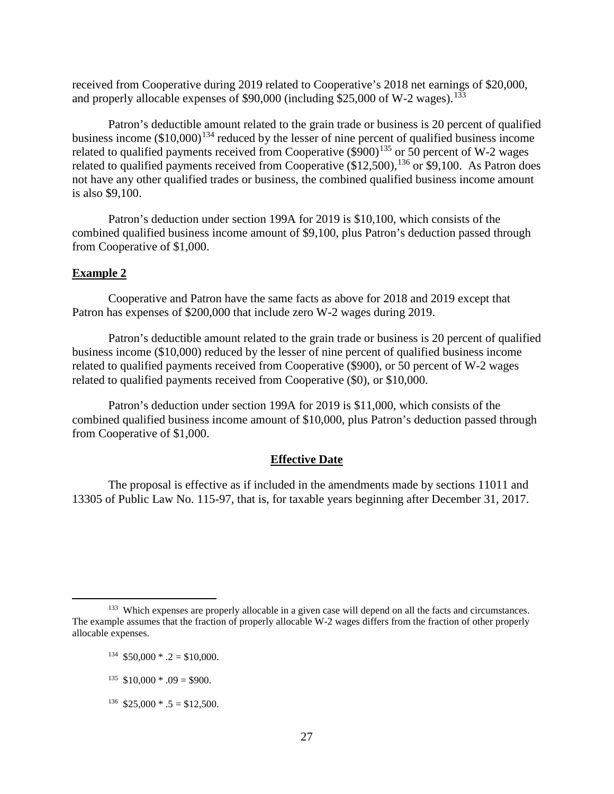received from Cooperative during 2019 related to Cooperative's 2018 net earnings of \$20,000, and properly allocable expenses of  $$90,000$  (including  $$25,000$  of W-2 wages).<sup>[133](#page-28-0)</sup>

Patron's deductible amount related to the grain trade or business is 20 percent of qualified business income  $(\$10,000)^{134}$  $(\$10,000)^{134}$  $(\$10,000)^{134}$  reduced by the lesser of nine percent of qualified business income related to qualified payments received from Cooperative  $(\$900)^{135}$  $(\$900)^{135}$  $(\$900)^{135}$  or 50 percent of W-2 wages related to qualified payments received from Cooperative  $(\$12,500)$ ,  $^{136}$  $^{136}$  $^{136}$  or  $\$9,100$ . As Patron does not have any other qualified trades or business, the combined qualified business income amount is also \$9,100.

Patron's deduction under section 199A for 2019 is \$10,100, which consists of the combined qualified business income amount of \$9,100, plus Patron's deduction passed through from Cooperative of \$1,000.

### **Example 2**

Cooperative and Patron have the same facts as above for 2018 and 2019 except that Patron has expenses of \$200,000 that include zero W-2 wages during 2019.

Patron's deductible amount related to the grain trade or business is 20 percent of qualified business income (\$10,000) reduced by the lesser of nine percent of qualified business income related to qualified payments received from Cooperative (\$900), or 50 percent of W-2 wages related to qualified payments received from Cooperative (\$0), or \$10,000.

Patron's deduction under section 199A for 2019 is \$11,000, which consists of the combined qualified business income amount of \$10,000, plus Patron's deduction passed through from Cooperative of \$1,000.

#### **Effective Date**

The proposal is effective as if included in the amendments made by sections 11011 and 13305 of Public Law No. 115-97, that is, for taxable years beginning after December 31, 2017.

<span id="page-28-3"></span> $136$  \$25,000  $*$  .5 = \$12,500.

<span id="page-28-2"></span><span id="page-28-1"></span><span id="page-28-0"></span><sup>&</sup>lt;sup>133</sup> Which expenses are properly allocable in a given case will depend on all the facts and circumstances. The example assumes that the fraction of properly allocable W-2 wages differs from the fraction of other properly allocable expenses.

 $134$  \$50,000  $\div$  .2 = \$10,000.

 $135$  \$10,000  $^*$  .09 = \$900.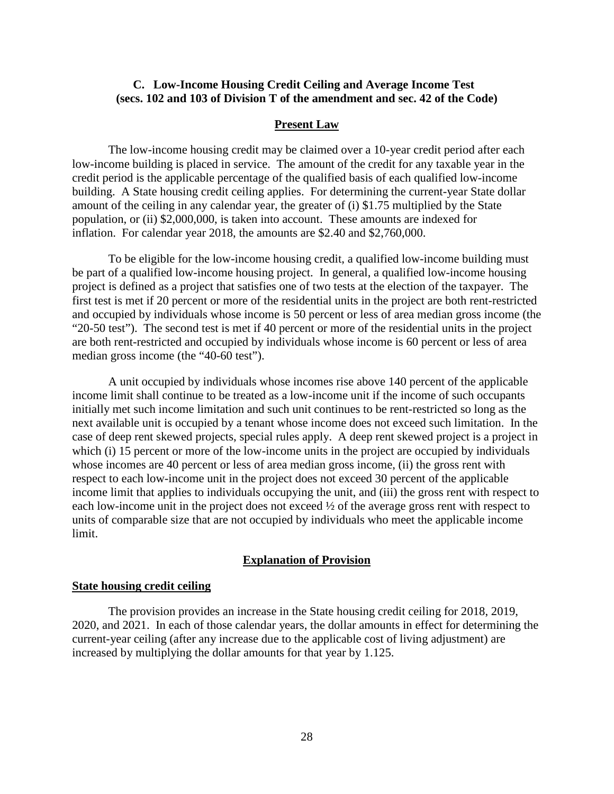## <span id="page-29-0"></span>**C. Low-Income Housing Credit Ceiling and Average Income Test (secs. 102 and 103 of Division T of the amendment and sec. 42 of the Code)**

#### **Present Law**

The low-income housing credit may be claimed over a 10-year credit period after each low-income building is placed in service. The amount of the credit for any taxable year in the credit period is the applicable percentage of the qualified basis of each qualified low-income building. A State housing credit ceiling applies. For determining the current-year State dollar amount of the ceiling in any calendar year, the greater of (i) \$1.75 multiplied by the State population, or (ii) \$2,000,000, is taken into account. These amounts are indexed for inflation. For calendar year 2018, the amounts are \$2.40 and \$2,760,000.

To be eligible for the low-income housing credit, a qualified low-income building must be part of a qualified low-income housing project. In general, a qualified low-income housing project is defined as a project that satisfies one of two tests at the election of the taxpayer. The first test is met if 20 percent or more of the residential units in the project are both rent-restricted and occupied by individuals whose income is 50 percent or less of area median gross income (the "20-50 test"). The second test is met if 40 percent or more of the residential units in the project are both rent-restricted and occupied by individuals whose income is 60 percent or less of area median gross income (the "40-60 test").

A unit occupied by individuals whose incomes rise above 140 percent of the applicable income limit shall continue to be treated as a low-income unit if the income of such occupants initially met such income limitation and such unit continues to be rent-restricted so long as the next available unit is occupied by a tenant whose income does not exceed such limitation. In the case of deep rent skewed projects, special rules apply. A deep rent skewed project is a project in which (i) 15 percent or more of the low-income units in the project are occupied by individuals whose incomes are 40 percent or less of area median gross income, (ii) the gross rent with respect to each low-income unit in the project does not exceed 30 percent of the applicable income limit that applies to individuals occupying the unit, and (iii) the gross rent with respect to each low-income unit in the project does not exceed ½ of the average gross rent with respect to units of comparable size that are not occupied by individuals who meet the applicable income limit.

### **Explanation of Provision**

## **State housing credit ceiling**

The provision provides an increase in the State housing credit ceiling for 2018, 2019, 2020, and 2021. In each of those calendar years, the dollar amounts in effect for determining the current-year ceiling (after any increase due to the applicable cost of living adjustment) are increased by multiplying the dollar amounts for that year by 1.125.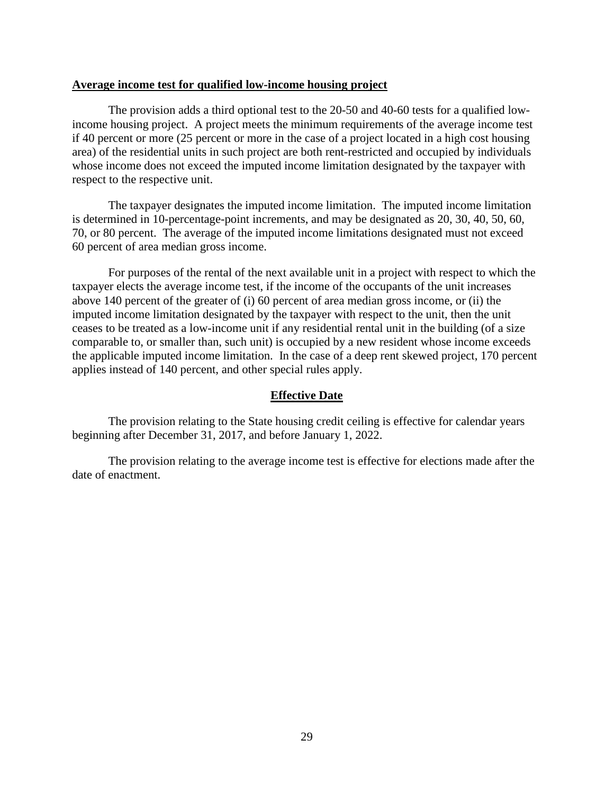### **Average income test for qualified low-income housing project**

The provision adds a third optional test to the 20-50 and 40-60 tests for a qualified lowincome housing project. A project meets the minimum requirements of the average income test if 40 percent or more (25 percent or more in the case of a project located in a high cost housing area) of the residential units in such project are both rent-restricted and occupied by individuals whose income does not exceed the imputed income limitation designated by the taxpayer with respect to the respective unit.

The taxpayer designates the imputed income limitation. The imputed income limitation is determined in 10-percentage-point increments, and may be designated as 20, 30, 40, 50, 60, 70, or 80 percent. The average of the imputed income limitations designated must not exceed 60 percent of area median gross income.

For purposes of the rental of the next available unit in a project with respect to which the taxpayer elects the average income test, if the income of the occupants of the unit increases above 140 percent of the greater of (i) 60 percent of area median gross income, or (ii) the imputed income limitation designated by the taxpayer with respect to the unit, then the unit ceases to be treated as a low-income unit if any residential rental unit in the building (of a size comparable to, or smaller than, such unit) is occupied by a new resident whose income exceeds the applicable imputed income limitation. In the case of a deep rent skewed project, 170 percent applies instead of 140 percent, and other special rules apply.

## **Effective Date**

The provision relating to the State housing credit ceiling is effective for calendar years beginning after December 31, 2017, and before January 1, 2022.

The provision relating to the average income test is effective for elections made after the date of enactment.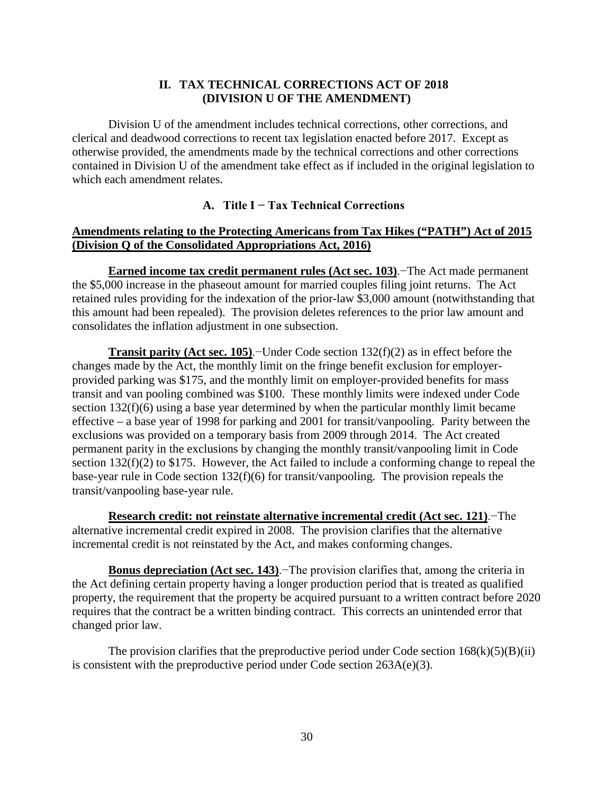# **II. TAX TECHNICAL CORRECTIONS ACT OF 2018 (DIVISION U OF THE AMENDMENT)**

<span id="page-31-0"></span>Division U of the amendment includes technical corrections, other corrections, and clerical and deadwood corrections to recent tax legislation enacted before 2017. Except as otherwise provided, the amendments made by the technical corrections and other corrections contained in Division U of the amendment take effect as if included in the original legislation to which each amendment relates.

# **A. Title I − Tax Technical Corrections**

# <span id="page-31-1"></span>**Amendments relating to the Protecting Americans from Tax Hikes ("PATH") Act of 2015 (Division Q of the Consolidated Appropriations Act, 2016)**

**Earned income tax credit permanent rules (Act sec. 103)**.−The Act made permanent the \$5,000 increase in the phaseout amount for married couples filing joint returns. The Act retained rules providing for the indexation of the prior-law \$3,000 amount (notwithstanding that this amount had been repealed). The provision deletes references to the prior law amount and consolidates the inflation adjustment in one subsection.

**Transit parity (Act sec. 105)**.−Under Code section 132(f)(2) as in effect before the changes made by the Act, the monthly limit on the fringe benefit exclusion for employerprovided parking was \$175, and the monthly limit on employer-provided benefits for mass transit and van pooling combined was \$100. These monthly limits were indexed under Code section 132(f)(6) using a base year determined by when the particular monthly limit became effective – a base year of 1998 for parking and 2001 for transit/vanpooling. Parity between the exclusions was provided on a temporary basis from 2009 through 2014. The Act created permanent parity in the exclusions by changing the monthly transit/vanpooling limit in Code section 132(f)(2) to \$175. However, the Act failed to include a conforming change to repeal the base-year rule in Code section 132(f)(6) for transit/vanpooling. The provision repeals the transit/vanpooling base-year rule.

**Research credit: not reinstate alternative incremental credit (Act sec. 121)**.−The alternative incremental credit expired in 2008. The provision clarifies that the alternative incremental credit is not reinstated by the Act, and makes conforming changes.

**Bonus depreciation (Act sec. 143)**.−The provision clarifies that, among the criteria in the Act defining certain property having a longer production period that is treated as qualified property, the requirement that the property be acquired pursuant to a written contract before 2020 requires that the contract be a written binding contract. This corrects an unintended error that changed prior law.

The provision clarifies that the preproductive period under Code section  $168(k)(5)(B)(ii)$ is consistent with the preproductive period under Code section 263A(e)(3).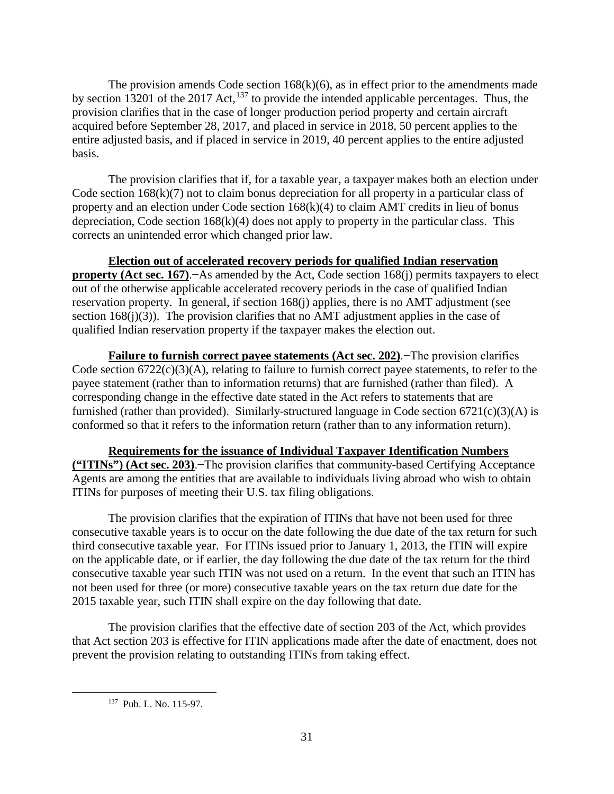The provision amends Code section  $168(k)(6)$ , as in effect prior to the amendments made by section 13201 of the 2017 Act,  $137$  to provide the intended applicable percentages. Thus, the provision clarifies that in the case of longer production period property and certain aircraft acquired before September 28, 2017, and placed in service in 2018, 50 percent applies to the entire adjusted basis, and if placed in service in 2019, 40 percent applies to the entire adjusted basis.

The provision clarifies that if, for a taxable year, a taxpayer makes both an election under Code section 168(k)(7) not to claim bonus depreciation for all property in a particular class of property and an election under Code section 168(k)(4) to claim AMT credits in lieu of bonus depreciation, Code section  $168(k)(4)$  does not apply to property in the particular class. This corrects an unintended error which changed prior law.

**Election out of accelerated recovery periods for qualified Indian reservation** 

**property (Act sec. 167).−As amended by the Act, Code section 168(j) permits taxpayers to elect** out of the otherwise applicable accelerated recovery periods in the case of qualified Indian reservation property. In general, if section 168(j) applies, there is no AMT adjustment (see section  $168(i)(3)$ ). The provision clarifies that no AMT adjustment applies in the case of qualified Indian reservation property if the taxpayer makes the election out.

**Failure to furnish correct payee statements (Act sec. 202)**.−The provision clarifies Code section  $6722(c)(3)(A)$ , relating to failure to furnish correct payee statements, to refer to the payee statement (rather than to information returns) that are furnished (rather than filed). A corresponding change in the effective date stated in the Act refers to statements that are furnished (rather than provided). Similarly-structured language in Code section  $6721(c)(3)(A)$  is conformed so that it refers to the information return (rather than to any information return).

**Requirements for the issuance of Individual Taxpayer Identification Numbers ("ITINs") (Act sec. 203)**.−The provision clarifies that community-based Certifying Acceptance Agents are among the entities that are available to individuals living abroad who wish to obtain ITINs for purposes of meeting their U.S. tax filing obligations.

The provision clarifies that the expiration of ITINs that have not been used for three consecutive taxable years is to occur on the date following the due date of the tax return for such third consecutive taxable year. For ITINs issued prior to January 1, 2013, the ITIN will expire on the applicable date, or if earlier, the day following the due date of the tax return for the third consecutive taxable year such ITIN was not used on a return. In the event that such an ITIN has not been used for three (or more) consecutive taxable years on the tax return due date for the 2015 taxable year, such ITIN shall expire on the day following that date.

<span id="page-32-0"></span>The provision clarifies that the effective date of section 203 of the Act, which provides that Act section 203 is effective for ITIN applications made after the date of enactment, does not prevent the provision relating to outstanding ITINs from taking effect.

 <sup>137</sup> Pub. L. No. 115-97.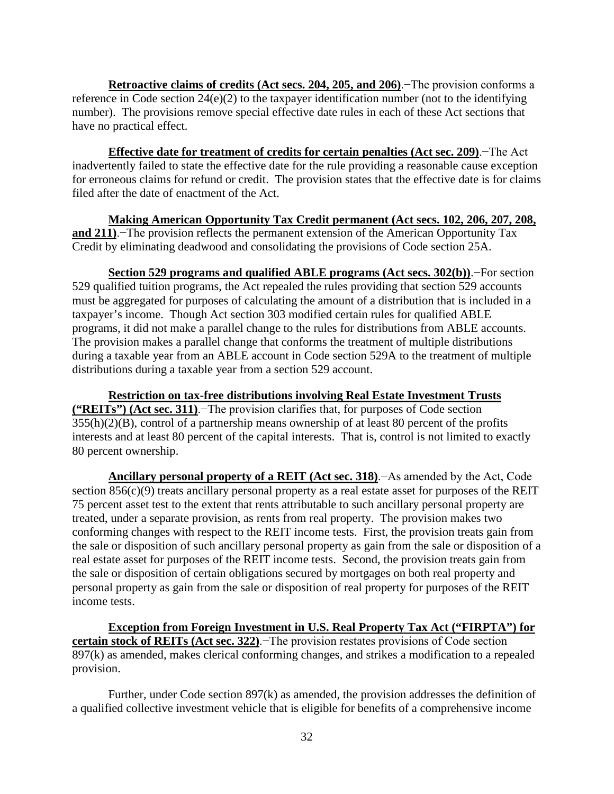**Retroactive claims of credits (Act secs. 204, 205, and 206)**.−The provision conforms a reference in Code section 24(e)(2) to the taxpayer identification number (not to the identifying number). The provisions remove special effective date rules in each of these Act sections that have no practical effect.

**Effective date for treatment of credits for certain penalties (Act sec. 209)**.−The Act inadvertently failed to state the effective date for the rule providing a reasonable cause exception for erroneous claims for refund or credit. The provision states that the effective date is for claims filed after the date of enactment of the Act.

**Making American Opportunity Tax Credit permanent (Act secs. 102, 206, 207, 208, and 211)**.−The provision reflects the permanent extension of the American Opportunity Tax Credit by eliminating deadwood and consolidating the provisions of Code section 25A.

**Section 529 programs and qualified ABLE programs (Act secs. 302(b))**.−For section 529 qualified tuition programs, the Act repealed the rules providing that section 529 accounts must be aggregated for purposes of calculating the amount of a distribution that is included in a taxpayer's income. Though Act section 303 modified certain rules for qualified ABLE programs, it did not make a parallel change to the rules for distributions from ABLE accounts. The provision makes a parallel change that conforms the treatment of multiple distributions during a taxable year from an ABLE account in Code section 529A to the treatment of multiple distributions during a taxable year from a section 529 account.

**Restriction on tax-free distributions involving Real Estate Investment Trusts ("REITs") (Act sec. 311)**.−The provision clarifies that, for purposes of Code section  $355(h)(2)(B)$ , control of a partnership means ownership of at least 80 percent of the profits interests and at least 80 percent of the capital interests. That is, control is not limited to exactly 80 percent ownership.

**Ancillary personal property of a REIT (Act sec. 318)**.−As amended by the Act, Code section 856(c)(9) treats ancillary personal property as a real estate asset for purposes of the REIT 75 percent asset test to the extent that rents attributable to such ancillary personal property are treated, under a separate provision, as rents from real property. The provision makes two conforming changes with respect to the REIT income tests. First, the provision treats gain from the sale or disposition of such ancillary personal property as gain from the sale or disposition of a real estate asset for purposes of the REIT income tests. Second, the provision treats gain from the sale or disposition of certain obligations secured by mortgages on both real property and personal property as gain from the sale or disposition of real property for purposes of the REIT income tests.

**Exception from Foreign Investment in U.S. Real Property Tax Act ("FIRPTA") for certain stock of REITs (Act sec. 322)**.−The provision restates provisions of Code section 897(k) as amended, makes clerical conforming changes, and strikes a modification to a repealed provision.

Further, under Code section 897(k) as amended, the provision addresses the definition of a qualified collective investment vehicle that is eligible for benefits of a comprehensive income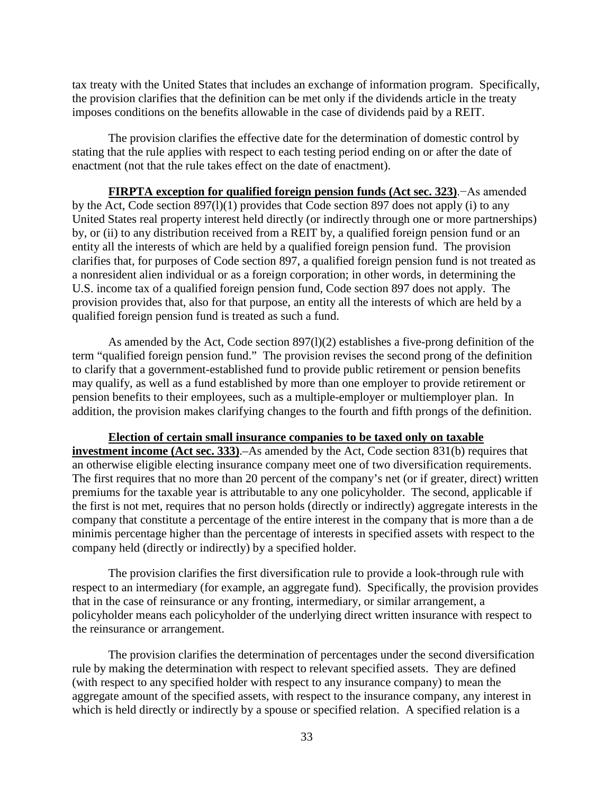tax treaty with the United States that includes an exchange of information program. Specifically, the provision clarifies that the definition can be met only if the dividends article in the treaty imposes conditions on the benefits allowable in the case of dividends paid by a REIT.

The provision clarifies the effective date for the determination of domestic control by stating that the rule applies with respect to each testing period ending on or after the date of enactment (not that the rule takes effect on the date of enactment).

**FIRPTA exception for qualified foreign pension funds (Act sec. 323)**.−As amended by the Act, Code section 897(l)(1) provides that Code section 897 does not apply (i) to any United States real property interest held directly (or indirectly through one or more partnerships) by, or (ii) to any distribution received from a REIT by, a qualified foreign pension fund or an entity all the interests of which are held by a qualified foreign pension fund. The provision clarifies that, for purposes of Code section 897, a qualified foreign pension fund is not treated as a nonresident alien individual or as a foreign corporation; in other words, in determining the U.S. income tax of a qualified foreign pension fund, Code section 897 does not apply. The provision provides that, also for that purpose, an entity all the interests of which are held by a qualified foreign pension fund is treated as such a fund.

As amended by the Act, Code section 897(l)(2) establishes a five-prong definition of the term "qualified foreign pension fund." The provision revises the second prong of the definition to clarify that a government-established fund to provide public retirement or pension benefits may qualify, as well as a fund established by more than one employer to provide retirement or pension benefits to their employees, such as a multiple-employer or multiemployer plan. In addition, the provision makes clarifying changes to the fourth and fifth prongs of the definition.

**Election of certain small insurance companies to be taxed only on taxable investment income (Act sec. 333)**.–As amended by the Act, Code section 831(b) requires that an otherwise eligible electing insurance company meet one of two diversification requirements. The first requires that no more than 20 percent of the company's net (or if greater, direct) written premiums for the taxable year is attributable to any one policyholder. The second, applicable if the first is not met, requires that no person holds (directly or indirectly) aggregate interests in the company that constitute a percentage of the entire interest in the company that is more than a de minimis percentage higher than the percentage of interests in specified assets with respect to the company held (directly or indirectly) by a specified holder.

The provision clarifies the first diversification rule to provide a look-through rule with respect to an intermediary (for example, an aggregate fund). Specifically, the provision provides that in the case of reinsurance or any fronting, intermediary, or similar arrangement, a policyholder means each policyholder of the underlying direct written insurance with respect to the reinsurance or arrangement.

The provision clarifies the determination of percentages under the second diversification rule by making the determination with respect to relevant specified assets. They are defined (with respect to any specified holder with respect to any insurance company) to mean the aggregate amount of the specified assets, with respect to the insurance company, any interest in which is held directly or indirectly by a spouse or specified relation. A specified relation is a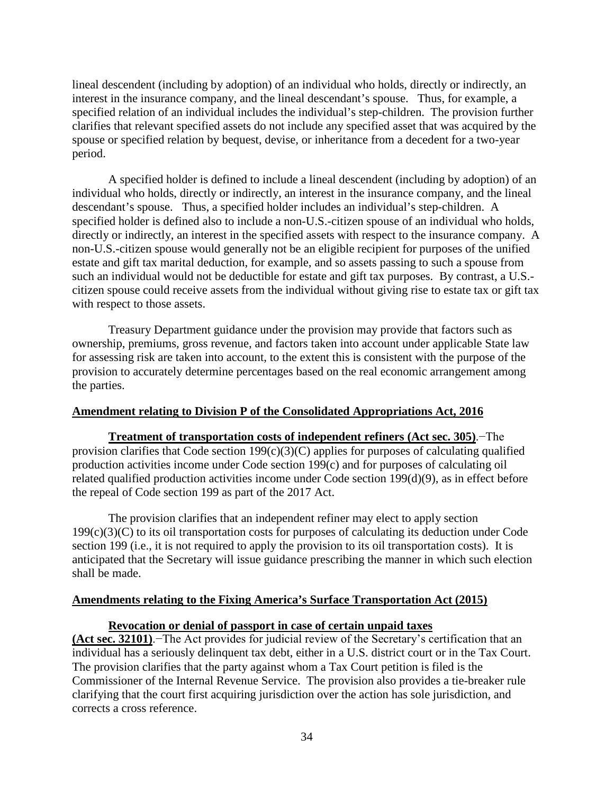lineal descendent (including by adoption) of an individual who holds, directly or indirectly, an interest in the insurance company, and the lineal descendant's spouse. Thus, for example, a specified relation of an individual includes the individual's step-children. The provision further clarifies that relevant specified assets do not include any specified asset that was acquired by the spouse or specified relation by bequest, devise, or inheritance from a decedent for a two-year period.

A specified holder is defined to include a lineal descendent (including by adoption) of an individual who holds, directly or indirectly, an interest in the insurance company, and the lineal descendant's spouse. Thus, a specified holder includes an individual's step-children. A specified holder is defined also to include a non-U.S.-citizen spouse of an individual who holds, directly or indirectly, an interest in the specified assets with respect to the insurance company. A non-U.S.-citizen spouse would generally not be an eligible recipient for purposes of the unified estate and gift tax marital deduction, for example, and so assets passing to such a spouse from such an individual would not be deductible for estate and gift tax purposes. By contrast, a U.S. citizen spouse could receive assets from the individual without giving rise to estate tax or gift tax with respect to those assets.

Treasury Department guidance under the provision may provide that factors such as ownership, premiums, gross revenue, and factors taken into account under applicable State law for assessing risk are taken into account, to the extent this is consistent with the purpose of the provision to accurately determine percentages based on the real economic arrangement among the parties.

## **Amendment relating to Division P of the Consolidated Appropriations Act, 2016**

**Treatment of transportation costs of independent refiners (Act sec. 305)**.−The provision clarifies that Code section 199(c)(3)(C) applies for purposes of calculating qualified production activities income under Code section 199(c) and for purposes of calculating oil related qualified production activities income under Code section 199(d)(9), as in effect before the repeal of Code section 199 as part of the 2017 Act.

The provision clarifies that an independent refiner may elect to apply section 199(c)(3)(C) to its oil transportation costs for purposes of calculating its deduction under Code section 199 (i.e., it is not required to apply the provision to its oil transportation costs). It is anticipated that the Secretary will issue guidance prescribing the manner in which such election shall be made.

# **Amendments relating to the Fixing America's Surface Transportation Act (2015)**

## **Revocation or denial of passport in case of certain unpaid taxes**

**(Act sec. 32101)**.−The Act provides for judicial review of the Secretary's certification that an individual has a seriously delinquent tax debt, either in a U.S. district court or in the Tax Court. The provision clarifies that the party against whom a Tax Court petition is filed is the Commissioner of the Internal Revenue Service. The provision also provides a tie-breaker rule clarifying that the court first acquiring jurisdiction over the action has sole jurisdiction, and corrects a cross reference.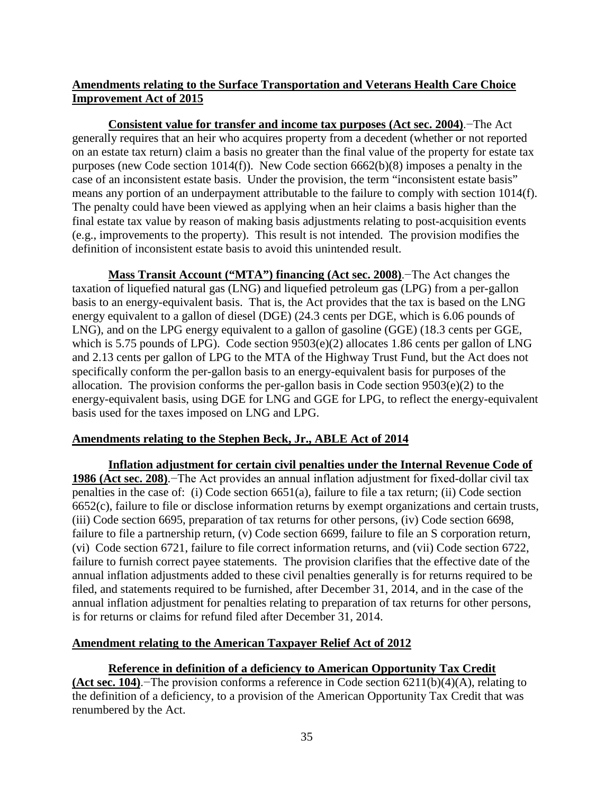# **Amendments relating to the Surface Transportation and Veterans Health Care Choice Improvement Act of 2015**

**Consistent value for transfer and income tax purposes (Act sec. 2004)**.−The Act generally requires that an heir who acquires property from a decedent (whether or not reported on an estate tax return) claim a basis no greater than the final value of the property for estate tax purposes (new Code section 1014(f)). New Code section 6662(b)(8) imposes a penalty in the case of an inconsistent estate basis. Under the provision, the term "inconsistent estate basis" means any portion of an underpayment attributable to the failure to comply with section 1014(f). The penalty could have been viewed as applying when an heir claims a basis higher than the final estate tax value by reason of making basis adjustments relating to post-acquisition events (e.g., improvements to the property). This result is not intended. The provision modifies the definition of inconsistent estate basis to avoid this unintended result.

**Mass Transit Account ("MTA") financing (Act sec. 2008)**.−The Act changes the taxation of liquefied natural gas (LNG) and liquefied petroleum gas (LPG) from a per-gallon basis to an energy-equivalent basis. That is, the Act provides that the tax is based on the LNG energy equivalent to a gallon of diesel (DGE) (24.3 cents per DGE, which is 6.06 pounds of LNG), and on the LPG energy equivalent to a gallon of gasoline (GGE) (18.3 cents per GGE, which is 5.75 pounds of LPG). Code section 9503(e)(2) allocates 1.86 cents per gallon of LNG and 2.13 cents per gallon of LPG to the MTA of the Highway Trust Fund, but the Act does not specifically conform the per-gallon basis to an energy-equivalent basis for purposes of the allocation. The provision conforms the per-gallon basis in Code section 9503(e)(2) to the energy-equivalent basis, using DGE for LNG and GGE for LPG, to reflect the energy-equivalent basis used for the taxes imposed on LNG and LPG.

# **Amendments relating to the Stephen Beck, Jr., ABLE Act of 2014**

**Inflation adjustment for certain civil penalties under the Internal Revenue Code of 1986 (Act sec. 208)**.−The Act provides an annual inflation adjustment for fixed-dollar civil tax penalties in the case of: (i) Code section 6651(a), failure to file a tax return; (ii) Code section 6652(c), failure to file or disclose information returns by exempt organizations and certain trusts, (iii) Code section 6695, preparation of tax returns for other persons, (iv) Code section 6698, failure to file a partnership return, (v) Code section 6699, failure to file an S corporation return, (vi) Code section 6721, failure to file correct information returns, and (vii) Code section 6722, failure to furnish correct payee statements. The provision clarifies that the effective date of the annual inflation adjustments added to these civil penalties generally is for returns required to be filed, and statements required to be furnished, after December 31, 2014, and in the case of the annual inflation adjustment for penalties relating to preparation of tax returns for other persons, is for returns or claims for refund filed after December 31, 2014.

# **Amendment relating to the American Taxpayer Relief Act of 2012**

# **Reference in definition of a deficiency to American Opportunity Tax Credit**

**(Act sec. 104)**.−The provision conforms a reference in Code section 6211(b)(4)(A), relating to the definition of a deficiency, to a provision of the American Opportunity Tax Credit that was renumbered by the Act.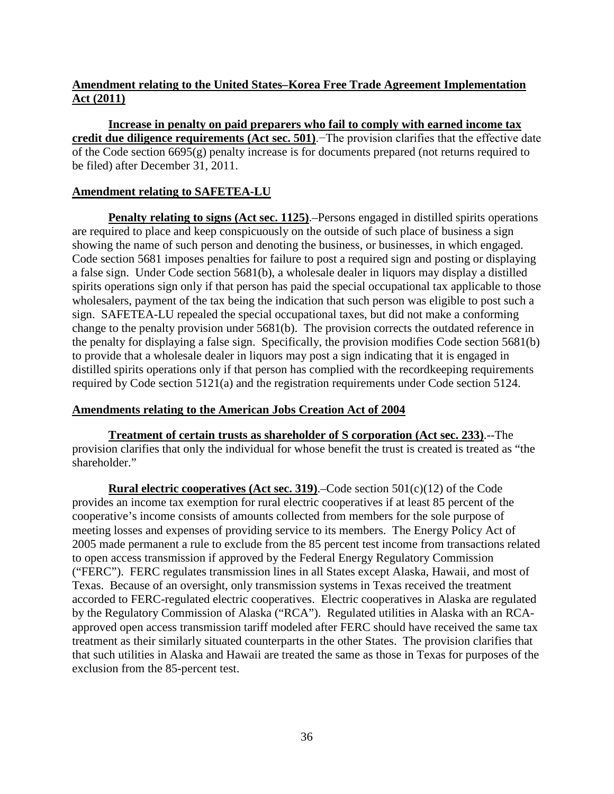# **Amendment relating to the United States–Korea Free Trade Agreement Implementation Act (2011)**

**Increase in penalty on paid preparers who fail to comply with earned income tax credit due diligence requirements (Act sec. 501)**.−The provision clarifies that the effective date of the Code section 6695(g) penalty increase is for documents prepared (not returns required to be filed) after December 31, 2011.

# **Amendment relating to SAFETEA-LU**

**Penalty relating to signs (Act sec. 1125).**–Persons engaged in distilled spirits operations are required to place and keep conspicuously on the outside of such place of business a sign showing the name of such person and denoting the business, or businesses, in which engaged. Code section 5681 imposes penalties for failure to post a required sign and posting or displaying a false sign. Under Code section 5681(b), a wholesale dealer in liquors may display a distilled spirits operations sign only if that person has paid the special occupational tax applicable to those wholesalers, payment of the tax being the indication that such person was eligible to post such a sign. SAFETEA-LU repealed the special occupational taxes, but did not make a conforming change to the penalty provision under 5681(b). The provision corrects the outdated reference in the penalty for displaying a false sign. Specifically, the provision modifies Code section 5681(b) to provide that a wholesale dealer in liquors may post a sign indicating that it is engaged in distilled spirits operations only if that person has complied with the recordkeeping requirements required by Code section 5121(a) and the registration requirements under Code section 5124.

## **Amendments relating to the American Jobs Creation Act of 2004**

**Treatment of certain trusts as shareholder of S corporation (Act sec. 233)**.--The provision clarifies that only the individual for whose benefit the trust is created is treated as "the shareholder."

**Rural electric cooperatives (Act sec. 319)**.–Code section 501(c)(12) of the Code provides an income tax exemption for rural electric cooperatives if at least 85 percent of the cooperative's income consists of amounts collected from members for the sole purpose of meeting losses and expenses of providing service to its members. The Energy Policy Act of 2005 made permanent a rule to exclude from the 85 percent test income from transactions related to open access transmission if approved by the Federal Energy Regulatory Commission ("FERC"). FERC regulates transmission lines in all States except Alaska, Hawaii, and most of Texas. Because of an oversight, only transmission systems in Texas received the treatment accorded to FERC-regulated electric cooperatives. Electric cooperatives in Alaska are regulated by the Regulatory Commission of Alaska ("RCA"). Regulated utilities in Alaska with an RCAapproved open access transmission tariff modeled after FERC should have received the same tax treatment as their similarly situated counterparts in the other States. The provision clarifies that that such utilities in Alaska and Hawaii are treated the same as those in Texas for purposes of the exclusion from the 85-percent test.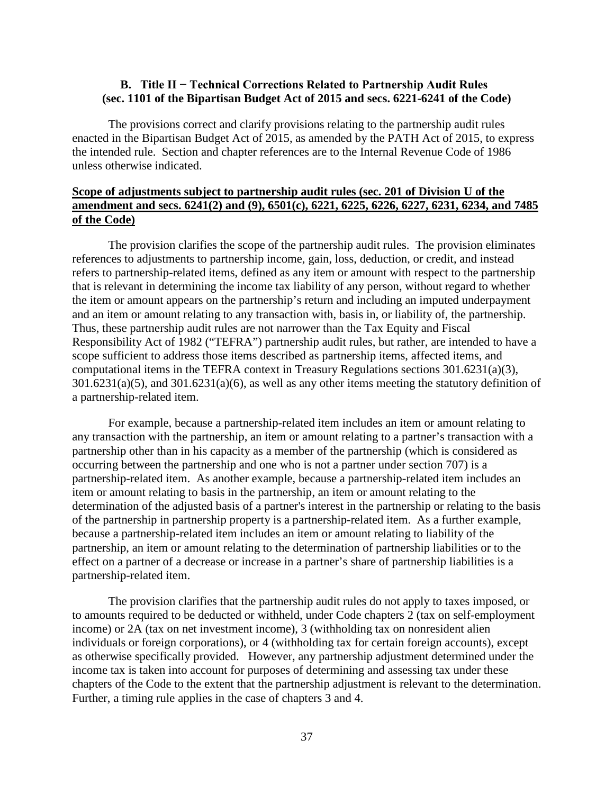## <span id="page-38-0"></span>**B. Title II − Technical Corrections Related to Partnership Audit Rules (sec. 1101 of the Bipartisan Budget Act of 2015 and secs. 6221-6241 of the Code)**

The provisions correct and clarify provisions relating to the partnership audit rules enacted in the Bipartisan Budget Act of 2015, as amended by the PATH Act of 2015, to express the intended rule. Section and chapter references are to the Internal Revenue Code of 1986 unless otherwise indicated.

# **Scope of adjustments subject to partnership audit rules (sec. 201 of Division U of the amendment and secs. 6241(2) and (9), 6501(c), 6221, 6225, 6226, 6227, 6231, 6234, and 7485 of the Code)**

The provision clarifies the scope of the partnership audit rules. The provision eliminates references to adjustments to partnership income, gain, loss, deduction, or credit, and instead refers to partnership-related items, defined as any item or amount with respect to the partnership that is relevant in determining the income tax liability of any person, without regard to whether the item or amount appears on the partnership's return and including an imputed underpayment and an item or amount relating to any transaction with, basis in, or liability of, the partnership. Thus, these partnership audit rules are not narrower than the Tax Equity and Fiscal Responsibility Act of 1982 ("TEFRA") partnership audit rules, but rather, are intended to have a scope sufficient to address those items described as partnership items, affected items, and computational items in the TEFRA context in Treasury Regulations sections 301.6231(a)(3),  $301.6231(a)(5)$ , and  $301.6231(a)(6)$ , as well as any other items meeting the statutory definition of a partnership-related item.

For example, because a partnership-related item includes an item or amount relating to any transaction with the partnership, an item or amount relating to a partner's transaction with a partnership other than in his capacity as a member of the partnership (which is considered as occurring between the partnership and one who is not a partner under section 707) is a partnership-related item. As another example, because a partnership-related item includes an item or amount relating to basis in the partnership, an item or amount relating to the determination of the adjusted basis of a partner's interest in the partnership or relating to the basis of the partnership in partnership property is a partnership-related item. As a further example, because a partnership-related item includes an item or amount relating to liability of the partnership, an item or amount relating to the determination of partnership liabilities or to the effect on a partner of a decrease or increase in a partner's share of partnership liabilities is a partnership-related item.

The provision clarifies that the partnership audit rules do not apply to taxes imposed, or to amounts required to be deducted or withheld, under Code chapters 2 (tax on self-employment income) or 2A (tax on net investment income), 3 (withholding tax on nonresident alien individuals or foreign corporations), or 4 (withholding tax for certain foreign accounts), except as otherwise specifically provided. However, any partnership adjustment determined under the income tax is taken into account for purposes of determining and assessing tax under these chapters of the Code to the extent that the partnership adjustment is relevant to the determination. Further, a timing rule applies in the case of chapters 3 and 4.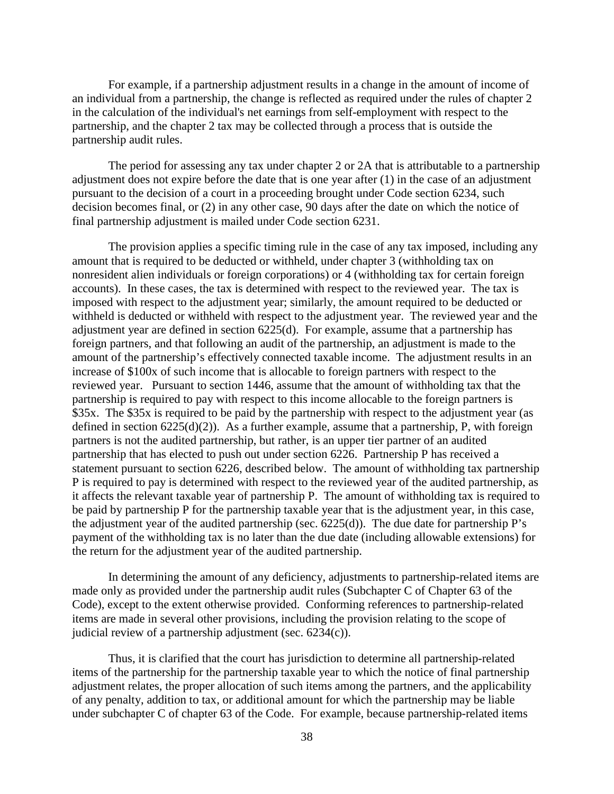For example, if a partnership adjustment results in a change in the amount of income of an individual from a partnership, the change is reflected as required under the rules of chapter 2 in the calculation of the individual's net earnings from self-employment with respect to the partnership, and the chapter 2 tax may be collected through a process that is outside the partnership audit rules.

The period for assessing any tax under chapter 2 or 2A that is attributable to a partnership adjustment does not expire before the date that is one year after (1) in the case of an adjustment pursuant to the decision of a court in a proceeding brought under Code section 6234, such decision becomes final, or (2) in any other case, 90 days after the date on which the notice of final partnership adjustment is mailed under Code section 6231.

The provision applies a specific timing rule in the case of any tax imposed, including any amount that is required to be deducted or withheld, under chapter 3 (withholding tax on nonresident alien individuals or foreign corporations) or 4 (withholding tax for certain foreign accounts). In these cases, the tax is determined with respect to the reviewed year. The tax is imposed with respect to the adjustment year; similarly, the amount required to be deducted or withheld is deducted or withheld with respect to the adjustment year. The reviewed year and the adjustment year are defined in section 6225(d). For example, assume that a partnership has foreign partners, and that following an audit of the partnership, an adjustment is made to the amount of the partnership's effectively connected taxable income. The adjustment results in an increase of \$100x of such income that is allocable to foreign partners with respect to the reviewed year. Pursuant to section 1446, assume that the amount of withholding tax that the partnership is required to pay with respect to this income allocable to the foreign partners is \$35x. The \$35x is required to be paid by the partnership with respect to the adjustment year (as defined in section  $6225(d)(2)$ ). As a further example, assume that a partnership, P, with foreign partners is not the audited partnership, but rather, is an upper tier partner of an audited partnership that has elected to push out under section 6226. Partnership P has received a statement pursuant to section 6226, described below. The amount of withholding tax partnership P is required to pay is determined with respect to the reviewed year of the audited partnership, as it affects the relevant taxable year of partnership P. The amount of withholding tax is required to be paid by partnership P for the partnership taxable year that is the adjustment year, in this case, the adjustment year of the audited partnership (sec. 6225(d)). The due date for partnership P's payment of the withholding tax is no later than the due date (including allowable extensions) for the return for the adjustment year of the audited partnership.

In determining the amount of any deficiency, adjustments to partnership-related items are made only as provided under the partnership audit rules (Subchapter C of Chapter 63 of the Code), except to the extent otherwise provided. Conforming references to partnership-related items are made in several other provisions, including the provision relating to the scope of judicial review of a partnership adjustment (sec. 6234(c)).

Thus, it is clarified that the court has jurisdiction to determine all partnership-related items of the partnership for the partnership taxable year to which the notice of final partnership adjustment relates, the proper allocation of such items among the partners, and the applicability of any penalty, addition to tax, or additional amount for which the partnership may be liable under subchapter C of chapter 63 of the Code. For example, because partnership-related items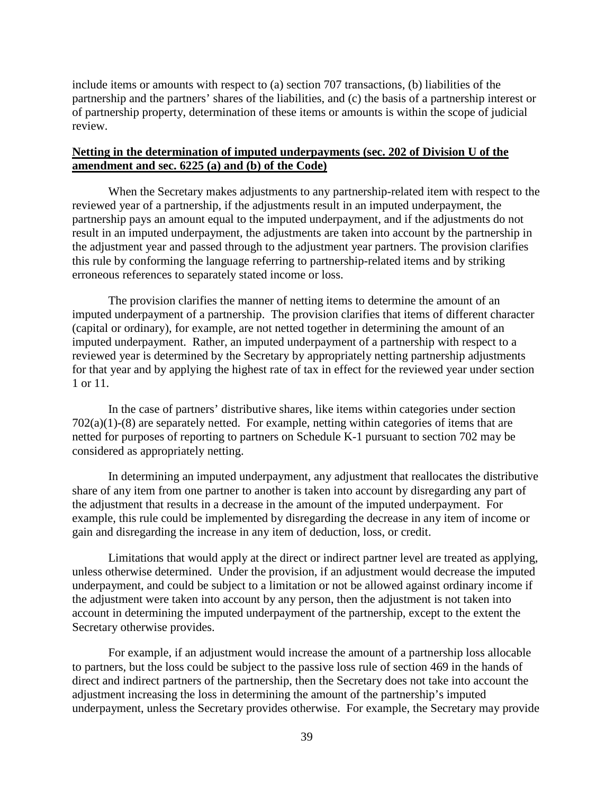include items or amounts with respect to (a) section 707 transactions, (b) liabilities of the partnership and the partners' shares of the liabilities, and (c) the basis of a partnership interest or of partnership property, determination of these items or amounts is within the scope of judicial review.

### **Netting in the determination of imputed underpayments (sec. 202 of Division U of the amendment and sec. 6225 (a) and (b) of the Code)**

When the Secretary makes adjustments to any partnership-related item with respect to the reviewed year of a partnership, if the adjustments result in an imputed underpayment, the partnership pays an amount equal to the imputed underpayment, and if the adjustments do not result in an imputed underpayment, the adjustments are taken into account by the partnership in the adjustment year and passed through to the adjustment year partners. The provision clarifies this rule by conforming the language referring to partnership-related items and by striking erroneous references to separately stated income or loss.

The provision clarifies the manner of netting items to determine the amount of an imputed underpayment of a partnership. The provision clarifies that items of different character (capital or ordinary), for example, are not netted together in determining the amount of an imputed underpayment. Rather, an imputed underpayment of a partnership with respect to a reviewed year is determined by the Secretary by appropriately netting partnership adjustments for that year and by applying the highest rate of tax in effect for the reviewed year under section 1 or 11.

In the case of partners' distributive shares, like items within categories under section  $702(a)(1)-(8)$  are separately netted. For example, netting within categories of items that are netted for purposes of reporting to partners on Schedule K-1 pursuant to section 702 may be considered as appropriately netting.

In determining an imputed underpayment, any adjustment that reallocates the distributive share of any item from one partner to another is taken into account by disregarding any part of the adjustment that results in a decrease in the amount of the imputed underpayment. For example, this rule could be implemented by disregarding the decrease in any item of income or gain and disregarding the increase in any item of deduction, loss, or credit.

Limitations that would apply at the direct or indirect partner level are treated as applying, unless otherwise determined. Under the provision, if an adjustment would decrease the imputed underpayment, and could be subject to a limitation or not be allowed against ordinary income if the adjustment were taken into account by any person, then the adjustment is not taken into account in determining the imputed underpayment of the partnership, except to the extent the Secretary otherwise provides.

For example, if an adjustment would increase the amount of a partnership loss allocable to partners, but the loss could be subject to the passive loss rule of section 469 in the hands of direct and indirect partners of the partnership, then the Secretary does not take into account the adjustment increasing the loss in determining the amount of the partnership's imputed underpayment, unless the Secretary provides otherwise. For example, the Secretary may provide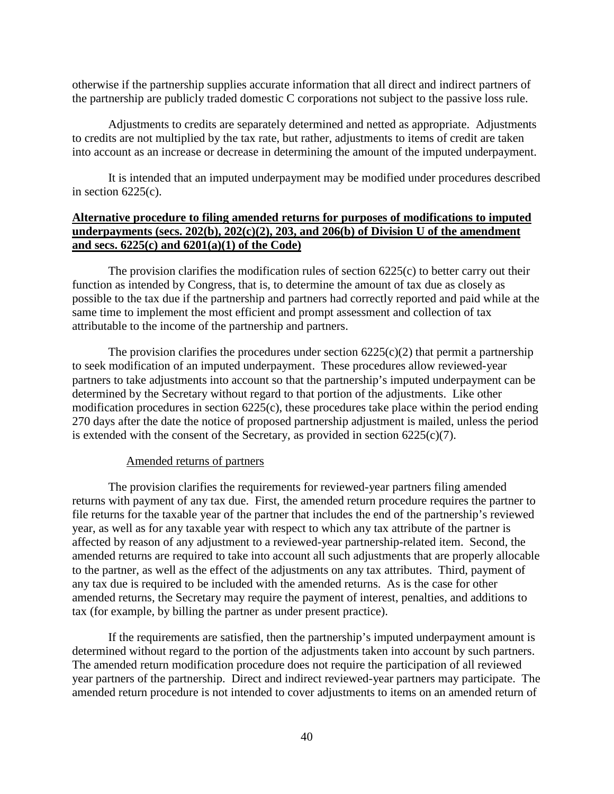otherwise if the partnership supplies accurate information that all direct and indirect partners of the partnership are publicly traded domestic C corporations not subject to the passive loss rule.

Adjustments to credits are separately determined and netted as appropriate. Adjustments to credits are not multiplied by the tax rate, but rather, adjustments to items of credit are taken into account as an increase or decrease in determining the amount of the imputed underpayment.

It is intended that an imputed underpayment may be modified under procedures described in section  $6225(c)$ .

# **Alternative procedure to filing amended returns for purposes of modifications to imputed underpayments (secs. 202(b), 202(c)(2), 203, and 206(b) of Division U of the amendment and secs. 6225(c) and 6201(a)(1) of the Code)**

The provision clarifies the modification rules of section 6225(c) to better carry out their function as intended by Congress, that is, to determine the amount of tax due as closely as possible to the tax due if the partnership and partners had correctly reported and paid while at the same time to implement the most efficient and prompt assessment and collection of tax attributable to the income of the partnership and partners.

The provision clarifies the procedures under section  $6225(c)(2)$  that permit a partnership to seek modification of an imputed underpayment. These procedures allow reviewed-year partners to take adjustments into account so that the partnership's imputed underpayment can be determined by the Secretary without regard to that portion of the adjustments. Like other modification procedures in section 6225(c), these procedures take place within the period ending 270 days after the date the notice of proposed partnership adjustment is mailed, unless the period is extended with the consent of the Secretary, as provided in section  $6225(c)(7)$ .

### Amended returns of partners

The provision clarifies the requirements for reviewed-year partners filing amended returns with payment of any tax due. First, the amended return procedure requires the partner to file returns for the taxable year of the partner that includes the end of the partnership's reviewed year, as well as for any taxable year with respect to which any tax attribute of the partner is affected by reason of any adjustment to a reviewed-year partnership-related item. Second, the amended returns are required to take into account all such adjustments that are properly allocable to the partner, as well as the effect of the adjustments on any tax attributes. Third, payment of any tax due is required to be included with the amended returns. As is the case for other amended returns, the Secretary may require the payment of interest, penalties, and additions to tax (for example, by billing the partner as under present practice).

If the requirements are satisfied, then the partnership's imputed underpayment amount is determined without regard to the portion of the adjustments taken into account by such partners. The amended return modification procedure does not require the participation of all reviewed year partners of the partnership. Direct and indirect reviewed-year partners may participate. The amended return procedure is not intended to cover adjustments to items on an amended return of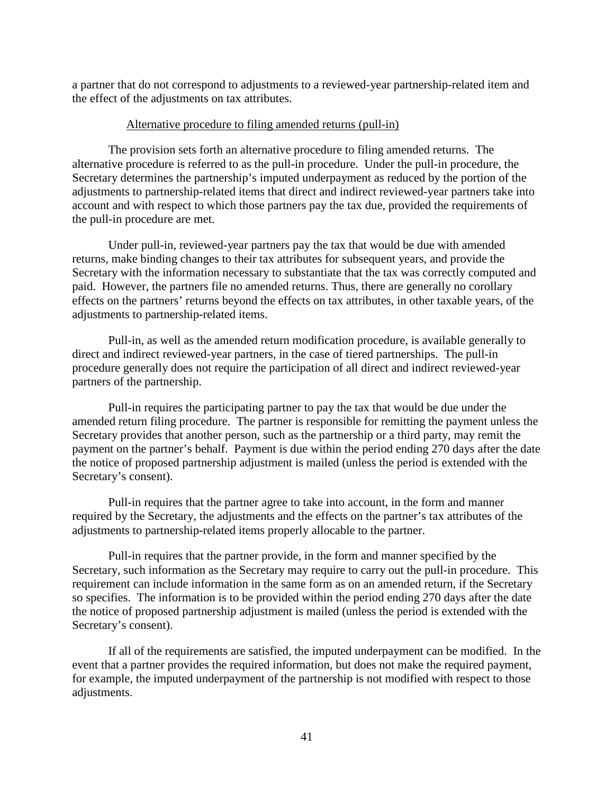a partner that do not correspond to adjustments to a reviewed-year partnership-related item and the effect of the adjustments on tax attributes.

### Alternative procedure to filing amended returns (pull-in)

The provision sets forth an alternative procedure to filing amended returns. The alternative procedure is referred to as the pull-in procedure. Under the pull-in procedure, the Secretary determines the partnership's imputed underpayment as reduced by the portion of the adjustments to partnership-related items that direct and indirect reviewed-year partners take into account and with respect to which those partners pay the tax due, provided the requirements of the pull-in procedure are met.

Under pull-in, reviewed-year partners pay the tax that would be due with amended returns, make binding changes to their tax attributes for subsequent years, and provide the Secretary with the information necessary to substantiate that the tax was correctly computed and paid. However, the partners file no amended returns. Thus, there are generally no corollary effects on the partners' returns beyond the effects on tax attributes, in other taxable years, of the adjustments to partnership-related items.

Pull-in, as well as the amended return modification procedure, is available generally to direct and indirect reviewed-year partners, in the case of tiered partnerships. The pull-in procedure generally does not require the participation of all direct and indirect reviewed-year partners of the partnership.

Pull-in requires the participating partner to pay the tax that would be due under the amended return filing procedure. The partner is responsible for remitting the payment unless the Secretary provides that another person, such as the partnership or a third party, may remit the payment on the partner's behalf. Payment is due within the period ending 270 days after the date the notice of proposed partnership adjustment is mailed (unless the period is extended with the Secretary's consent).

Pull-in requires that the partner agree to take into account, in the form and manner required by the Secretary, the adjustments and the effects on the partner's tax attributes of the adjustments to partnership-related items properly allocable to the partner.

Pull-in requires that the partner provide, in the form and manner specified by the Secretary, such information as the Secretary may require to carry out the pull-in procedure. This requirement can include information in the same form as on an amended return, if the Secretary so specifies. The information is to be provided within the period ending 270 days after the date the notice of proposed partnership adjustment is mailed (unless the period is extended with the Secretary's consent).

If all of the requirements are satisfied, the imputed underpayment can be modified. In the event that a partner provides the required information, but does not make the required payment, for example, the imputed underpayment of the partnership is not modified with respect to those adjustments.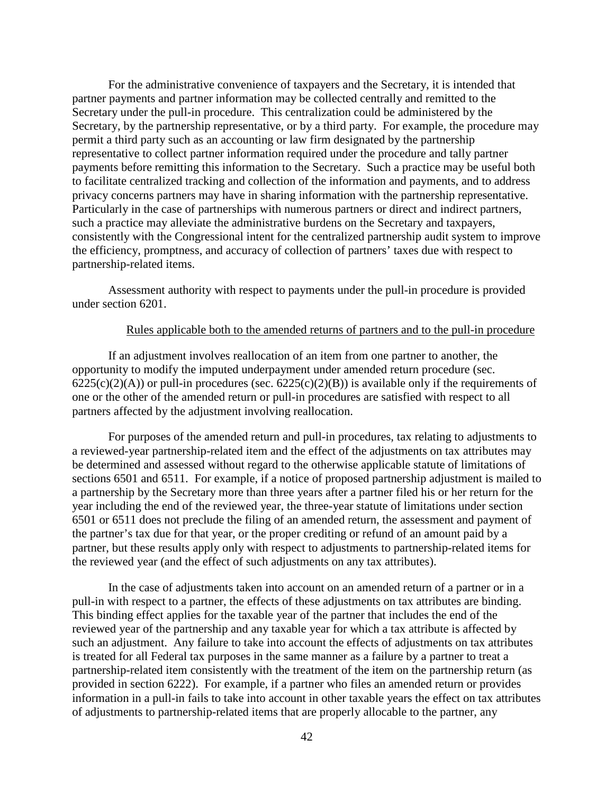For the administrative convenience of taxpayers and the Secretary, it is intended that partner payments and partner information may be collected centrally and remitted to the Secretary under the pull-in procedure. This centralization could be administered by the Secretary, by the partnership representative, or by a third party. For example, the procedure may permit a third party such as an accounting or law firm designated by the partnership representative to collect partner information required under the procedure and tally partner payments before remitting this information to the Secretary. Such a practice may be useful both to facilitate centralized tracking and collection of the information and payments, and to address privacy concerns partners may have in sharing information with the partnership representative. Particularly in the case of partnerships with numerous partners or direct and indirect partners, such a practice may alleviate the administrative burdens on the Secretary and taxpayers, consistently with the Congressional intent for the centralized partnership audit system to improve the efficiency, promptness, and accuracy of collection of partners' taxes due with respect to partnership-related items.

Assessment authority with respect to payments under the pull-in procedure is provided under section 6201.

#### Rules applicable both to the amended returns of partners and to the pull-in procedure

If an adjustment involves reallocation of an item from one partner to another, the opportunity to modify the imputed underpayment under amended return procedure (sec.  $6225(c)(2)(A)$ ) or pull-in procedures (sec.  $6225(c)(2)(B)$ ) is available only if the requirements of one or the other of the amended return or pull-in procedures are satisfied with respect to all partners affected by the adjustment involving reallocation.

For purposes of the amended return and pull-in procedures, tax relating to adjustments to a reviewed-year partnership-related item and the effect of the adjustments on tax attributes may be determined and assessed without regard to the otherwise applicable statute of limitations of sections 6501 and 6511. For example, if a notice of proposed partnership adjustment is mailed to a partnership by the Secretary more than three years after a partner filed his or her return for the year including the end of the reviewed year, the three-year statute of limitations under section 6501 or 6511 does not preclude the filing of an amended return, the assessment and payment of the partner's tax due for that year, or the proper crediting or refund of an amount paid by a partner, but these results apply only with respect to adjustments to partnership-related items for the reviewed year (and the effect of such adjustments on any tax attributes).

In the case of adjustments taken into account on an amended return of a partner or in a pull-in with respect to a partner, the effects of these adjustments on tax attributes are binding. This binding effect applies for the taxable year of the partner that includes the end of the reviewed year of the partnership and any taxable year for which a tax attribute is affected by such an adjustment. Any failure to take into account the effects of adjustments on tax attributes is treated for all Federal tax purposes in the same manner as a failure by a partner to treat a partnership-related item consistently with the treatment of the item on the partnership return (as provided in section 6222). For example, if a partner who files an amended return or provides information in a pull-in fails to take into account in other taxable years the effect on tax attributes of adjustments to partnership-related items that are properly allocable to the partner, any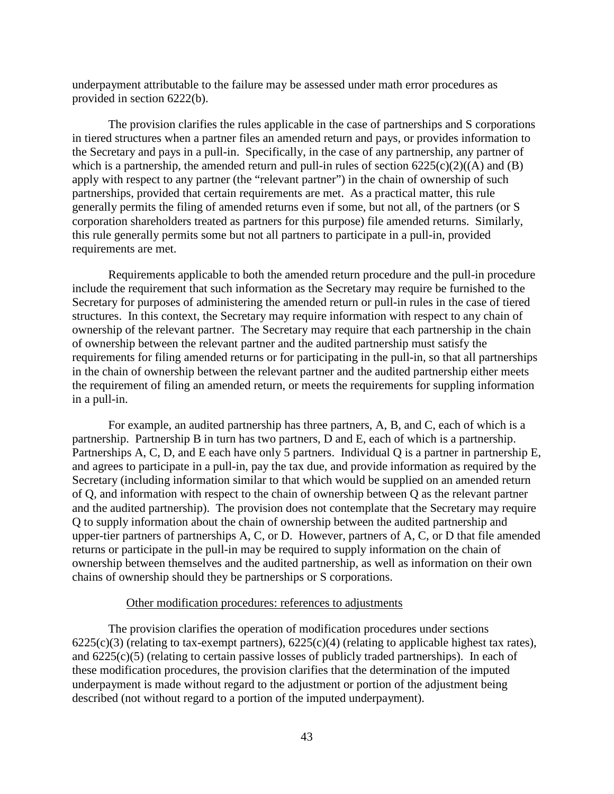underpayment attributable to the failure may be assessed under math error procedures as provided in section 6222(b).

The provision clarifies the rules applicable in the case of partnerships and S corporations in tiered structures when a partner files an amended return and pays, or provides information to the Secretary and pays in a pull-in. Specifically, in the case of any partnership, any partner of which is a partnership, the amended return and pull-in rules of section  $6225(c)(2)((A)$  and  $(B)$ apply with respect to any partner (the "relevant partner") in the chain of ownership of such partnerships, provided that certain requirements are met. As a practical matter, this rule generally permits the filing of amended returns even if some, but not all, of the partners (or S corporation shareholders treated as partners for this purpose) file amended returns. Similarly, this rule generally permits some but not all partners to participate in a pull-in, provided requirements are met.

Requirements applicable to both the amended return procedure and the pull-in procedure include the requirement that such information as the Secretary may require be furnished to the Secretary for purposes of administering the amended return or pull-in rules in the case of tiered structures. In this context, the Secretary may require information with respect to any chain of ownership of the relevant partner. The Secretary may require that each partnership in the chain of ownership between the relevant partner and the audited partnership must satisfy the requirements for filing amended returns or for participating in the pull-in, so that all partnerships in the chain of ownership between the relevant partner and the audited partnership either meets the requirement of filing an amended return, or meets the requirements for suppling information in a pull-in.

For example, an audited partnership has three partners, A, B, and C, each of which is a partnership. Partnership B in turn has two partners, D and E, each of which is a partnership. Partnerships A, C, D, and E each have only 5 partners. Individual Q is a partner in partnership E, and agrees to participate in a pull-in, pay the tax due, and provide information as required by the Secretary (including information similar to that which would be supplied on an amended return of Q, and information with respect to the chain of ownership between Q as the relevant partner and the audited partnership). The provision does not contemplate that the Secretary may require Q to supply information about the chain of ownership between the audited partnership and upper-tier partners of partnerships A, C, or D. However, partners of A, C, or D that file amended returns or participate in the pull-in may be required to supply information on the chain of ownership between themselves and the audited partnership, as well as information on their own chains of ownership should they be partnerships or S corporations.

## Other modification procedures: references to adjustments

The provision clarifies the operation of modification procedures under sections  $6225(c)(3)$  (relating to tax-exempt partners),  $6225(c)(4)$  (relating to applicable highest tax rates), and 6225(c)(5) (relating to certain passive losses of publicly traded partnerships). In each of these modification procedures, the provision clarifies that the determination of the imputed underpayment is made without regard to the adjustment or portion of the adjustment being described (not without regard to a portion of the imputed underpayment).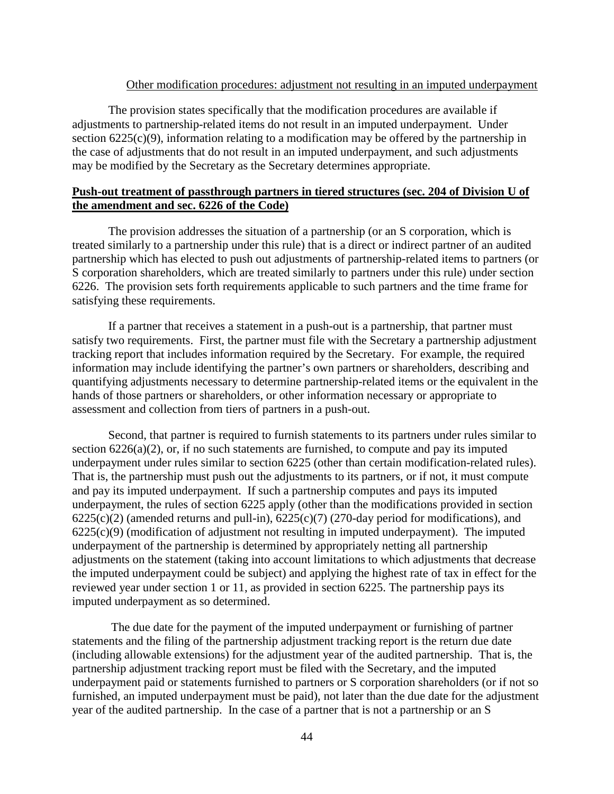### Other modification procedures: adjustment not resulting in an imputed underpayment

The provision states specifically that the modification procedures are available if adjustments to partnership-related items do not result in an imputed underpayment. Under section  $6225(c)(9)$ , information relating to a modification may be offered by the partnership in the case of adjustments that do not result in an imputed underpayment, and such adjustments may be modified by the Secretary as the Secretary determines appropriate.

## **Push-out treatment of passthrough partners in tiered structures (sec. 204 of Division U of the amendment and sec. 6226 of the Code)**

The provision addresses the situation of a partnership (or an S corporation, which is treated similarly to a partnership under this rule) that is a direct or indirect partner of an audited partnership which has elected to push out adjustments of partnership-related items to partners (or S corporation shareholders, which are treated similarly to partners under this rule) under section 6226. The provision sets forth requirements applicable to such partners and the time frame for satisfying these requirements.

If a partner that receives a statement in a push-out is a partnership, that partner must satisfy two requirements. First, the partner must file with the Secretary a partnership adjustment tracking report that includes information required by the Secretary. For example, the required information may include identifying the partner's own partners or shareholders, describing and quantifying adjustments necessary to determine partnership-related items or the equivalent in the hands of those partners or shareholders, or other information necessary or appropriate to assessment and collection from tiers of partners in a push-out.

Second, that partner is required to furnish statements to its partners under rules similar to section  $6226(a)(2)$ , or, if no such statements are furnished, to compute and pay its imputed underpayment under rules similar to section 6225 (other than certain modification-related rules). That is, the partnership must push out the adjustments to its partners, or if not, it must compute and pay its imputed underpayment. If such a partnership computes and pays its imputed underpayment, the rules of section 6225 apply (other than the modifications provided in section  $6225(c)(2)$  (amended returns and pull-in),  $6225(c)(7)$  (270-day period for modifications), and  $6225(c)(9)$  (modification of adjustment not resulting in imputed underpayment). The imputed underpayment of the partnership is determined by appropriately netting all partnership adjustments on the statement (taking into account limitations to which adjustments that decrease the imputed underpayment could be subject) and applying the highest rate of tax in effect for the reviewed year under section 1 or 11, as provided in section 6225. The partnership pays its imputed underpayment as so determined.

The due date for the payment of the imputed underpayment or furnishing of partner statements and the filing of the partnership adjustment tracking report is the return due date (including allowable extensions) for the adjustment year of the audited partnership. That is, the partnership adjustment tracking report must be filed with the Secretary, and the imputed underpayment paid or statements furnished to partners or S corporation shareholders (or if not so furnished, an imputed underpayment must be paid), not later than the due date for the adjustment year of the audited partnership. In the case of a partner that is not a partnership or an S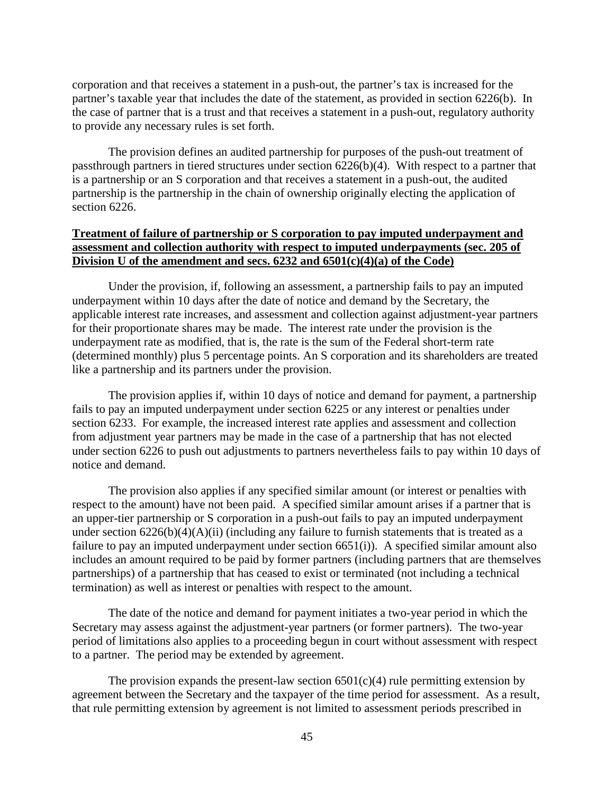corporation and that receives a statement in a push-out, the partner's tax is increased for the partner's taxable year that includes the date of the statement, as provided in section 6226(b). In the case of partner that is a trust and that receives a statement in a push-out, regulatory authority to provide any necessary rules is set forth.

The provision defines an audited partnership for purposes of the push-out treatment of passthrough partners in tiered structures under section 6226(b)(4). With respect to a partner that is a partnership or an S corporation and that receives a statement in a push-out, the audited partnership is the partnership in the chain of ownership originally electing the application of section 6226.

# **Treatment of failure of partnership or S corporation to pay imputed underpayment and assessment and collection authority with respect to imputed underpayments (sec. 205 of Division U of the amendment and secs. 6232 and 6501(c)(4)(a) of the Code)**

Under the provision, if, following an assessment, a partnership fails to pay an imputed underpayment within 10 days after the date of notice and demand by the Secretary, the applicable interest rate increases, and assessment and collection against adjustment-year partners for their proportionate shares may be made. The interest rate under the provision is the underpayment rate as modified, that is, the rate is the sum of the Federal short-term rate (determined monthly) plus 5 percentage points. An S corporation and its shareholders are treated like a partnership and its partners under the provision.

The provision applies if, within 10 days of notice and demand for payment, a partnership fails to pay an imputed underpayment under section 6225 or any interest or penalties under section 6233. For example, the increased interest rate applies and assessment and collection from adjustment year partners may be made in the case of a partnership that has not elected under section 6226 to push out adjustments to partners nevertheless fails to pay within 10 days of notice and demand.

The provision also applies if any specified similar amount (or interest or penalties with respect to the amount) have not been paid. A specified similar amount arises if a partner that is an upper-tier partnership or S corporation in a push-out fails to pay an imputed underpayment under section  $6226(b)(4)(A)(ii)$  (including any failure to furnish statements that is treated as a failure to pay an imputed underpayment under section 6651(i)). A specified similar amount also includes an amount required to be paid by former partners (including partners that are themselves partnerships) of a partnership that has ceased to exist or terminated (not including a technical termination) as well as interest or penalties with respect to the amount.

The date of the notice and demand for payment initiates a two-year period in which the Secretary may assess against the adjustment-year partners (or former partners). The two-year period of limitations also applies to a proceeding begun in court without assessment with respect to a partner. The period may be extended by agreement.

The provision expands the present-law section  $6501(c)(4)$  rule permitting extension by agreement between the Secretary and the taxpayer of the time period for assessment. As a result, that rule permitting extension by agreement is not limited to assessment periods prescribed in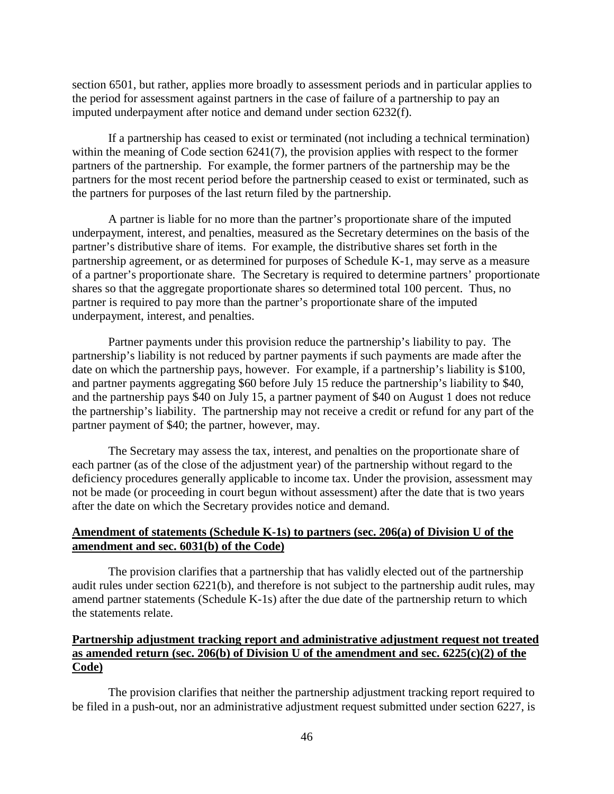section 6501, but rather, applies more broadly to assessment periods and in particular applies to the period for assessment against partners in the case of failure of a partnership to pay an imputed underpayment after notice and demand under section 6232(f).

If a partnership has ceased to exist or terminated (not including a technical termination) within the meaning of Code section 6241(7), the provision applies with respect to the former partners of the partnership. For example, the former partners of the partnership may be the partners for the most recent period before the partnership ceased to exist or terminated, such as the partners for purposes of the last return filed by the partnership.

A partner is liable for no more than the partner's proportionate share of the imputed underpayment, interest, and penalties, measured as the Secretary determines on the basis of the partner's distributive share of items. For example, the distributive shares set forth in the partnership agreement, or as determined for purposes of Schedule K-1, may serve as a measure of a partner's proportionate share. The Secretary is required to determine partners' proportionate shares so that the aggregate proportionate shares so determined total 100 percent. Thus, no partner is required to pay more than the partner's proportionate share of the imputed underpayment, interest, and penalties.

Partner payments under this provision reduce the partnership's liability to pay. The partnership's liability is not reduced by partner payments if such payments are made after the date on which the partnership pays, however. For example, if a partnership's liability is \$100, and partner payments aggregating \$60 before July 15 reduce the partnership's liability to \$40, and the partnership pays \$40 on July 15, a partner payment of \$40 on August 1 does not reduce the partnership's liability. The partnership may not receive a credit or refund for any part of the partner payment of \$40; the partner, however, may.

The Secretary may assess the tax, interest, and penalties on the proportionate share of each partner (as of the close of the adjustment year) of the partnership without regard to the deficiency procedures generally applicable to income tax. Under the provision, assessment may not be made (or proceeding in court begun without assessment) after the date that is two years after the date on which the Secretary provides notice and demand.

## **Amendment of statements (Schedule K-1s) to partners (sec. 206(a) of Division U of the amendment and sec. 6031(b) of the Code)**

The provision clarifies that a partnership that has validly elected out of the partnership audit rules under section 6221(b), and therefore is not subject to the partnership audit rules, may amend partner statements (Schedule K-1s) after the due date of the partnership return to which the statements relate.

# **Partnership adjustment tracking report and administrative adjustment request not treated as amended return (sec. 206(b) of Division U of the amendment and sec. 6225(c)(2) of the Code)**

The provision clarifies that neither the partnership adjustment tracking report required to be filed in a push-out, nor an administrative adjustment request submitted under section 6227, is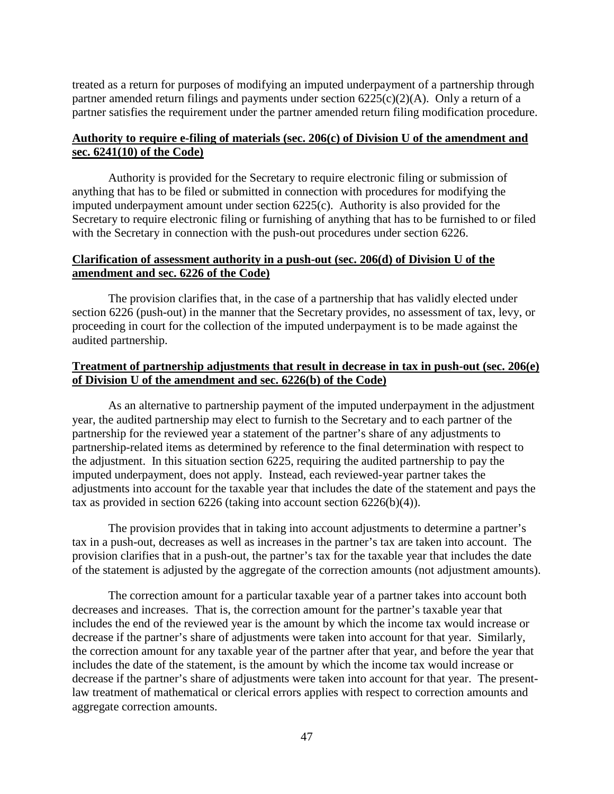treated as a return for purposes of modifying an imputed underpayment of a partnership through partner amended return filings and payments under section 6225(c)(2)(A). Only a return of a partner satisfies the requirement under the partner amended return filing modification procedure.

# **Authority to require e-filing of materials (sec. 206(c) of Division U of the amendment and sec. 6241(10) of the Code)**

Authority is provided for the Secretary to require electronic filing or submission of anything that has to be filed or submitted in connection with procedures for modifying the imputed underpayment amount under section 6225(c). Authority is also provided for the Secretary to require electronic filing or furnishing of anything that has to be furnished to or filed with the Secretary in connection with the push-out procedures under section 6226.

## **Clarification of assessment authority in a push-out (sec. 206(d) of Division U of the amendment and sec. 6226 of the Code)**

The provision clarifies that, in the case of a partnership that has validly elected under section 6226 (push-out) in the manner that the Secretary provides, no assessment of tax, levy, or proceeding in court for the collection of the imputed underpayment is to be made against the audited partnership.

# **Treatment of partnership adjustments that result in decrease in tax in push-out (sec. 206(e) of Division U of the amendment and sec. 6226(b) of the Code)**

As an alternative to partnership payment of the imputed underpayment in the adjustment year, the audited partnership may elect to furnish to the Secretary and to each partner of the partnership for the reviewed year a statement of the partner's share of any adjustments to partnership-related items as determined by reference to the final determination with respect to the adjustment. In this situation section 6225, requiring the audited partnership to pay the imputed underpayment, does not apply. Instead, each reviewed-year partner takes the adjustments into account for the taxable year that includes the date of the statement and pays the tax as provided in section  $6226$  (taking into account section  $6226(b)(4)$ ).

The provision provides that in taking into account adjustments to determine a partner's tax in a push-out, decreases as well as increases in the partner's tax are taken into account. The provision clarifies that in a push-out, the partner's tax for the taxable year that includes the date of the statement is adjusted by the aggregate of the correction amounts (not adjustment amounts).

The correction amount for a particular taxable year of a partner takes into account both decreases and increases. That is, the correction amount for the partner's taxable year that includes the end of the reviewed year is the amount by which the income tax would increase or decrease if the partner's share of adjustments were taken into account for that year. Similarly, the correction amount for any taxable year of the partner after that year, and before the year that includes the date of the statement, is the amount by which the income tax would increase or decrease if the partner's share of adjustments were taken into account for that year. The presentlaw treatment of mathematical or clerical errors applies with respect to correction amounts and aggregate correction amounts.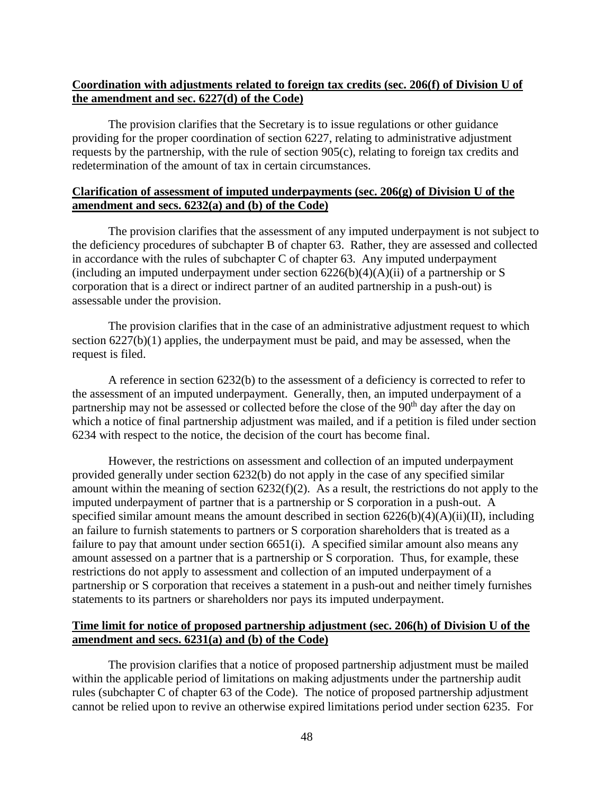# **Coordination with adjustments related to foreign tax credits (sec. 206(f) of Division U of the amendment and sec. 6227(d) of the Code)**

The provision clarifies that the Secretary is to issue regulations or other guidance providing for the proper coordination of section 6227, relating to administrative adjustment requests by the partnership, with the rule of section 905(c), relating to foreign tax credits and redetermination of the amount of tax in certain circumstances.

# **Clarification of assessment of imputed underpayments (sec. 206(g) of Division U of the amendment and secs. 6232(a) and (b) of the Code)**

The provision clarifies that the assessment of any imputed underpayment is not subject to the deficiency procedures of subchapter B of chapter 63. Rather, they are assessed and collected in accordance with the rules of subchapter C of chapter 63. Any imputed underpayment (including an imputed underpayment under section  $6226(b)(4)(A)(ii)$  of a partnership or S corporation that is a direct or indirect partner of an audited partnership in a push-out) is assessable under the provision.

The provision clarifies that in the case of an administrative adjustment request to which section 6227(b)(1) applies, the underpayment must be paid, and may be assessed, when the request is filed.

A reference in section 6232(b) to the assessment of a deficiency is corrected to refer to the assessment of an imputed underpayment. Generally, then, an imputed underpayment of a partnership may not be assessed or collected before the close of the 90<sup>th</sup> day after the day on which a notice of final partnership adjustment was mailed, and if a petition is filed under section 6234 with respect to the notice, the decision of the court has become final.

However, the restrictions on assessment and collection of an imputed underpayment provided generally under section 6232(b) do not apply in the case of any specified similar amount within the meaning of section 6232(f)(2). As a result, the restrictions do not apply to the imputed underpayment of partner that is a partnership or S corporation in a push-out. A specified similar amount means the amount described in section  $6226(b)(4)(A)(ii)(II)$ , including an failure to furnish statements to partners or S corporation shareholders that is treated as a failure to pay that amount under section 6651(i). A specified similar amount also means any amount assessed on a partner that is a partnership or S corporation. Thus, for example, these restrictions do not apply to assessment and collection of an imputed underpayment of a partnership or S corporation that receives a statement in a push-out and neither timely furnishes statements to its partners or shareholders nor pays its imputed underpayment.

# **Time limit for notice of proposed partnership adjustment (sec. 206(h) of Division U of the amendment and secs. 6231(a) and (b) of the Code)**

The provision clarifies that a notice of proposed partnership adjustment must be mailed within the applicable period of limitations on making adjustments under the partnership audit rules (subchapter C of chapter 63 of the Code). The notice of proposed partnership adjustment cannot be relied upon to revive an otherwise expired limitations period under section 6235. For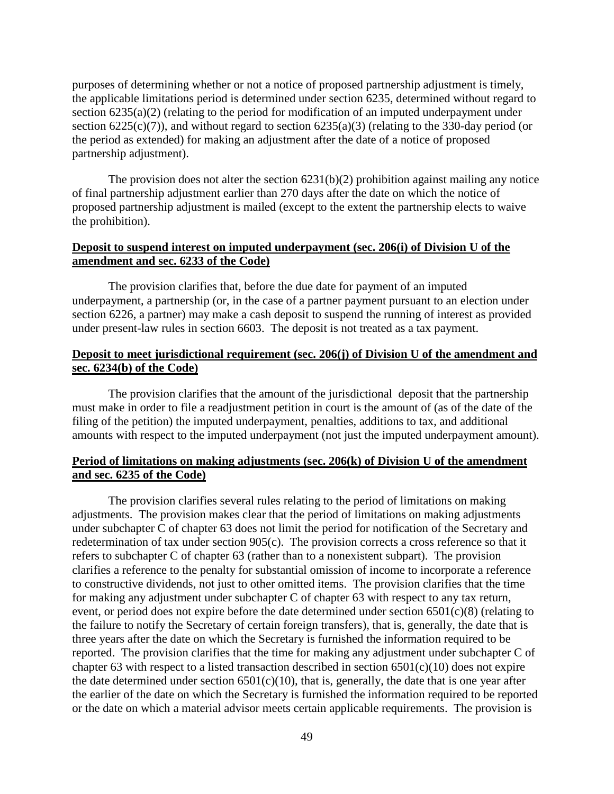purposes of determining whether or not a notice of proposed partnership adjustment is timely, the applicable limitations period is determined under section 6235, determined without regard to section 6235(a)(2) (relating to the period for modification of an imputed underpayment under section  $6225(c)(7)$ ), and without regard to section  $6235(a)(3)$  (relating to the 330-day period (or the period as extended) for making an adjustment after the date of a notice of proposed partnership adjustment).

The provision does not alter the section  $6231(b)(2)$  prohibition against mailing any notice of final partnership adjustment earlier than 270 days after the date on which the notice of proposed partnership adjustment is mailed (except to the extent the partnership elects to waive the prohibition).

## **Deposit to suspend interest on imputed underpayment (sec. 206(i) of Division U of the amendment and sec. 6233 of the Code)**

The provision clarifies that, before the due date for payment of an imputed underpayment, a partnership (or, in the case of a partner payment pursuant to an election under section 6226, a partner) may make a cash deposit to suspend the running of interest as provided under present-law rules in section 6603. The deposit is not treated as a tax payment.

## **Deposit to meet jurisdictional requirement (sec. 206(j) of Division U of the amendment and sec. 6234(b) of the Code)**

The provision clarifies that the amount of the jurisdictional deposit that the partnership must make in order to file a readjustment petition in court is the amount of (as of the date of the filing of the petition) the imputed underpayment, penalties, additions to tax, and additional amounts with respect to the imputed underpayment (not just the imputed underpayment amount).

## **Period of limitations on making adjustments (sec. 206(k) of Division U of the amendment and sec. 6235 of the Code)**

The provision clarifies several rules relating to the period of limitations on making adjustments. The provision makes clear that the period of limitations on making adjustments under subchapter C of chapter 63 does not limit the period for notification of the Secretary and redetermination of tax under section 905(c). The provision corrects a cross reference so that it refers to subchapter C of chapter 63 (rather than to a nonexistent subpart). The provision clarifies a reference to the penalty for substantial omission of income to incorporate a reference to constructive dividends, not just to other omitted items. The provision clarifies that the time for making any adjustment under subchapter C of chapter 63 with respect to any tax return, event, or period does not expire before the date determined under section 6501(c)(8) (relating to the failure to notify the Secretary of certain foreign transfers), that is, generally, the date that is three years after the date on which the Secretary is furnished the information required to be reported. The provision clarifies that the time for making any adjustment under subchapter C of chapter 63 with respect to a listed transaction described in section  $6501(c)(10)$  does not expire the date determined under section  $6501(c)(10)$ , that is, generally, the date that is one year after the earlier of the date on which the Secretary is furnished the information required to be reported or the date on which a material advisor meets certain applicable requirements. The provision is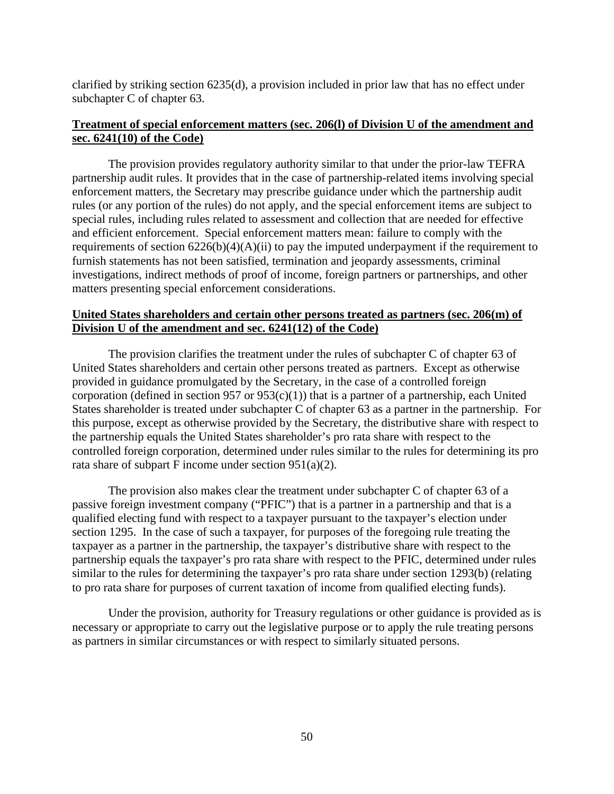clarified by striking section 6235(d), a provision included in prior law that has no effect under subchapter C of chapter 63.

# **Treatment of special enforcement matters (sec. 206(l) of Division U of the amendment and sec. 6241(10) of the Code)**

The provision provides regulatory authority similar to that under the prior-law TEFRA partnership audit rules. It provides that in the case of partnership-related items involving special enforcement matters, the Secretary may prescribe guidance under which the partnership audit rules (or any portion of the rules) do not apply, and the special enforcement items are subject to special rules, including rules related to assessment and collection that are needed for effective and efficient enforcement. Special enforcement matters mean: failure to comply with the requirements of section 6226(b)(4)(A)(ii) to pay the imputed underpayment if the requirement to furnish statements has not been satisfied, termination and jeopardy assessments, criminal investigations, indirect methods of proof of income, foreign partners or partnerships, and other matters presenting special enforcement considerations.

## **United States shareholders and certain other persons treated as partners (sec. 206(m) of Division U of the amendment and sec. 6241(12) of the Code)**

The provision clarifies the treatment under the rules of subchapter C of chapter 63 of United States shareholders and certain other persons treated as partners. Except as otherwise provided in guidance promulgated by the Secretary, in the case of a controlled foreign corporation (defined in section 957 or  $953(c)(1)$ ) that is a partner of a partnership, each United States shareholder is treated under subchapter C of chapter 63 as a partner in the partnership. For this purpose, except as otherwise provided by the Secretary, the distributive share with respect to the partnership equals the United States shareholder's pro rata share with respect to the controlled foreign corporation, determined under rules similar to the rules for determining its pro rata share of subpart F income under section 951(a)(2).

The provision also makes clear the treatment under subchapter C of chapter 63 of a passive foreign investment company ("PFIC") that is a partner in a partnership and that is a qualified electing fund with respect to a taxpayer pursuant to the taxpayer's election under section 1295. In the case of such a taxpayer, for purposes of the foregoing rule treating the taxpayer as a partner in the partnership, the taxpayer's distributive share with respect to the partnership equals the taxpayer's pro rata share with respect to the PFIC, determined under rules similar to the rules for determining the taxpayer's pro rata share under section 1293(b) (relating to pro rata share for purposes of current taxation of income from qualified electing funds).

Under the provision, authority for Treasury regulations or other guidance is provided as is necessary or appropriate to carry out the legislative purpose or to apply the rule treating persons as partners in similar circumstances or with respect to similarly situated persons.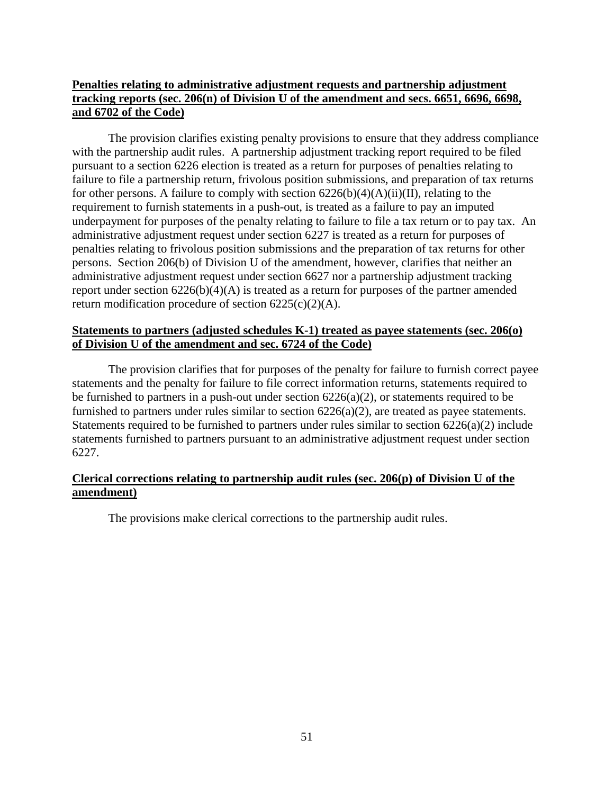# **Penalties relating to administrative adjustment requests and partnership adjustment tracking reports (sec. 206(n) of Division U of the amendment and secs. 6651, 6696, 6698, and 6702 of the Code)**

The provision clarifies existing penalty provisions to ensure that they address compliance with the partnership audit rules. A partnership adjustment tracking report required to be filed pursuant to a section 6226 election is treated as a return for purposes of penalties relating to failure to file a partnership return, frivolous position submissions, and preparation of tax returns for other persons. A failure to comply with section  $6226(b)(4)(A)(ii)(II)$ , relating to the requirement to furnish statements in a push-out, is treated as a failure to pay an imputed underpayment for purposes of the penalty relating to failure to file a tax return or to pay tax. An administrative adjustment request under section 6227 is treated as a return for purposes of penalties relating to frivolous position submissions and the preparation of tax returns for other persons. Section 206(b) of Division U of the amendment, however, clarifies that neither an administrative adjustment request under section 6627 nor a partnership adjustment tracking report under section 6226(b)(4)(A) is treated as a return for purposes of the partner amended return modification procedure of section  $6225(c)(2)(A)$ .

# **Statements to partners (adjusted schedules K-1) treated as payee statements (sec. 206(o) of Division U of the amendment and sec. 6724 of the Code)**

The provision clarifies that for purposes of the penalty for failure to furnish correct payee statements and the penalty for failure to file correct information returns, statements required to be furnished to partners in a push-out under section 6226(a)(2), or statements required to be furnished to partners under rules similar to section 6226(a)(2), are treated as payee statements. Statements required to be furnished to partners under rules similar to section  $6226(a)(2)$  include statements furnished to partners pursuant to an administrative adjustment request under section 6227.

# **Clerical corrections relating to partnership audit rules (sec. 206(p) of Division U of the amendment)**

The provisions make clerical corrections to the partnership audit rules.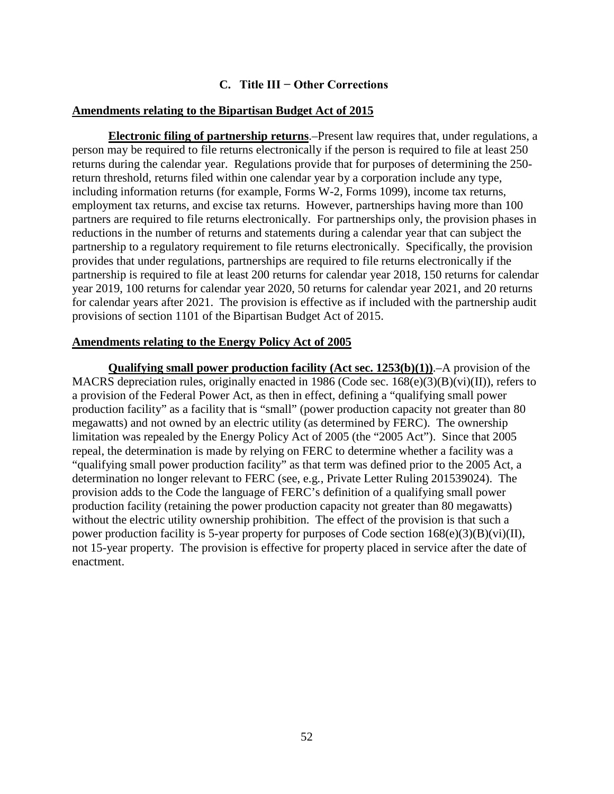# **C. Title III − Other Corrections**

## <span id="page-53-0"></span>**Amendments relating to the Bipartisan Budget Act of 2015**

**Electronic filing of partnership returns**.–Present law requires that, under regulations, a person may be required to file returns electronically if the person is required to file at least 250 returns during the calendar year. Regulations provide that for purposes of determining the 250 return threshold, returns filed within one calendar year by a corporation include any type, including information returns (for example, Forms W-2, Forms 1099), income tax returns, employment tax returns, and excise tax returns. However, partnerships having more than 100 partners are required to file returns electronically. For partnerships only, the provision phases in reductions in the number of returns and statements during a calendar year that can subject the partnership to a regulatory requirement to file returns electronically. Specifically, the provision provides that under regulations, partnerships are required to file returns electronically if the partnership is required to file at least 200 returns for calendar year 2018, 150 returns for calendar year 2019, 100 returns for calendar year 2020, 50 returns for calendar year 2021, and 20 returns for calendar years after 2021. The provision is effective as if included with the partnership audit provisions of section 1101 of the Bipartisan Budget Act of 2015.

## **Amendments relating to the Energy Policy Act of 2005**

**Qualifying small power production facility (Act sec. 1253(b)(1))**.–A provision of the MACRS depreciation rules, originally enacted in 1986 (Code sec.  $168(e)(3)(B)(vi)(II)$ ), refers to a provision of the Federal Power Act, as then in effect, defining a "qualifying small power production facility" as a facility that is "small" (power production capacity not greater than 80 megawatts) and not owned by an electric utility (as determined by FERC). The ownership limitation was repealed by the Energy Policy Act of 2005 (the "2005 Act"). Since that 2005 repeal, the determination is made by relying on FERC to determine whether a facility was a "qualifying small power production facility" as that term was defined prior to the 2005 Act, a determination no longer relevant to FERC (see, e.g*.*, Private Letter Ruling 201539024). The provision adds to the Code the language of FERC's definition of a qualifying small power production facility (retaining the power production capacity not greater than 80 megawatts) without the electric utility ownership prohibition. The effect of the provision is that such a power production facility is 5-year property for purposes of Code section 168(e)(3)(B)(vi)(II), not 15-year property. The provision is effective for property placed in service after the date of enactment.